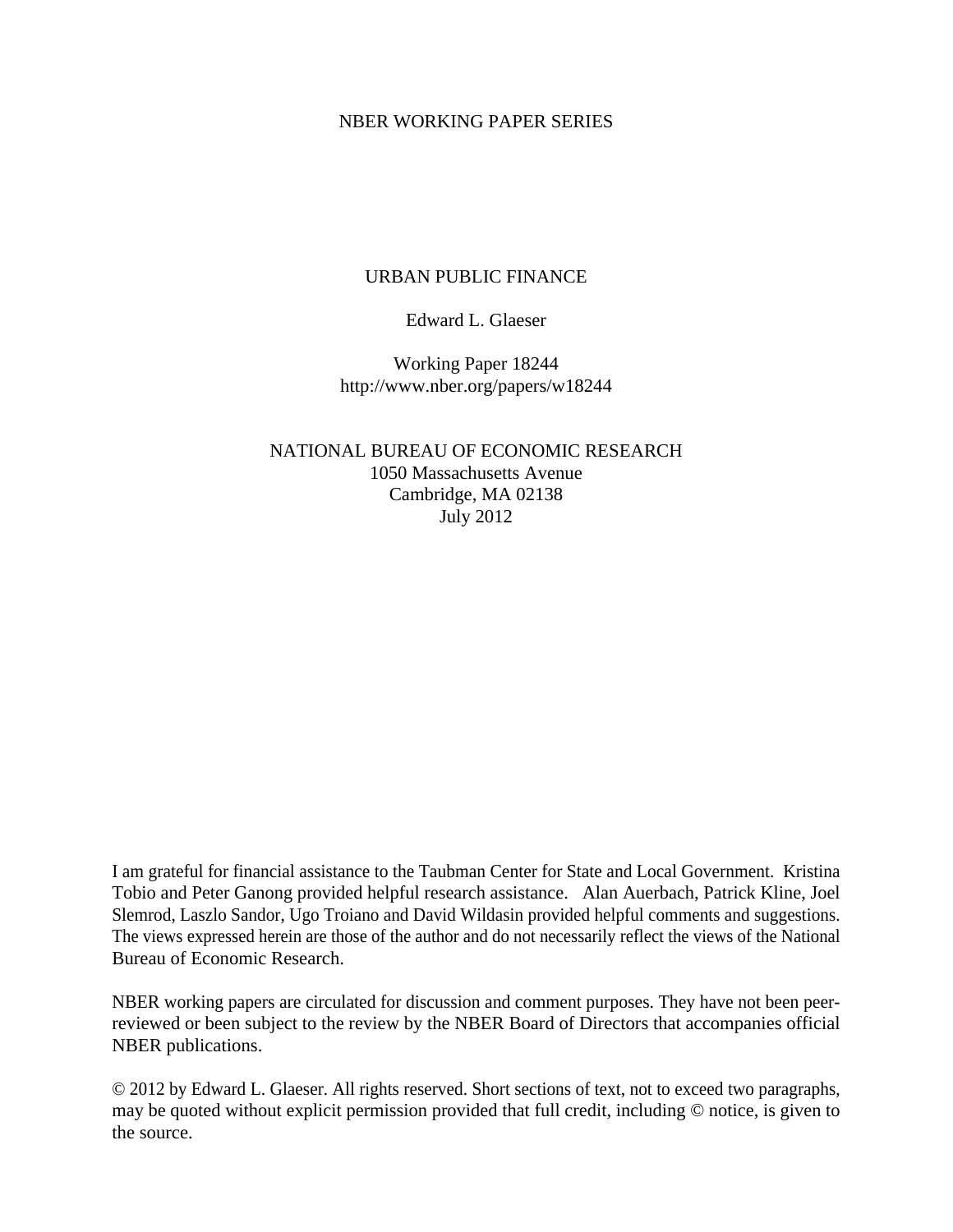## NBER WORKING PAPER SERIES

# URBAN PUBLIC FINANCE

# Edward L. Glaeser

Working Paper 18244 http://www.nber.org/papers/w18244

NATIONAL BUREAU OF ECONOMIC RESEARCH 1050 Massachusetts Avenue Cambridge, MA 02138 July 2012

I am grateful for financial assistance to the Taubman Center for State and Local Government. Kristina Tobio and Peter Ganong provided helpful research assistance. Alan Auerbach, Patrick Kline, Joel Slemrod, Laszlo Sandor, Ugo Troiano and David Wildasin provided helpful comments and suggestions. The views expressed herein are those of the author and do not necessarily reflect the views of the National Bureau of Economic Research.

NBER working papers are circulated for discussion and comment purposes. They have not been peerreviewed or been subject to the review by the NBER Board of Directors that accompanies official NBER publications.

© 2012 by Edward L. Glaeser. All rights reserved. Short sections of text, not to exceed two paragraphs, may be quoted without explicit permission provided that full credit, including © notice, is given to the source.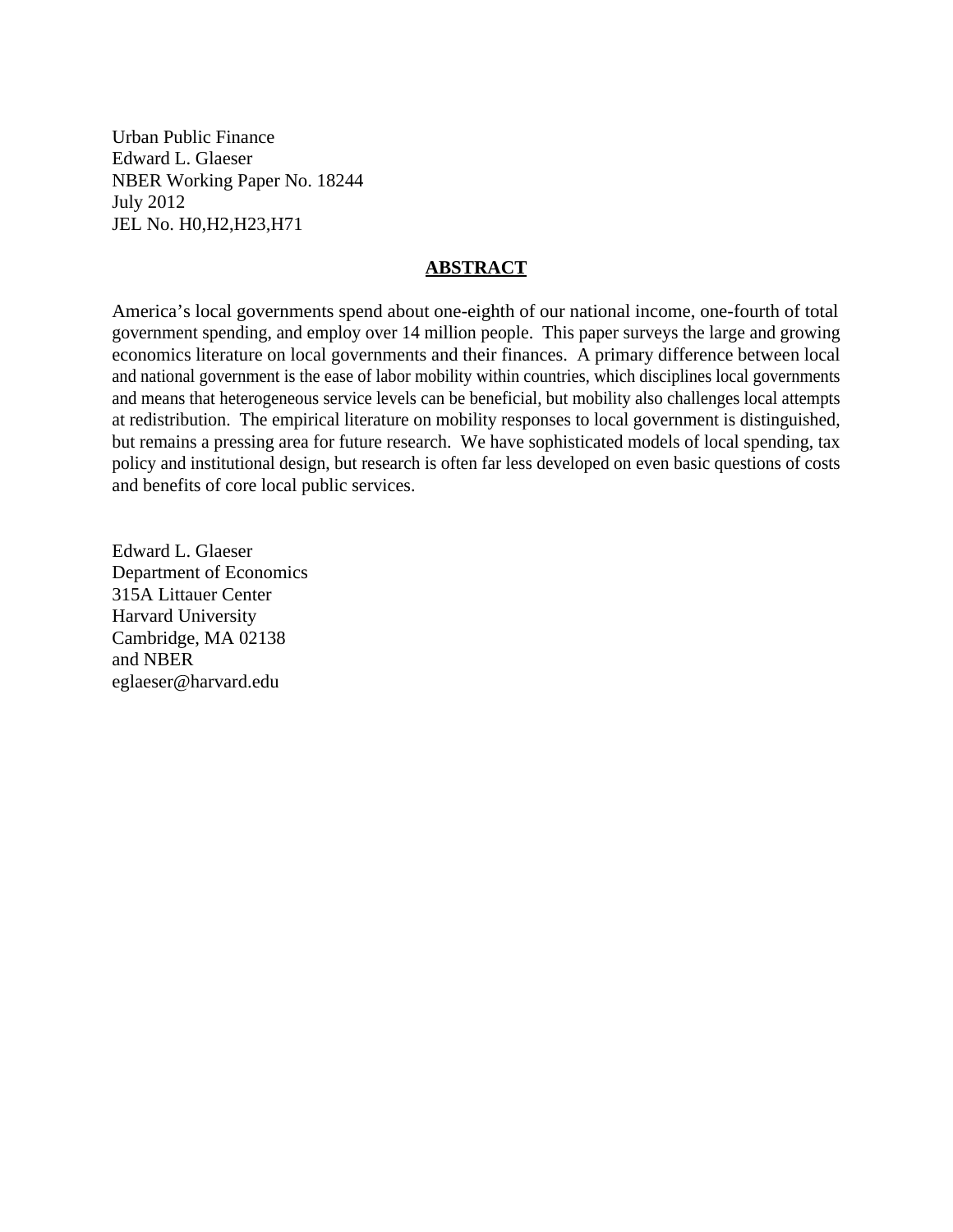Urban Public Finance Edward L. Glaeser NBER Working Paper No. 18244 July 2012 JEL No. H0,H2,H23,H71

## **ABSTRACT**

America's local governments spend about one-eighth of our national income, one-fourth of total government spending, and employ over 14 million people. This paper surveys the large and growing economics literature on local governments and their finances. A primary difference between local and national government is the ease of labor mobility within countries, which disciplines local governments and means that heterogeneous service levels can be beneficial, but mobility also challenges local attempts at redistribution. The empirical literature on mobility responses to local government is distinguished, but remains a pressing area for future research. We have sophisticated models of local spending, tax policy and institutional design, but research is often far less developed on even basic questions of costs and benefits of core local public services.

Edward L. Glaeser Department of Economics 315A Littauer Center Harvard University Cambridge, MA 02138 and NBER eglaeser@harvard.edu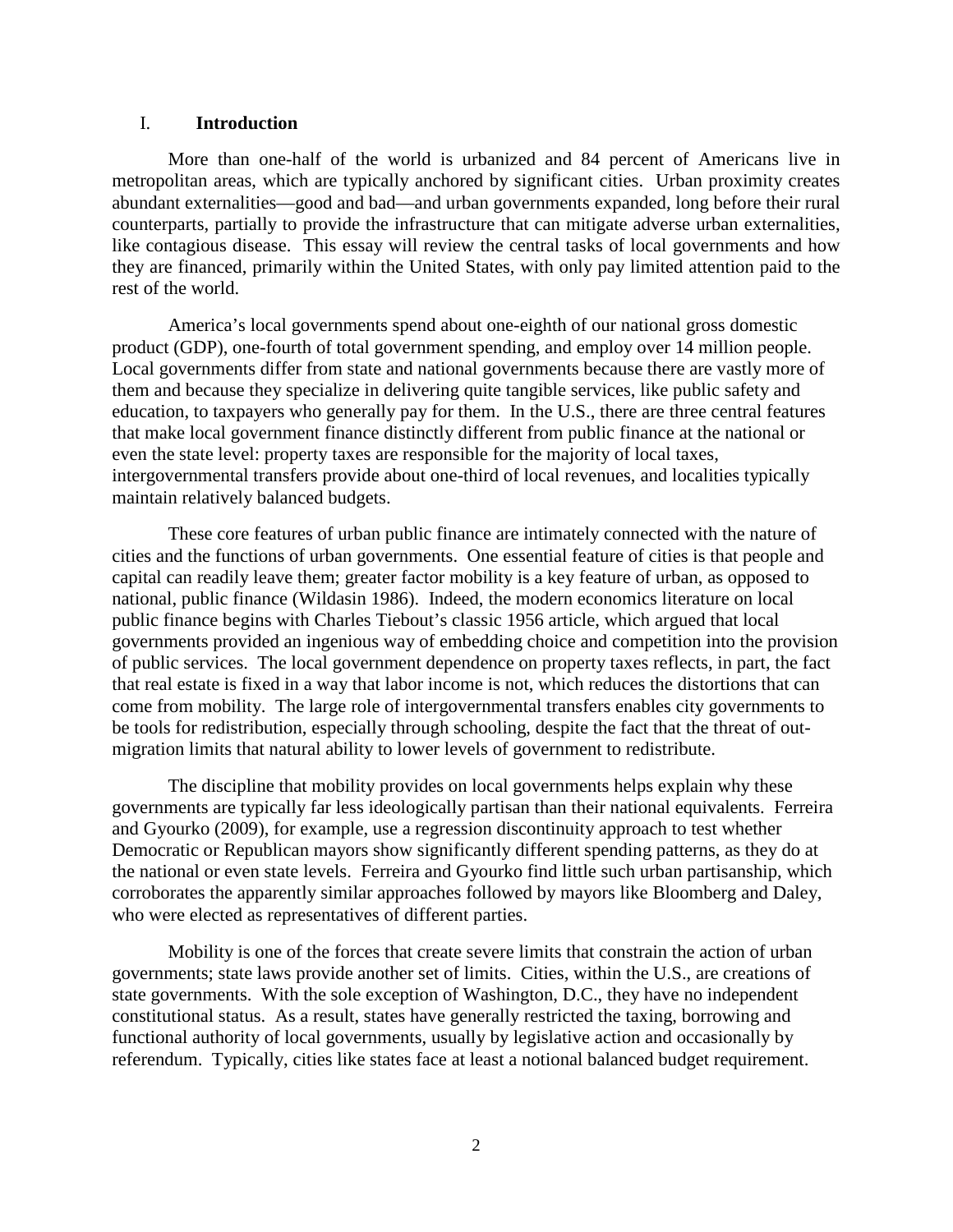#### I. **Introduction**

More than one-half of the world is urbanized and 84 percent of Americans live in metropolitan areas, which are typically anchored by significant cities. Urban proximity creates abundant externalities—good and bad—and urban governments expanded, long before their rural counterparts, partially to provide the infrastructure that can mitigate adverse urban externalities, like contagious disease. This essay will review the central tasks of local governments and how they are financed, primarily within the United States, with only pay limited attention paid to the rest of the world.

America's local governments spend about one-eighth of our national gross domestic product (GDP), one-fourth of total government spending, and employ over 14 million people. Local governments differ from state and national governments because there are vastly more of them and because they specialize in delivering quite tangible services, like public safety and education, to taxpayers who generally pay for them. In the U.S., there are three central features that make local government finance distinctly different from public finance at the national or even the state level: property taxes are responsible for the majority of local taxes, intergovernmental transfers provide about one-third of local revenues, and localities typically maintain relatively balanced budgets.

These core features of urban public finance are intimately connected with the nature of cities and the functions of urban governments. One essential feature of cities is that people and capital can readily leave them; greater factor mobility is a key feature of urban, as opposed to national, public finance (Wildasin 1986). Indeed, the modern economics literature on local public finance begins with Charles Tiebout's classic 1956 article, which argued that local governments provided an ingenious way of embedding choice and competition into the provision of public services. The local government dependence on property taxes reflects, in part, the fact that real estate is fixed in a way that labor income is not, which reduces the distortions that can come from mobility. The large role of intergovernmental transfers enables city governments to be tools for redistribution, especially through schooling, despite the fact that the threat of outmigration limits that natural ability to lower levels of government to redistribute.

 The discipline that mobility provides on local governments helps explain why these governments are typically far less ideologically partisan than their national equivalents. Ferreira and Gyourko (2009), for example, use a regression discontinuity approach to test whether Democratic or Republican mayors show significantly different spending patterns, as they do at the national or even state levels. Ferreira and Gyourko find little such urban partisanship, which corroborates the apparently similar approaches followed by mayors like Bloomberg and Daley, who were elected as representatives of different parties.

Mobility is one of the forces that create severe limits that constrain the action of urban governments; state laws provide another set of limits. Cities, within the U.S., are creations of state governments. With the sole exception of Washington, D.C., they have no independent constitutional status. As a result, states have generally restricted the taxing, borrowing and functional authority of local governments, usually by legislative action and occasionally by referendum. Typically, cities like states face at least a notional balanced budget requirement.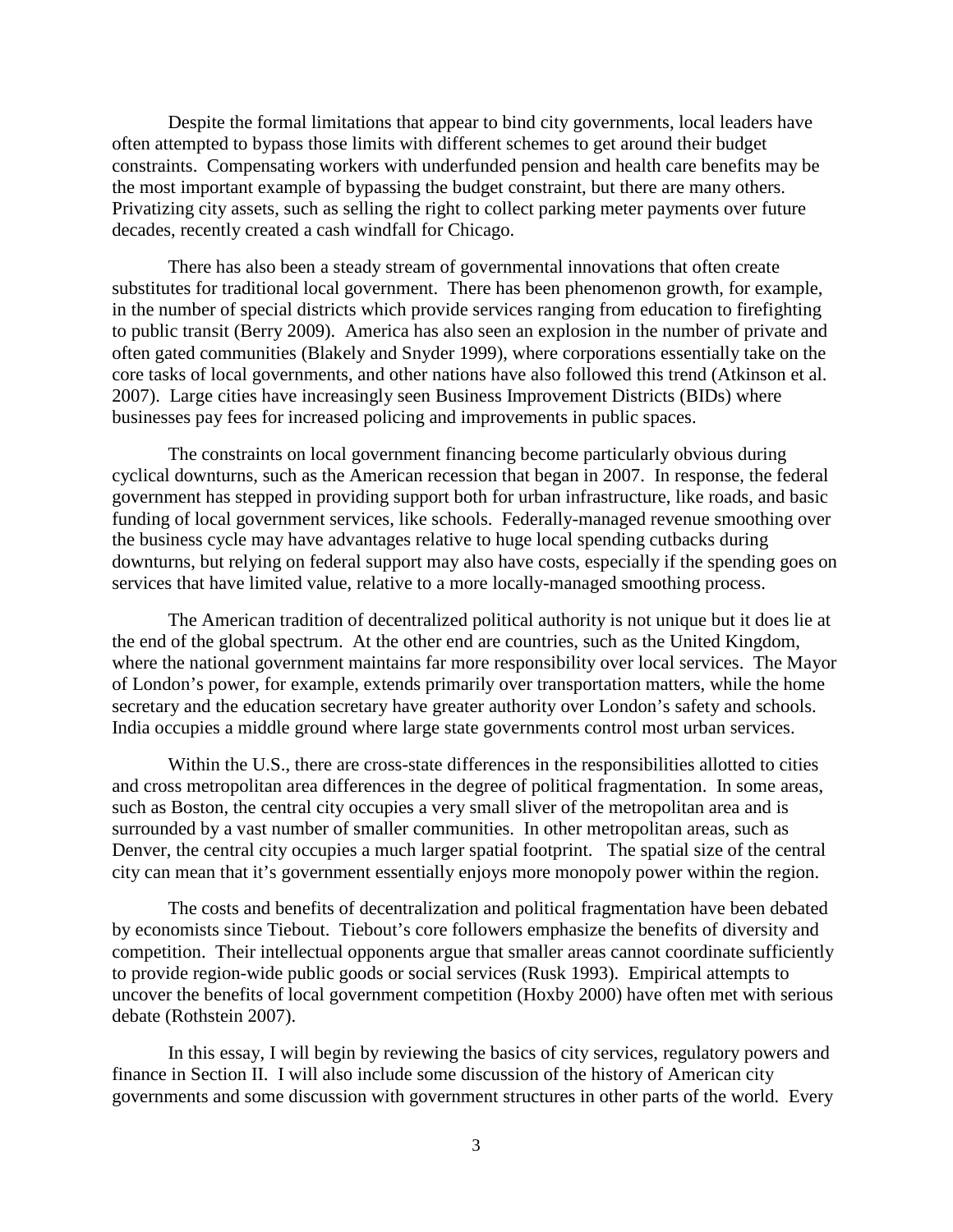Despite the formal limitations that appear to bind city governments, local leaders have often attempted to bypass those limits with different schemes to get around their budget constraints. Compensating workers with underfunded pension and health care benefits may be the most important example of bypassing the budget constraint, but there are many others. Privatizing city assets, such as selling the right to collect parking meter payments over future decades, recently created a cash windfall for Chicago.

There has also been a steady stream of governmental innovations that often create substitutes for traditional local government. There has been phenomenon growth, for example, in the number of special districts which provide services ranging from education to firefighting to public transit (Berry 2009). America has also seen an explosion in the number of private and often gated communities (Blakely and Snyder 1999), where corporations essentially take on the core tasks of local governments, and other nations have also followed this trend (Atkinson et al. 2007). Large cities have increasingly seen Business Improvement Districts (BIDs) where businesses pay fees for increased policing and improvements in public spaces.

 The constraints on local government financing become particularly obvious during cyclical downturns, such as the American recession that began in 2007. In response, the federal government has stepped in providing support both for urban infrastructure, like roads, and basic funding of local government services, like schools. Federally-managed revenue smoothing over the business cycle may have advantages relative to huge local spending cutbacks during downturns, but relying on federal support may also have costs, especially if the spending goes on services that have limited value, relative to a more locally-managed smoothing process.

 The American tradition of decentralized political authority is not unique but it does lie at the end of the global spectrum. At the other end are countries, such as the United Kingdom, where the national government maintains far more responsibility over local services. The Mayor of London's power, for example, extends primarily over transportation matters, while the home secretary and the education secretary have greater authority over London's safety and schools. India occupies a middle ground where large state governments control most urban services.

 Within the U.S., there are cross-state differences in the responsibilities allotted to cities and cross metropolitan area differences in the degree of political fragmentation. In some areas, such as Boston, the central city occupies a very small sliver of the metropolitan area and is surrounded by a vast number of smaller communities. In other metropolitan areas, such as Denver, the central city occupies a much larger spatial footprint. The spatial size of the central city can mean that it's government essentially enjoys more monopoly power within the region.

The costs and benefits of decentralization and political fragmentation have been debated by economists since Tiebout. Tiebout's core followers emphasize the benefits of diversity and competition. Their intellectual opponents argue that smaller areas cannot coordinate sufficiently to provide region-wide public goods or social services (Rusk 1993). Empirical attempts to uncover the benefits of local government competition (Hoxby 2000) have often met with serious debate (Rothstein 2007).

In this essay, I will begin by reviewing the basics of city services, regulatory powers and finance in Section II. I will also include some discussion of the history of American city governments and some discussion with government structures in other parts of the world. Every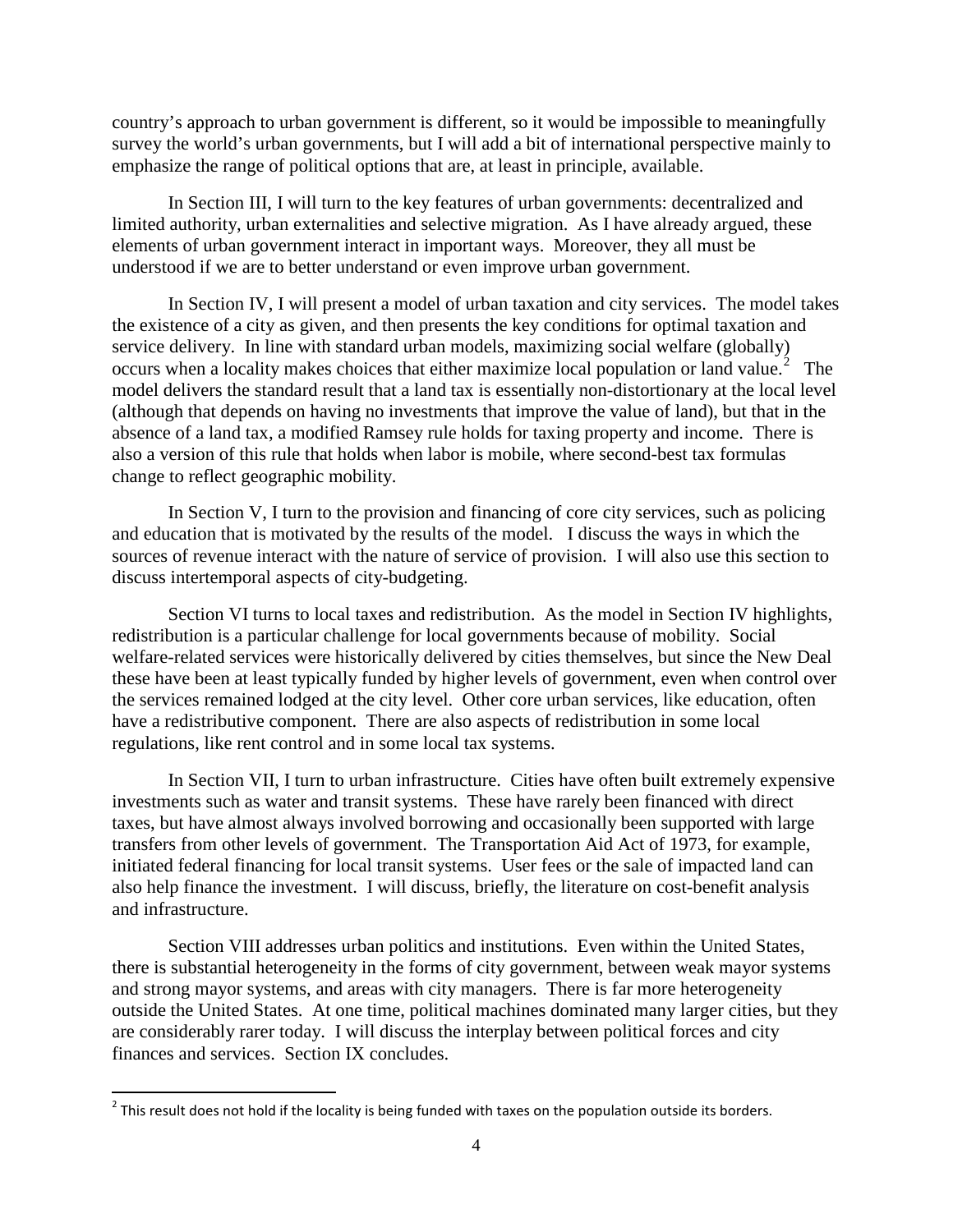country's approach to urban government is different, so it would be impossible to meaningfully survey the world's urban governments, but I will add a bit of international perspective mainly to emphasize the range of political options that are, at least in principle, available.

 In Section III, I will turn to the key features of urban governments: decentralized and limited authority, urban externalities and selective migration. As I have already argued, these elements of urban government interact in important ways. Moreover, they all must be understood if we are to better understand or even improve urban government.

In Section IV, I will present a model of urban taxation and city services. The model takes the existence of a city as given, and then presents the key conditions for optimal taxation and service delivery. In line with standard urban models, maximizing social welfare (globally) occurs when a locality makes choices that either maximize local population or land value.<sup>[2](#page-4-0)</sup> The model delivers the standard result that a land tax is essentially non-distortionary at the local level (although that depends on having no investments that improve the value of land), but that in the absence of a land tax, a modified Ramsey rule holds for taxing property and income. There is also a version of this rule that holds when labor is mobile, where second-best tax formulas change to reflect geographic mobility.

In Section V, I turn to the provision and financing of core city services, such as policing and education that is motivated by the results of the model. I discuss the ways in which the sources of revenue interact with the nature of service of provision. I will also use this section to discuss intertemporal aspects of city-budgeting.

Section VI turns to local taxes and redistribution. As the model in Section IV highlights, redistribution is a particular challenge for local governments because of mobility. Social welfare-related services were historically delivered by cities themselves, but since the New Deal these have been at least typically funded by higher levels of government, even when control over the services remained lodged at the city level. Other core urban services, like education, often have a redistributive component. There are also aspects of redistribution in some local regulations, like rent control and in some local tax systems.

 In Section VII, I turn to urban infrastructure. Cities have often built extremely expensive investments such as water and transit systems. These have rarely been financed with direct taxes, but have almost always involved borrowing and occasionally been supported with large transfers from other levels of government. The Transportation Aid Act of 1973, for example, initiated federal financing for local transit systems. User fees or the sale of impacted land can also help finance the investment. I will discuss, briefly, the literature on cost-benefit analysis and infrastructure.

Section VIII addresses urban politics and institutions. Even within the United States, there is substantial heterogeneity in the forms of city government, between weak mayor systems and strong mayor systems, and areas with city managers. There is far more heterogeneity outside the United States. At one time, political machines dominated many larger cities, but they are considerably rarer today. I will discuss the interplay between political forces and city finances and services. Section IX concludes.

l

<span id="page-4-0"></span> $<sup>2</sup>$  This result does not hold if the locality is being funded with taxes on the population outside its borders.</sup>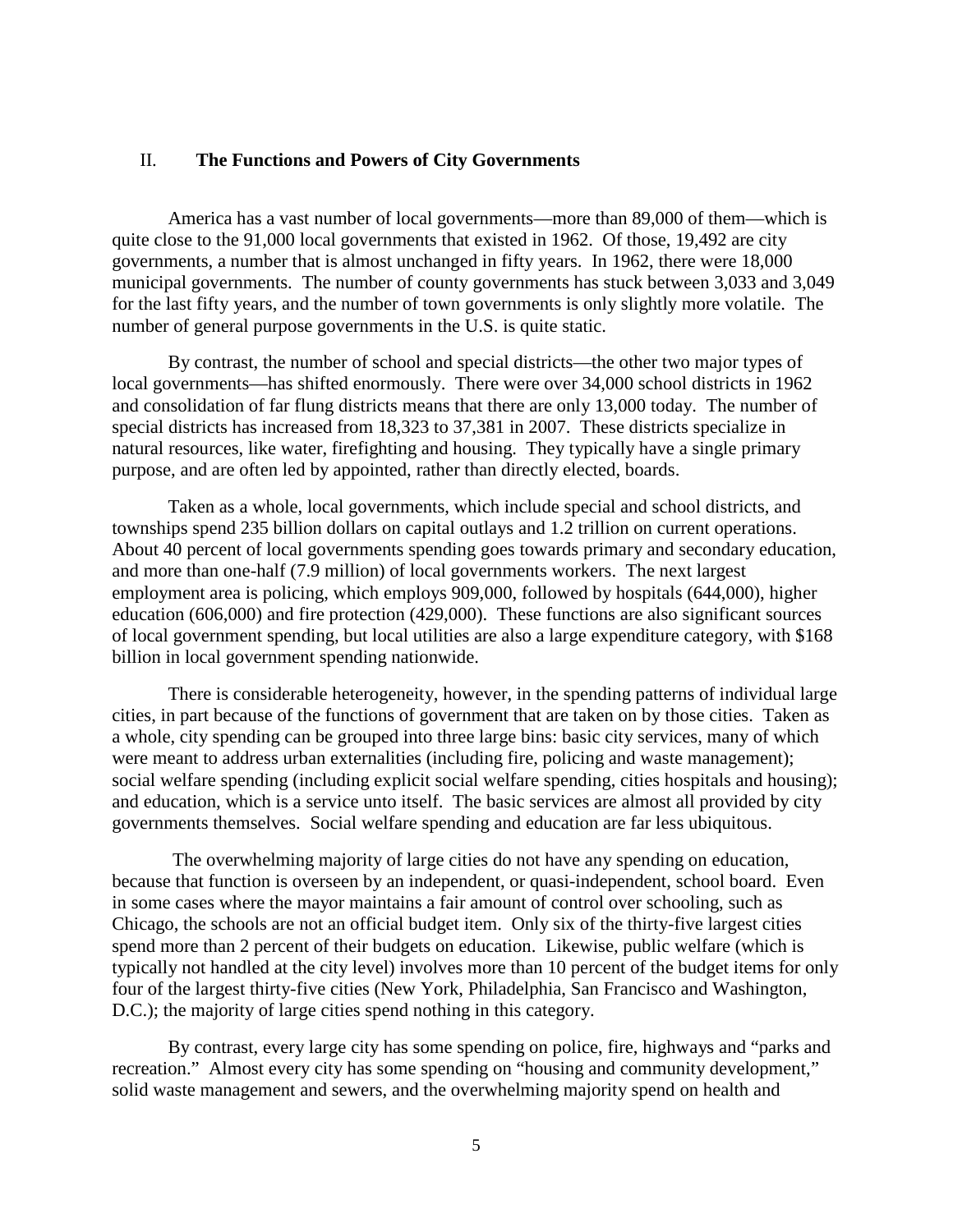### II. **The Functions and Powers of City Governments**

America has a vast number of local governments—more than 89,000 of them—which is quite close to the 91,000 local governments that existed in 1962. Of those, 19,492 are city governments, a number that is almost unchanged in fifty years. In 1962, there were 18,000 municipal governments. The number of county governments has stuck between 3,033 and 3,049 for the last fifty years, and the number of town governments is only slightly more volatile. The number of general purpose governments in the U.S. is quite static.

By contrast, the number of school and special districts—the other two major types of local governments—has shifted enormously. There were over 34,000 school districts in 1962 and consolidation of far flung districts means that there are only 13,000 today. The number of special districts has increased from 18,323 to 37,381 in 2007. These districts specialize in natural resources, like water, firefighting and housing. They typically have a single primary purpose, and are often led by appointed, rather than directly elected, boards.

Taken as a whole, local governments, which include special and school districts, and townships spend 235 billion dollars on capital outlays and 1.2 trillion on current operations. About 40 percent of local governments spending goes towards primary and secondary education, and more than one-half (7.9 million) of local governments workers. The next largest employment area is policing, which employs 909,000, followed by hospitals (644,000), higher education (606,000) and fire protection (429,000). These functions are also significant sources of local government spending, but local utilities are also a large expenditure category, with \$168 billion in local government spending nationwide.

There is considerable heterogeneity, however, in the spending patterns of individual large cities, in part because of the functions of government that are taken on by those cities. Taken as a whole, city spending can be grouped into three large bins: basic city services, many of which were meant to address urban externalities (including fire, policing and waste management); social welfare spending (including explicit social welfare spending, cities hospitals and housing); and education, which is a service unto itself. The basic services are almost all provided by city governments themselves. Social welfare spending and education are far less ubiquitous.

 The overwhelming majority of large cities do not have any spending on education, because that function is overseen by an independent, or quasi-independent, school board. Even in some cases where the mayor maintains a fair amount of control over schooling, such as Chicago, the schools are not an official budget item. Only six of the thirty-five largest cities spend more than 2 percent of their budgets on education. Likewise, public welfare (which is typically not handled at the city level) involves more than 10 percent of the budget items for only four of the largest thirty-five cities (New York, Philadelphia, San Francisco and Washington, D.C.); the majority of large cities spend nothing in this category.

By contrast, every large city has some spending on police, fire, highways and "parks and recreation." Almost every city has some spending on "housing and community development," solid waste management and sewers, and the overwhelming majority spend on health and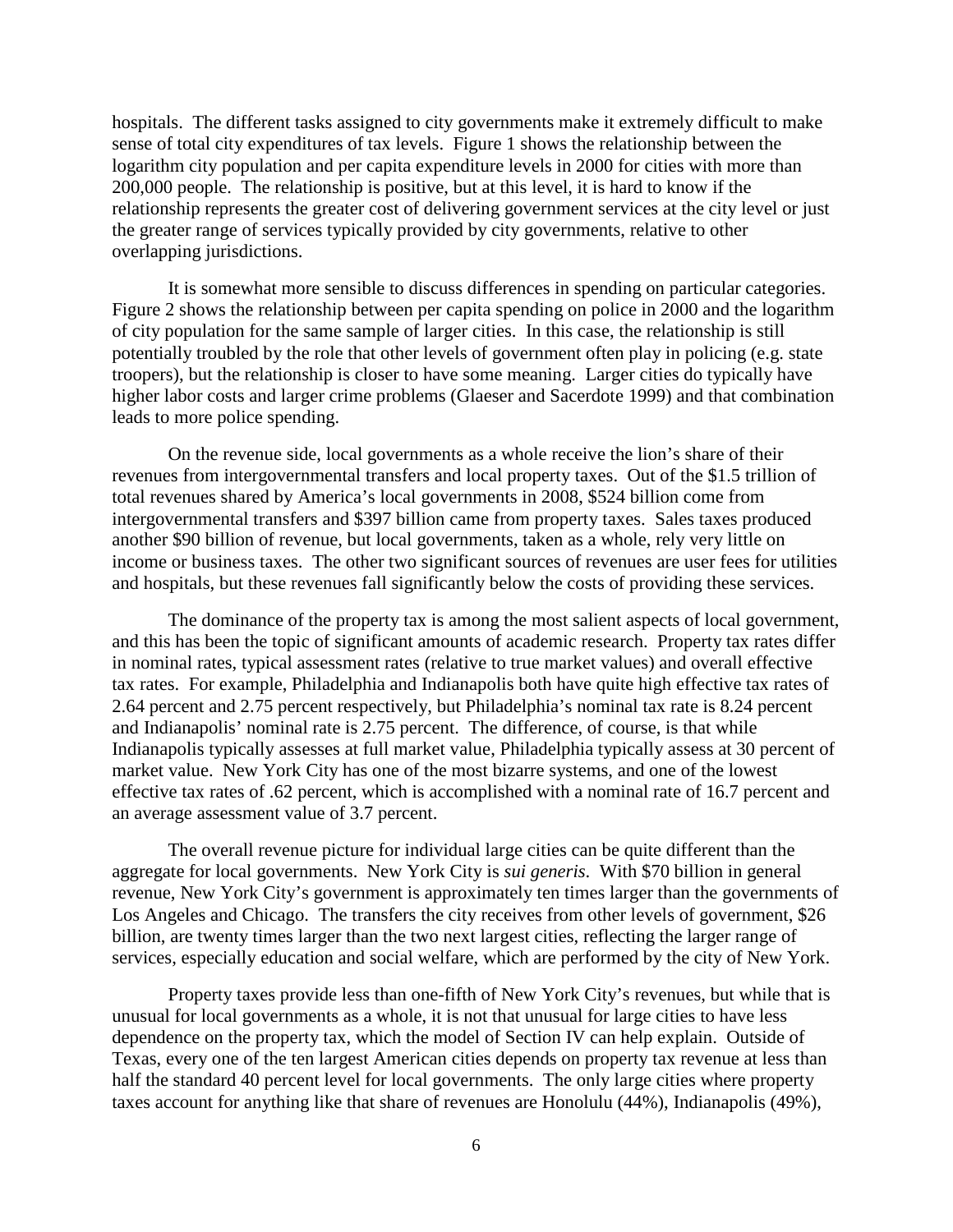hospitals. The different tasks assigned to city governments make it extremely difficult to make sense of total city expenditures of tax levels. Figure 1 shows the relationship between the logarithm city population and per capita expenditure levels in 2000 for cities with more than 200,000 people. The relationship is positive, but at this level, it is hard to know if the relationship represents the greater cost of delivering government services at the city level or just the greater range of services typically provided by city governments, relative to other overlapping jurisdictions.

It is somewhat more sensible to discuss differences in spending on particular categories. Figure 2 shows the relationship between per capita spending on police in 2000 and the logarithm of city population for the same sample of larger cities. In this case, the relationship is still potentially troubled by the role that other levels of government often play in policing (e.g. state troopers), but the relationship is closer to have some meaning. Larger cities do typically have higher labor costs and larger crime problems (Glaeser and Sacerdote 1999) and that combination leads to more police spending.

On the revenue side, local governments as a whole receive the lion's share of their revenues from intergovernmental transfers and local property taxes. Out of the \$1.5 trillion of total revenues shared by America's local governments in 2008, \$524 billion come from intergovernmental transfers and \$397 billion came from property taxes. Sales taxes produced another \$90 billion of revenue, but local governments, taken as a whole, rely very little on income or business taxes. The other two significant sources of revenues are user fees for utilities and hospitals, but these revenues fall significantly below the costs of providing these services.

The dominance of the property tax is among the most salient aspects of local government, and this has been the topic of significant amounts of academic research. Property tax rates differ in nominal rates, typical assessment rates (relative to true market values) and overall effective tax rates. For example, Philadelphia and Indianapolis both have quite high effective tax rates of 2.64 percent and 2.75 percent respectively, but Philadelphia's nominal tax rate is 8.24 percent and Indianapolis' nominal rate is 2.75 percent. The difference, of course, is that while Indianapolis typically assesses at full market value, Philadelphia typically assess at 30 percent of market value. New York City has one of the most bizarre systems, and one of the lowest effective tax rates of .62 percent, which is accomplished with a nominal rate of 16.7 percent and an average assessment value of 3.7 percent.

The overall revenue picture for individual large cities can be quite different than the aggregate for local governments. New York City is *sui generis*. With \$70 billion in general revenue, New York City's government is approximately ten times larger than the governments of Los Angeles and Chicago. The transfers the city receives from other levels of government, \$26 billion, are twenty times larger than the two next largest cities, reflecting the larger range of services, especially education and social welfare, which are performed by the city of New York.

Property taxes provide less than one-fifth of New York City's revenues, but while that is unusual for local governments as a whole, it is not that unusual for large cities to have less dependence on the property tax, which the model of Section IV can help explain. Outside of Texas, every one of the ten largest American cities depends on property tax revenue at less than half the standard 40 percent level for local governments. The only large cities where property taxes account for anything like that share of revenues are Honolulu (44%), Indianapolis (49%),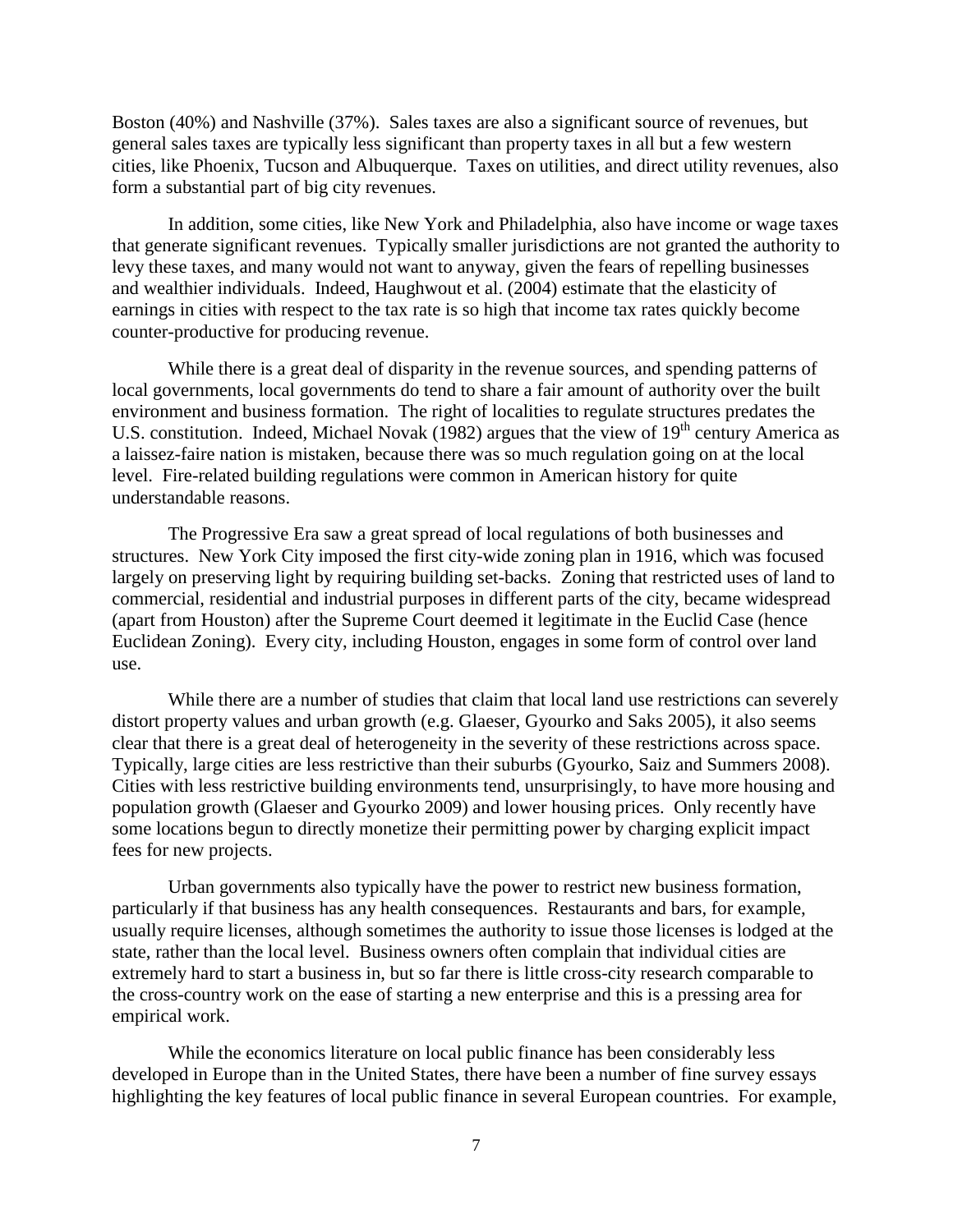Boston (40%) and Nashville (37%). Sales taxes are also a significant source of revenues, but general sales taxes are typically less significant than property taxes in all but a few western cities, like Phoenix, Tucson and Albuquerque. Taxes on utilities, and direct utility revenues, also form a substantial part of big city revenues.

In addition, some cities, like New York and Philadelphia, also have income or wage taxes that generate significant revenues. Typically smaller jurisdictions are not granted the authority to levy these taxes, and many would not want to anyway, given the fears of repelling businesses and wealthier individuals. Indeed, Haughwout et al. (2004) estimate that the elasticity of earnings in cities with respect to the tax rate is so high that income tax rates quickly become counter-productive for producing revenue.

While there is a great deal of disparity in the revenue sources, and spending patterns of local governments, local governments do tend to share a fair amount of authority over the built environment and business formation. The right of localities to regulate structures predates the U.S. constitution. Indeed, Michael Novak (1982) argues that the view of  $19<sup>th</sup>$  century America as a laissez-faire nation is mistaken, because there was so much regulation going on at the local level. Fire-related building regulations were common in American history for quite understandable reasons.

The Progressive Era saw a great spread of local regulations of both businesses and structures. New York City imposed the first city-wide zoning plan in 1916, which was focused largely on preserving light by requiring building set-backs. Zoning that restricted uses of land to commercial, residential and industrial purposes in different parts of the city, became widespread (apart from Houston) after the Supreme Court deemed it legitimate in the Euclid Case (hence Euclidean Zoning). Every city, including Houston, engages in some form of control over land use.

While there are a number of studies that claim that local land use restrictions can severely distort property values and urban growth (e.g. Glaeser, Gyourko and Saks 2005), it also seems clear that there is a great deal of heterogeneity in the severity of these restrictions across space. Typically, large cities are less restrictive than their suburbs (Gyourko, Saiz and Summers 2008). Cities with less restrictive building environments tend, unsurprisingly, to have more housing and population growth (Glaeser and Gyourko 2009) and lower housing prices. Only recently have some locations begun to directly monetize their permitting power by charging explicit impact fees for new projects.

Urban governments also typically have the power to restrict new business formation, particularly if that business has any health consequences. Restaurants and bars, for example, usually require licenses, although sometimes the authority to issue those licenses is lodged at the state, rather than the local level. Business owners often complain that individual cities are extremely hard to start a business in, but so far there is little cross-city research comparable to the cross-country work on the ease of starting a new enterprise and this is a pressing area for empirical work.

While the economics literature on local public finance has been considerably less developed in Europe than in the United States, there have been a number of fine survey essays highlighting the key features of local public finance in several European countries. For example,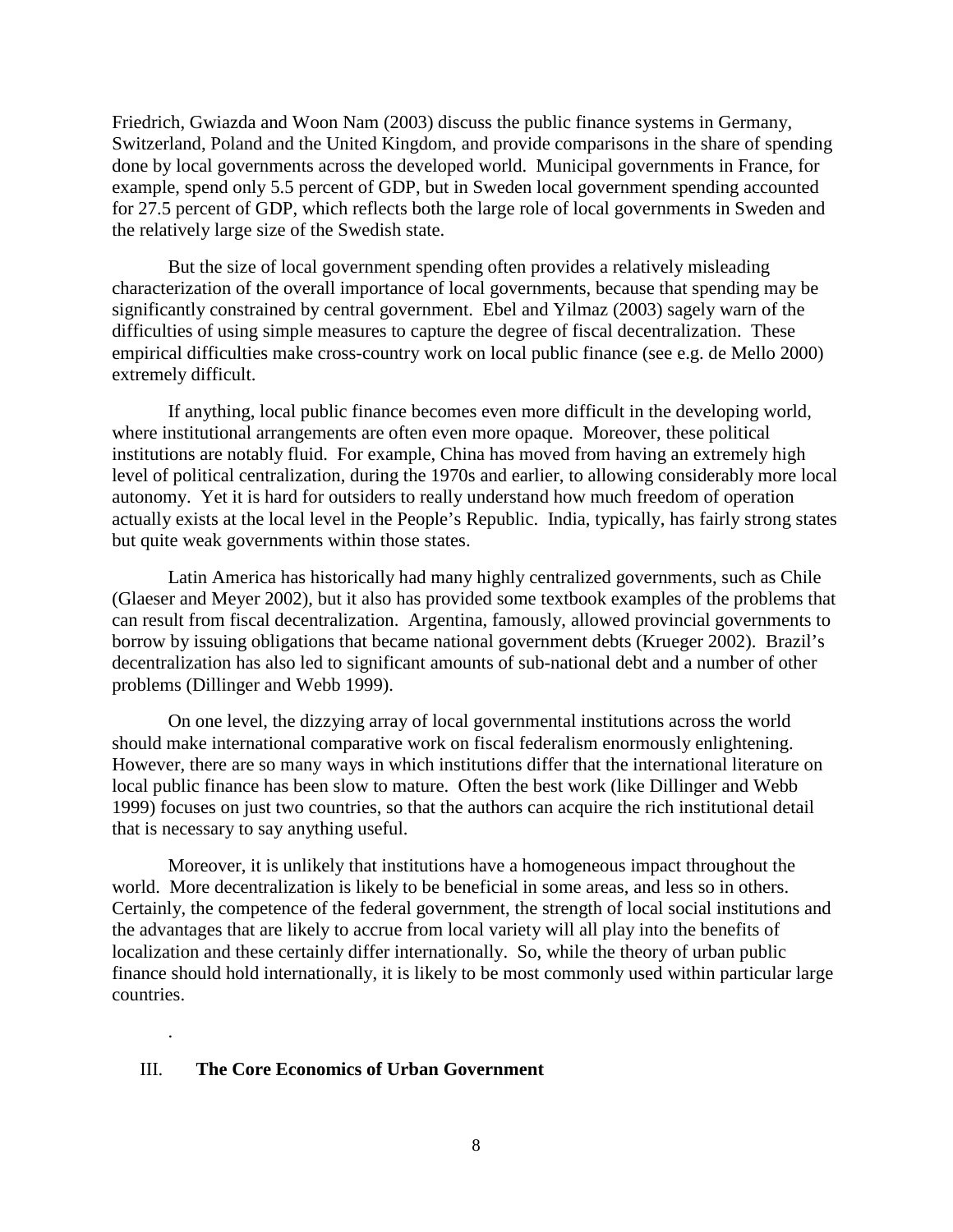Friedrich, Gwiazda and Woon Nam (2003) discuss the public finance systems in Germany, Switzerland, Poland and the United Kingdom, and provide comparisons in the share of spending done by local governments across the developed world. Municipal governments in France, for example, spend only 5.5 percent of GDP, but in Sweden local government spending accounted for 27.5 percent of GDP, which reflects both the large role of local governments in Sweden and the relatively large size of the Swedish state.

But the size of local government spending often provides a relatively misleading characterization of the overall importance of local governments, because that spending may be significantly constrained by central government. Ebel and Yilmaz (2003) sagely warn of the difficulties of using simple measures to capture the degree of fiscal decentralization. These empirical difficulties make cross-country work on local public finance (see e.g. de Mello 2000) extremely difficult.

If anything, local public finance becomes even more difficult in the developing world, where institutional arrangements are often even more opaque. Moreover, these political institutions are notably fluid. For example, China has moved from having an extremely high level of political centralization, during the 1970s and earlier, to allowing considerably more local autonomy. Yet it is hard for outsiders to really understand how much freedom of operation actually exists at the local level in the People's Republic. India, typically, has fairly strong states but quite weak governments within those states.

Latin America has historically had many highly centralized governments, such as Chile (Glaeser and Meyer 2002), but it also has provided some textbook examples of the problems that can result from fiscal decentralization. Argentina, famously, allowed provincial governments to borrow by issuing obligations that became national government debts (Krueger 2002). Brazil's decentralization has also led to significant amounts of sub-national debt and a number of other problems (Dillinger and Webb 1999).

On one level, the dizzying array of local governmental institutions across the world should make international comparative work on fiscal federalism enormously enlightening. However, there are so many ways in which institutions differ that the international literature on local public finance has been slow to mature. Often the best work (like Dillinger and Webb 1999) focuses on just two countries, so that the authors can acquire the rich institutional detail that is necessary to say anything useful.

Moreover, it is unlikely that institutions have a homogeneous impact throughout the world. More decentralization is likely to be beneficial in some areas, and less so in others. Certainly, the competence of the federal government, the strength of local social institutions and the advantages that are likely to accrue from local variety will all play into the benefits of localization and these certainly differ internationally. So, while the theory of urban public finance should hold internationally, it is likely to be most commonly used within particular large countries.

# III. **The Core Economics of Urban Government**

.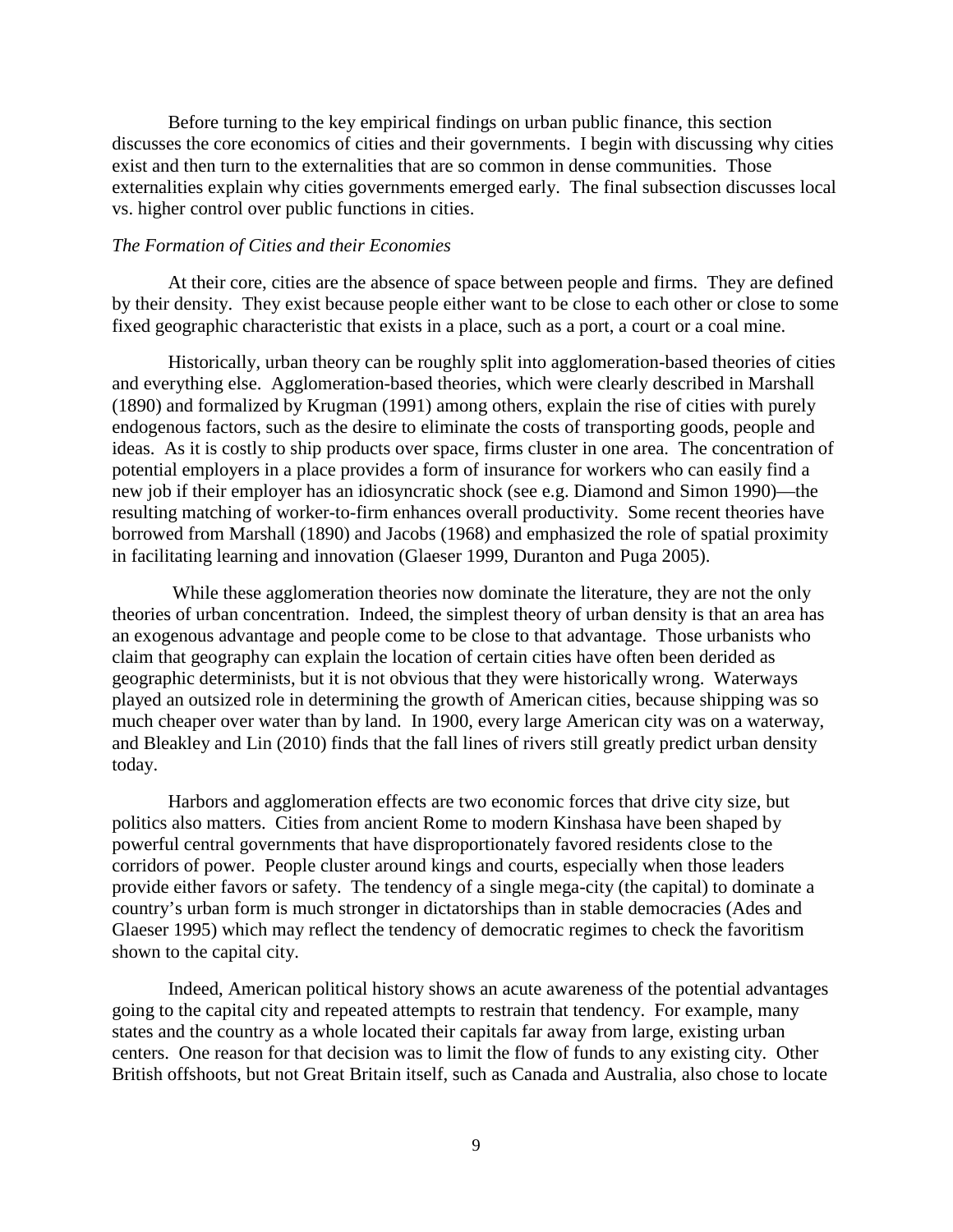Before turning to the key empirical findings on urban public finance, this section discusses the core economics of cities and their governments. I begin with discussing why cities exist and then turn to the externalities that are so common in dense communities. Those externalities explain why cities governments emerged early. The final subsection discusses local vs. higher control over public functions in cities.

#### *The Formation of Cities and their Economies*

At their core, cities are the absence of space between people and firms. They are defined by their density. They exist because people either want to be close to each other or close to some fixed geographic characteristic that exists in a place, such as a port, a court or a coal mine.

 Historically, urban theory can be roughly split into agglomeration-based theories of cities and everything else. Agglomeration-based theories, which were clearly described in Marshall (1890) and formalized by Krugman (1991) among others, explain the rise of cities with purely endogenous factors, such as the desire to eliminate the costs of transporting goods, people and ideas. As it is costly to ship products over space, firms cluster in one area. The concentration of potential employers in a place provides a form of insurance for workers who can easily find a new job if their employer has an idiosyncratic shock (see e.g. Diamond and Simon 1990)—the resulting matching of worker-to-firm enhances overall productivity. Some recent theories have borrowed from Marshall (1890) and Jacobs (1968) and emphasized the role of spatial proximity in facilitating learning and innovation (Glaeser 1999, Duranton and Puga 2005).

 While these agglomeration theories now dominate the literature, they are not the only theories of urban concentration. Indeed, the simplest theory of urban density is that an area has an exogenous advantage and people come to be close to that advantage. Those urbanists who claim that geography can explain the location of certain cities have often been derided as geographic determinists, but it is not obvious that they were historically wrong. Waterways played an outsized role in determining the growth of American cities, because shipping was so much cheaper over water than by land. In 1900, every large American city was on a waterway, and Bleakley and Lin (2010) finds that the fall lines of rivers still greatly predict urban density today.

Harbors and agglomeration effects are two economic forces that drive city size, but politics also matters. Cities from ancient Rome to modern Kinshasa have been shaped by powerful central governments that have disproportionately favored residents close to the corridors of power. People cluster around kings and courts, especially when those leaders provide either favors or safety. The tendency of a single mega-city (the capital) to dominate a country's urban form is much stronger in dictatorships than in stable democracies (Ades and Glaeser 1995) which may reflect the tendency of democratic regimes to check the favoritism shown to the capital city.

Indeed, American political history shows an acute awareness of the potential advantages going to the capital city and repeated attempts to restrain that tendency. For example, many states and the country as a whole located their capitals far away from large, existing urban centers. One reason for that decision was to limit the flow of funds to any existing city. Other British offshoots, but not Great Britain itself, such as Canada and Australia, also chose to locate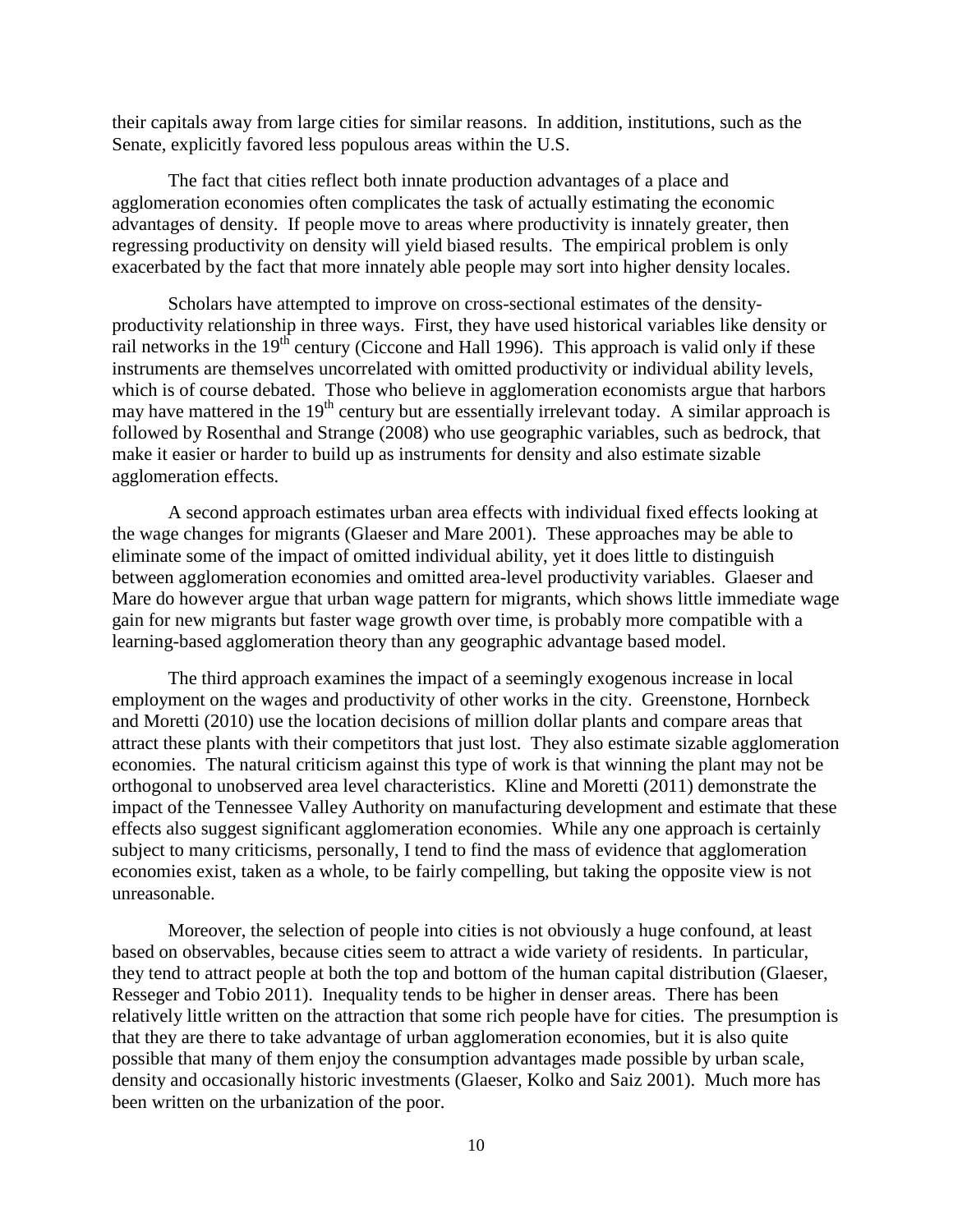their capitals away from large cities for similar reasons. In addition, institutions, such as the Senate, explicitly favored less populous areas within the U.S.

 The fact that cities reflect both innate production advantages of a place and agglomeration economies often complicates the task of actually estimating the economic advantages of density. If people move to areas where productivity is innately greater, then regressing productivity on density will yield biased results. The empirical problem is only exacerbated by the fact that more innately able people may sort into higher density locales.

 Scholars have attempted to improve on cross-sectional estimates of the densityproductivity relationship in three ways. First, they have used historical variables like density or rail networks in the  $19<sup>th</sup>$  century (Ciccone and Hall 1996). This approach is valid only if these instruments are themselves uncorrelated with omitted productivity or individual ability levels, which is of course debated. Those who believe in agglomeration economists argue that harbors may have mattered in the 19<sup>th</sup> century but are essentially irrelevant today. A similar approach is followed by Rosenthal and Strange (2008) who use geographic variables, such as bedrock, that make it easier or harder to build up as instruments for density and also estimate sizable agglomeration effects.

A second approach estimates urban area effects with individual fixed effects looking at the wage changes for migrants (Glaeser and Mare 2001). These approaches may be able to eliminate some of the impact of omitted individual ability, yet it does little to distinguish between agglomeration economies and omitted area-level productivity variables. Glaeser and Mare do however argue that urban wage pattern for migrants, which shows little immediate wage gain for new migrants but faster wage growth over time, is probably more compatible with a learning-based agglomeration theory than any geographic advantage based model.

The third approach examines the impact of a seemingly exogenous increase in local employment on the wages and productivity of other works in the city. Greenstone, Hornbeck and Moretti (2010) use the location decisions of million dollar plants and compare areas that attract these plants with their competitors that just lost. They also estimate sizable agglomeration economies. The natural criticism against this type of work is that winning the plant may not be orthogonal to unobserved area level characteristics. Kline and Moretti (2011) demonstrate the impact of the Tennessee Valley Authority on manufacturing development and estimate that these effects also suggest significant agglomeration economies. While any one approach is certainly subject to many criticisms, personally, I tend to find the mass of evidence that agglomeration economies exist, taken as a whole, to be fairly compelling, but taking the opposite view is not unreasonable.

Moreover, the selection of people into cities is not obviously a huge confound, at least based on observables, because cities seem to attract a wide variety of residents. In particular, they tend to attract people at both the top and bottom of the human capital distribution (Glaeser, Resseger and Tobio 2011). Inequality tends to be higher in denser areas. There has been relatively little written on the attraction that some rich people have for cities. The presumption is that they are there to take advantage of urban agglomeration economies, but it is also quite possible that many of them enjoy the consumption advantages made possible by urban scale, density and occasionally historic investments (Glaeser, Kolko and Saiz 2001). Much more has been written on the urbanization of the poor.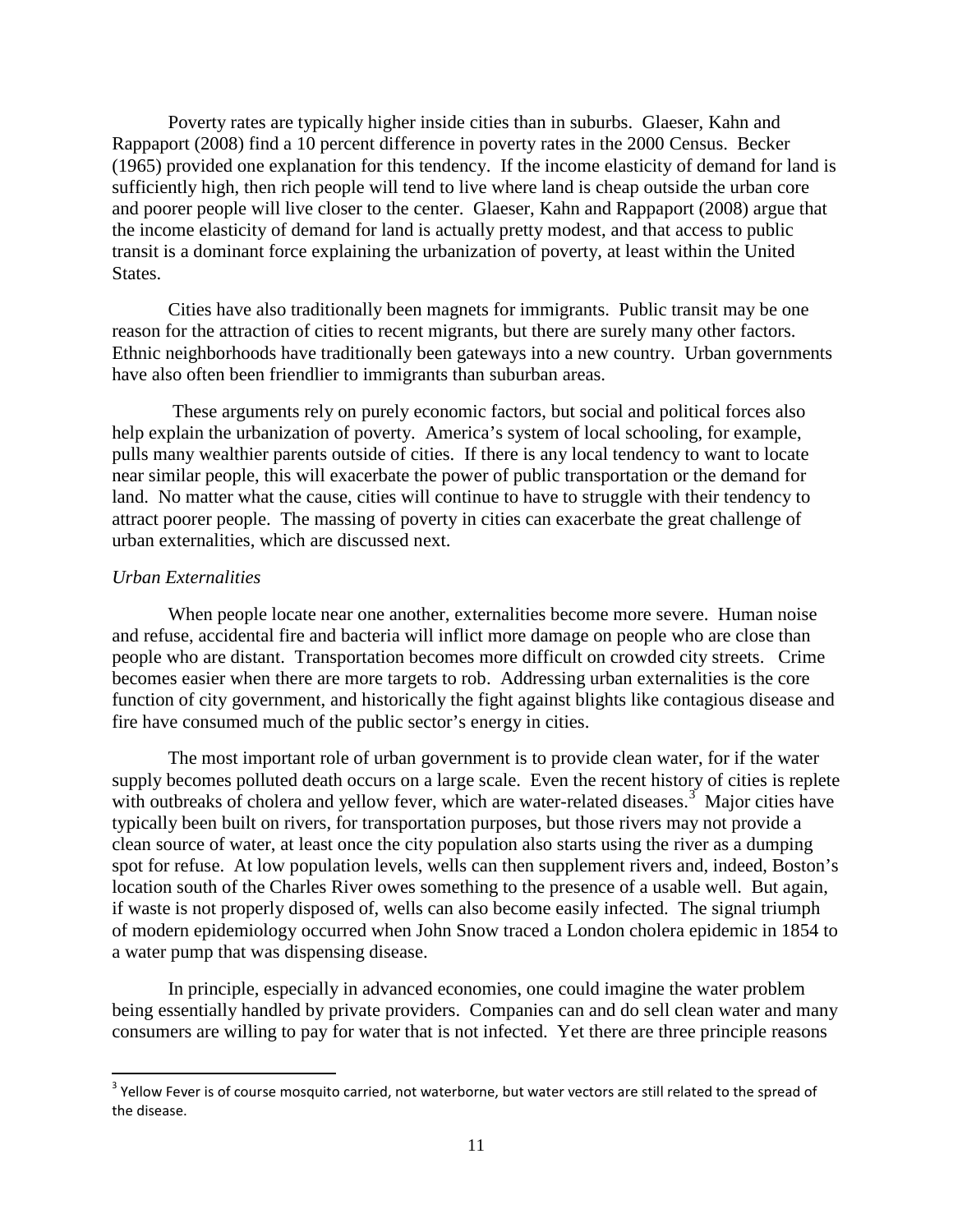Poverty rates are typically higher inside cities than in suburbs. Glaeser, Kahn and Rappaport (2008) find a 10 percent difference in poverty rates in the 2000 Census. Becker (1965) provided one explanation for this tendency. If the income elasticity of demand for land is sufficiently high, then rich people will tend to live where land is cheap outside the urban core and poorer people will live closer to the center. Glaeser, Kahn and Rappaport (2008) argue that the income elasticity of demand for land is actually pretty modest, and that access to public transit is a dominant force explaining the urbanization of poverty, at least within the United States.

Cities have also traditionally been magnets for immigrants. Public transit may be one reason for the attraction of cities to recent migrants, but there are surely many other factors. Ethnic neighborhoods have traditionally been gateways into a new country. Urban governments have also often been friendlier to immigrants than suburban areas.

These arguments rely on purely economic factors, but social and political forces also help explain the urbanization of poverty. America's system of local schooling, for example, pulls many wealthier parents outside of cities. If there is any local tendency to want to locate near similar people, this will exacerbate the power of public transportation or the demand for land. No matter what the cause, cities will continue to have to struggle with their tendency to attract poorer people. The massing of poverty in cities can exacerbate the great challenge of urban externalities, which are discussed next.

#### *Urban Externalities*

 $\overline{\phantom{a}}$ 

When people locate near one another, externalities become more severe. Human noise and refuse, accidental fire and bacteria will inflict more damage on people who are close than people who are distant. Transportation becomes more difficult on crowded city streets. Crime becomes easier when there are more targets to rob. Addressing urban externalities is the core function of city government, and historically the fight against blights like contagious disease and fire have consumed much of the public sector's energy in cities.

 The most important role of urban government is to provide clean water, for if the water supply becomes polluted death occurs on a large scale. Even the recent history of cities is replete with outbreaks of cholera and yellow fever, which are water-related diseases.<sup>[3](#page-11-0)</sup> Major cities have typically been built on rivers, for transportation purposes, but those rivers may not provide a clean source of water, at least once the city population also starts using the river as a dumping spot for refuse. At low population levels, wells can then supplement rivers and, indeed, Boston's location south of the Charles River owes something to the presence of a usable well. But again, if waste is not properly disposed of, wells can also become easily infected. The signal triumph of modern epidemiology occurred when John Snow traced a London cholera epidemic in 1854 to a water pump that was dispensing disease.

 In principle, especially in advanced economies, one could imagine the water problem being essentially handled by private providers. Companies can and do sell clean water and many consumers are willing to pay for water that is not infected. Yet there are three principle reasons

<span id="page-11-0"></span><sup>&</sup>lt;sup>3</sup> Yellow Fever is of course mosquito carried, not waterborne, but water vectors are still related to the spread of the disease.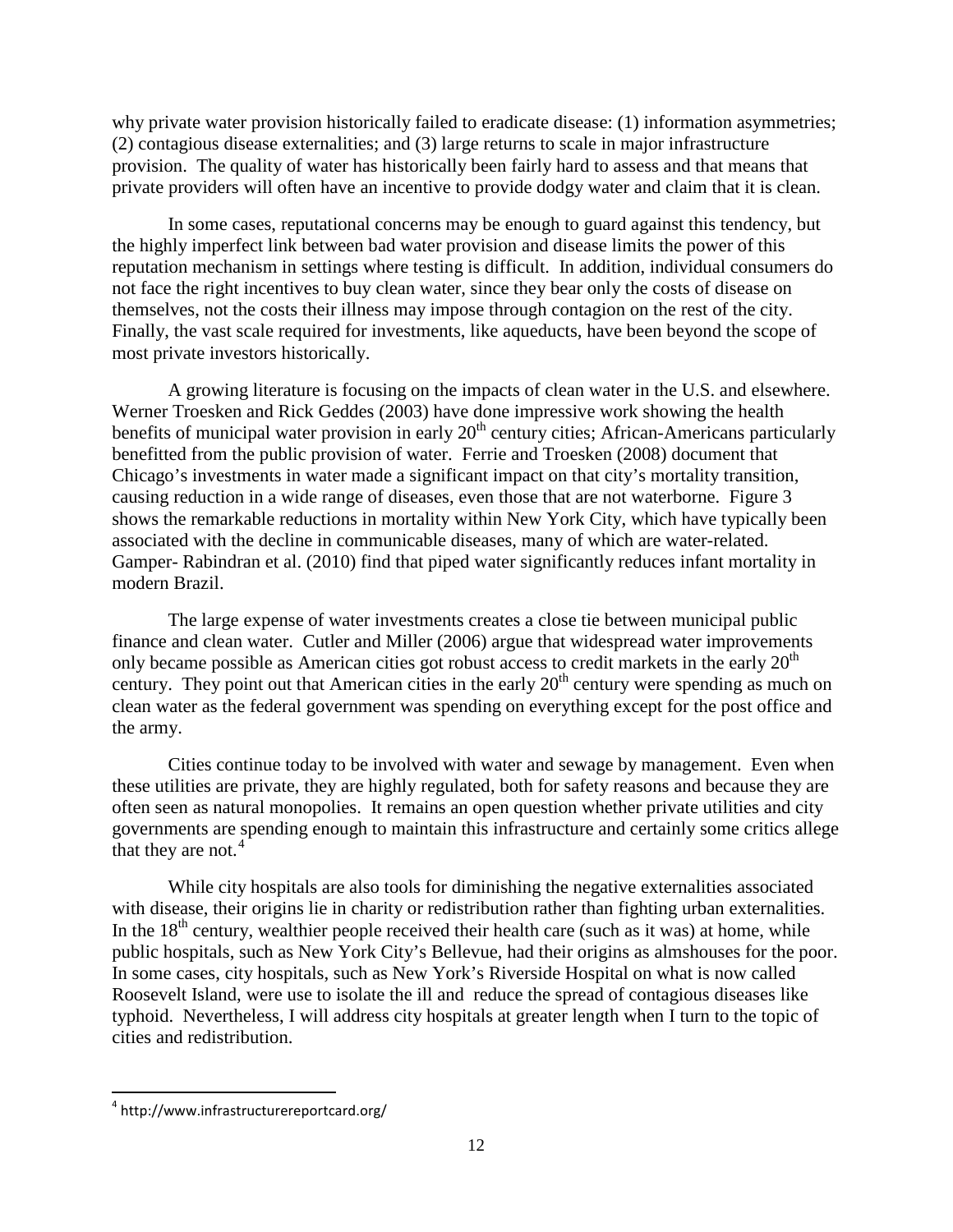why private water provision historically failed to eradicate disease: (1) information asymmetries; (2) contagious disease externalities; and (3) large returns to scale in major infrastructure provision. The quality of water has historically been fairly hard to assess and that means that private providers will often have an incentive to provide dodgy water and claim that it is clean.

In some cases, reputational concerns may be enough to guard against this tendency, but the highly imperfect link between bad water provision and disease limits the power of this reputation mechanism in settings where testing is difficult. In addition, individual consumers do not face the right incentives to buy clean water, since they bear only the costs of disease on themselves, not the costs their illness may impose through contagion on the rest of the city. Finally, the vast scale required for investments, like aqueducts, have been beyond the scope of most private investors historically.

 A growing literature is focusing on the impacts of clean water in the U.S. and elsewhere. Werner Troesken and Rick Geddes (2003) have done impressive work showing the health benefits of municipal water provision in early  $20<sup>th</sup>$  century cities; African-Americans particularly benefitted from the public provision of water. Ferrie and Troesken (2008) document that Chicago's investments in water made a significant impact on that city's mortality transition, causing reduction in a wide range of diseases, even those that are not waterborne. Figure 3 shows the remarkable reductions in mortality within New York City, which have typically been associated with the decline in communicable diseases, many of which are water-related. Gamper- Rabindran et al. (2010) find that piped water significantly reduces infant mortality in modern Brazil.

The large expense of water investments creates a close tie between municipal public finance and clean water. Cutler and Miller (2006) argue that widespread water improvements only became possible as American cities got robust access to credit markets in the early  $20<sup>th</sup>$ century. They point out that American cities in the early  $20<sup>th</sup>$  century were spending as much on clean water as the federal government was spending on everything except for the post office and the army.

 Cities continue today to be involved with water and sewage by management. Even when these utilities are private, they are highly regulated, both for safety reasons and because they are often seen as natural monopolies. It remains an open question whether private utilities and city governments are spending enough to maintain this infrastructure and certainly some critics allege that they are not. $4$ 

While city hospitals are also tools for diminishing the negative externalities associated with disease, their origins lie in charity or redistribution rather than fighting urban externalities. In the  $18<sup>th</sup>$  century, wealthier people received their health care (such as it was) at home, while public hospitals, such as New York City's Bellevue, had their origins as almshouses for the poor. In some cases, city hospitals, such as New York's Riverside Hospital on what is now called Roosevelt Island, were use to isolate the ill and reduce the spread of contagious diseases like typhoid. Nevertheless, I will address city hospitals at greater length when I turn to the topic of cities and redistribution.

l

<span id="page-12-0"></span><sup>4</sup> http://www.infrastructurereportcard.org/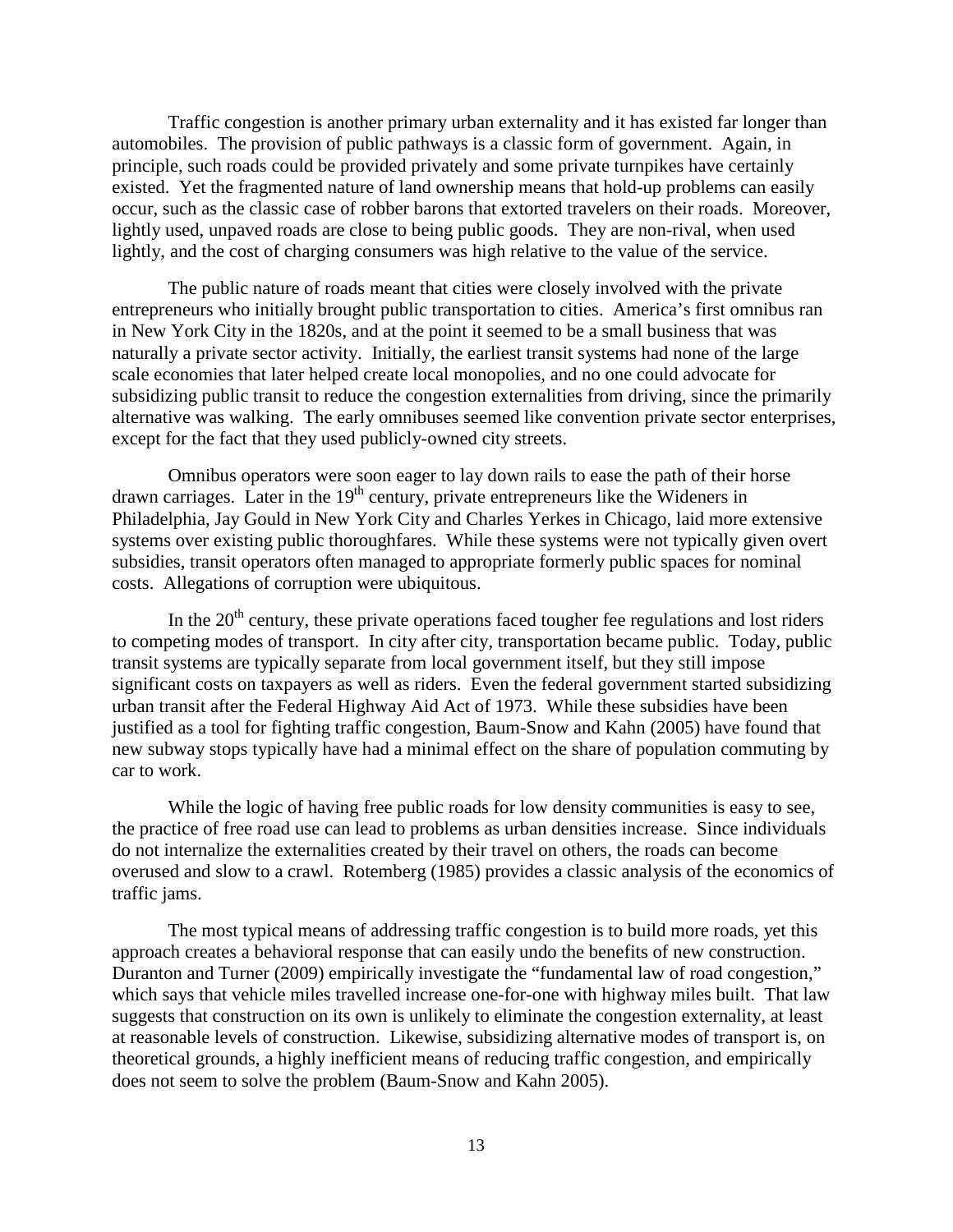Traffic congestion is another primary urban externality and it has existed far longer than automobiles. The provision of public pathways is a classic form of government. Again, in principle, such roads could be provided privately and some private turnpikes have certainly existed. Yet the fragmented nature of land ownership means that hold-up problems can easily occur, such as the classic case of robber barons that extorted travelers on their roads. Moreover, lightly used, unpaved roads are close to being public goods. They are non-rival, when used lightly, and the cost of charging consumers was high relative to the value of the service.

 The public nature of roads meant that cities were closely involved with the private entrepreneurs who initially brought public transportation to cities. America's first omnibus ran in New York City in the 1820s, and at the point it seemed to be a small business that was naturally a private sector activity. Initially, the earliest transit systems had none of the large scale economies that later helped create local monopolies, and no one could advocate for subsidizing public transit to reduce the congestion externalities from driving, since the primarily alternative was walking. The early omnibuses seemed like convention private sector enterprises, except for the fact that they used publicly-owned city streets.

Omnibus operators were soon eager to lay down rails to ease the path of their horse drawn carriages. Later in the  $19<sup>th</sup>$  century, private entrepreneurs like the Wideners in Philadelphia, Jay Gould in New York City and Charles Yerkes in Chicago, laid more extensive systems over existing public thoroughfares. While these systems were not typically given overt subsidies, transit operators often managed to appropriate formerly public spaces for nominal costs. Allegations of corruption were ubiquitous.

In the  $20<sup>th</sup>$  century, these private operations faced tougher fee regulations and lost riders to competing modes of transport. In city after city, transportation became public. Today, public transit systems are typically separate from local government itself, but they still impose significant costs on taxpayers as well as riders. Even the federal government started subsidizing urban transit after the Federal Highway Aid Act of 1973. While these subsidies have been justified as a tool for fighting traffic congestion, Baum-Snow and Kahn (2005) have found that new subway stops typically have had a minimal effect on the share of population commuting by car to work.

While the logic of having free public roads for low density communities is easy to see, the practice of free road use can lead to problems as urban densities increase. Since individuals do not internalize the externalities created by their travel on others, the roads can become overused and slow to a crawl. Rotemberg (1985) provides a classic analysis of the economics of traffic jams.

 The most typical means of addressing traffic congestion is to build more roads, yet this approach creates a behavioral response that can easily undo the benefits of new construction. Duranton and Turner (2009) empirically investigate the "fundamental law of road congestion," which says that vehicle miles travelled increase one-for-one with highway miles built. That law suggests that construction on its own is unlikely to eliminate the congestion externality, at least at reasonable levels of construction. Likewise, subsidizing alternative modes of transport is, on theoretical grounds, a highly inefficient means of reducing traffic congestion, and empirically does not seem to solve the problem (Baum-Snow and Kahn 2005).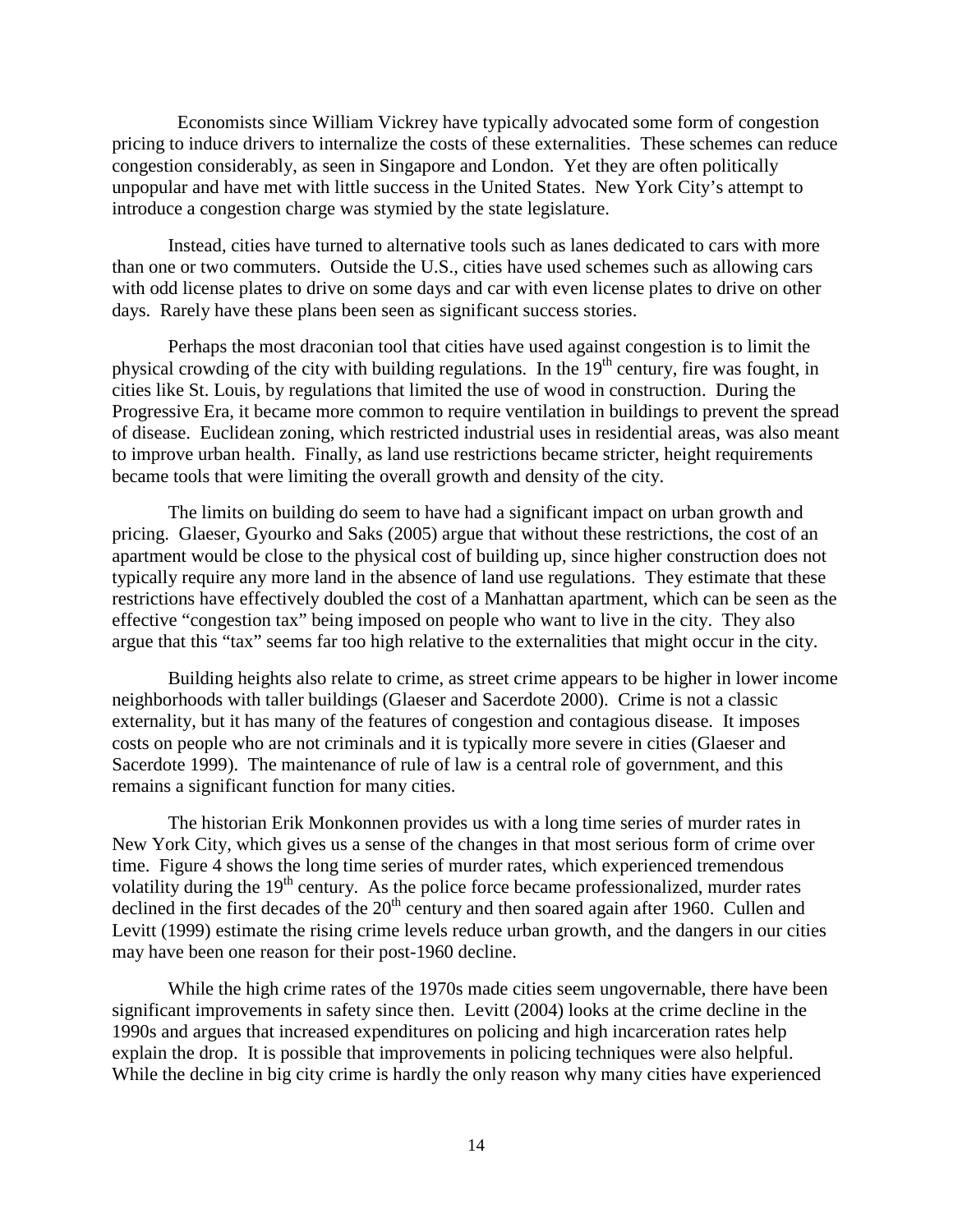Economists since William Vickrey have typically advocated some form of congestion pricing to induce drivers to internalize the costs of these externalities. These schemes can reduce congestion considerably, as seen in Singapore and London. Yet they are often politically unpopular and have met with little success in the United States. New York City's attempt to introduce a congestion charge was stymied by the state legislature.

 Instead, cities have turned to alternative tools such as lanes dedicated to cars with more than one or two commuters. Outside the U.S., cities have used schemes such as allowing cars with odd license plates to drive on some days and car with even license plates to drive on other days. Rarely have these plans been seen as significant success stories.

Perhaps the most draconian tool that cities have used against congestion is to limit the physical crowding of the city with building regulations. In the  $19<sup>th</sup>$  century, fire was fought, in cities like St. Louis, by regulations that limited the use of wood in construction. During the Progressive Era, it became more common to require ventilation in buildings to prevent the spread of disease. Euclidean zoning, which restricted industrial uses in residential areas, was also meant to improve urban health. Finally, as land use restrictions became stricter, height requirements became tools that were limiting the overall growth and density of the city.

 The limits on building do seem to have had a significant impact on urban growth and pricing. Glaeser, Gyourko and Saks (2005) argue that without these restrictions, the cost of an apartment would be close to the physical cost of building up, since higher construction does not typically require any more land in the absence of land use regulations. They estimate that these restrictions have effectively doubled the cost of a Manhattan apartment, which can be seen as the effective "congestion tax" being imposed on people who want to live in the city. They also argue that this "tax" seems far too high relative to the externalities that might occur in the city.

Building heights also relate to crime, as street crime appears to be higher in lower income neighborhoods with taller buildings (Glaeser and Sacerdote 2000). Crime is not a classic externality, but it has many of the features of congestion and contagious disease. It imposes costs on people who are not criminals and it is typically more severe in cities (Glaeser and Sacerdote 1999). The maintenance of rule of law is a central role of government, and this remains a significant function for many cities.

 The historian Erik Monkonnen provides us with a long time series of murder rates in New York City, which gives us a sense of the changes in that most serious form of crime over time. Figure 4 shows the long time series of murder rates, which experienced tremendous volatility during the  $19<sup>th</sup>$  century. As the police force became professionalized, murder rates declined in the first decades of the  $20<sup>th</sup>$  century and then soared again after 1960. Cullen and Levitt (1999) estimate the rising crime levels reduce urban growth, and the dangers in our cities may have been one reason for their post-1960 decline.

 While the high crime rates of the 1970s made cities seem ungovernable, there have been significant improvements in safety since then. Levitt (2004) looks at the crime decline in the 1990s and argues that increased expenditures on policing and high incarceration rates help explain the drop. It is possible that improvements in policing techniques were also helpful. While the decline in big city crime is hardly the only reason why many cities have experienced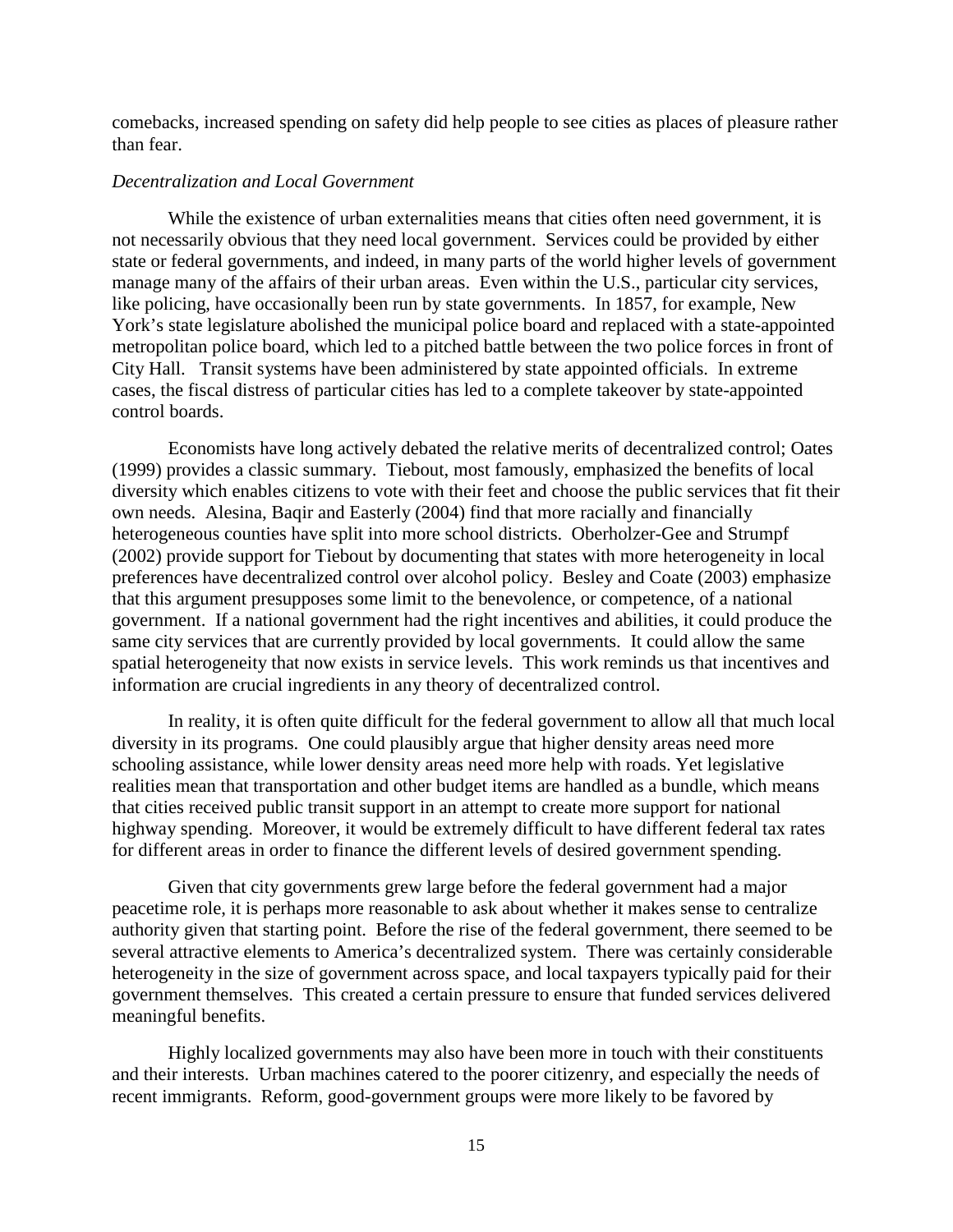comebacks, increased spending on safety did help people to see cities as places of pleasure rather than fear.

# *Decentralization and Local Government*

While the existence of urban externalities means that cities often need government, it is not necessarily obvious that they need local government. Services could be provided by either state or federal governments, and indeed, in many parts of the world higher levels of government manage many of the affairs of their urban areas. Even within the U.S., particular city services, like policing, have occasionally been run by state governments. In 1857, for example, New York's state legislature abolished the municipal police board and replaced with a state-appointed metropolitan police board, which led to a pitched battle between the two police forces in front of City Hall. Transit systems have been administered by state appointed officials. In extreme cases, the fiscal distress of particular cities has led to a complete takeover by state-appointed control boards.

Economists have long actively debated the relative merits of decentralized control; Oates (1999) provides a classic summary. Tiebout, most famously, emphasized the benefits of local diversity which enables citizens to vote with their feet and choose the public services that fit their own needs. Alesina, Baqir and Easterly (2004) find that more racially and financially heterogeneous counties have split into more school districts. Oberholzer-Gee and Strumpf (2002) provide support for Tiebout by documenting that states with more heterogeneity in local preferences have decentralized control over alcohol policy. Besley and Coate (2003) emphasize that this argument presupposes some limit to the benevolence, or competence, of a national government. If a national government had the right incentives and abilities, it could produce the same city services that are currently provided by local governments. It could allow the same spatial heterogeneity that now exists in service levels. This work reminds us that incentives and information are crucial ingredients in any theory of decentralized control.

In reality, it is often quite difficult for the federal government to allow all that much local diversity in its programs. One could plausibly argue that higher density areas need more schooling assistance, while lower density areas need more help with roads. Yet legislative realities mean that transportation and other budget items are handled as a bundle, which means that cities received public transit support in an attempt to create more support for national highway spending. Moreover, it would be extremely difficult to have different federal tax rates for different areas in order to finance the different levels of desired government spending.

Given that city governments grew large before the federal government had a major peacetime role, it is perhaps more reasonable to ask about whether it makes sense to centralize authority given that starting point. Before the rise of the federal government, there seemed to be several attractive elements to America's decentralized system. There was certainly considerable heterogeneity in the size of government across space, and local taxpayers typically paid for their government themselves. This created a certain pressure to ensure that funded services delivered meaningful benefits.

Highly localized governments may also have been more in touch with their constituents and their interests. Urban machines catered to the poorer citizenry, and especially the needs of recent immigrants. Reform, good-government groups were more likely to be favored by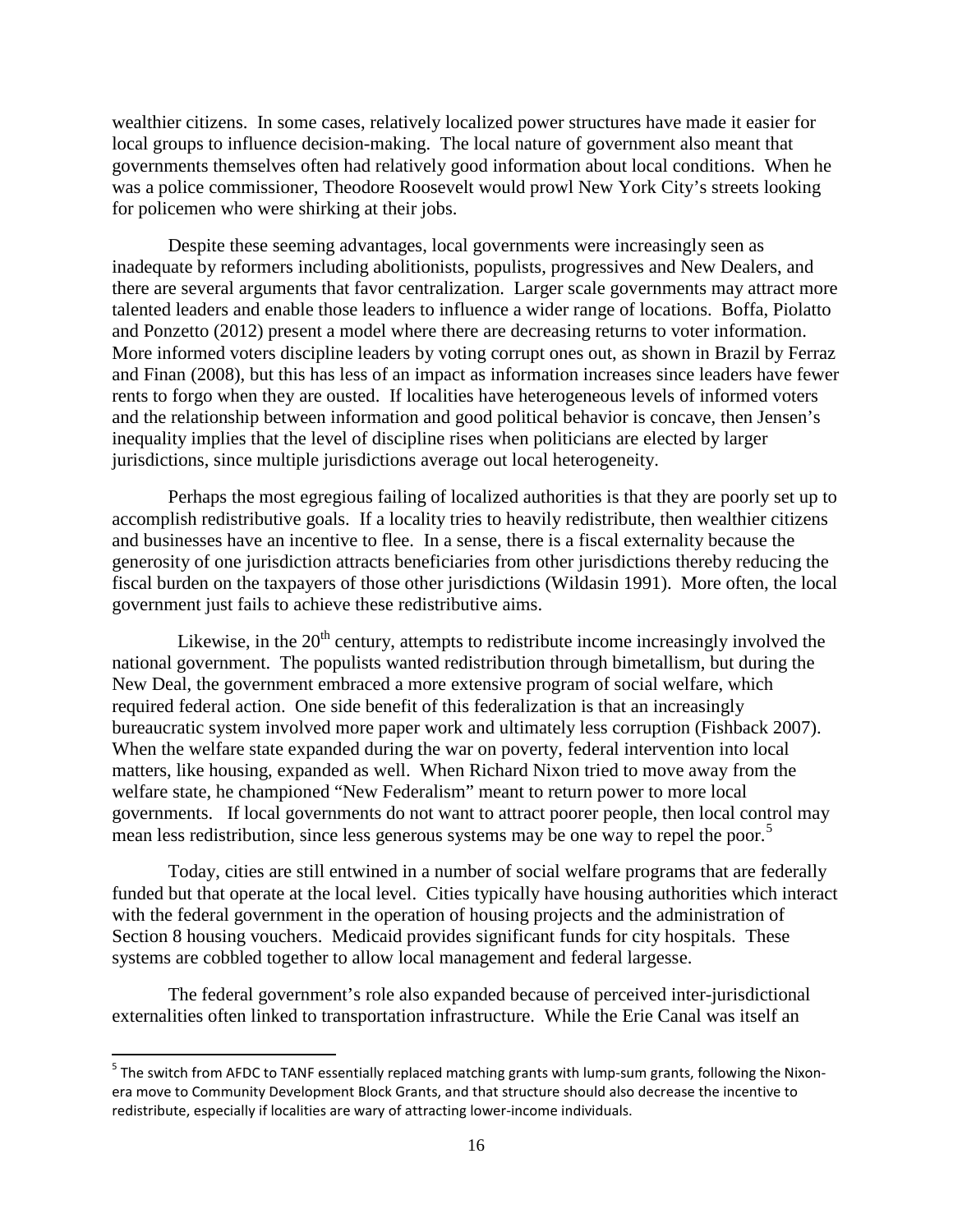wealthier citizens. In some cases, relatively localized power structures have made it easier for local groups to influence decision-making. The local nature of government also meant that governments themselves often had relatively good information about local conditions. When he was a police commissioner, Theodore Roosevelt would prowl New York City's streets looking for policemen who were shirking at their jobs.

Despite these seeming advantages, local governments were increasingly seen as inadequate by reformers including abolitionists, populists, progressives and New Dealers, and there are several arguments that favor centralization. Larger scale governments may attract more talented leaders and enable those leaders to influence a wider range of locations. Boffa, Piolatto and Ponzetto (2012) present a model where there are decreasing returns to voter information. More informed voters discipline leaders by voting corrupt ones out, as shown in Brazil by Ferraz and Finan (2008), but this has less of an impact as information increases since leaders have fewer rents to forgo when they are ousted. If localities have heterogeneous levels of informed voters and the relationship between information and good political behavior is concave, then Jensen's inequality implies that the level of discipline rises when politicians are elected by larger jurisdictions, since multiple jurisdictions average out local heterogeneity.

Perhaps the most egregious failing of localized authorities is that they are poorly set up to accomplish redistributive goals. If a locality tries to heavily redistribute, then wealthier citizens and businesses have an incentive to flee. In a sense, there is a fiscal externality because the generosity of one jurisdiction attracts beneficiaries from other jurisdictions thereby reducing the fiscal burden on the taxpayers of those other jurisdictions (Wildasin 1991). More often, the local government just fails to achieve these redistributive aims.

Likewise, in the  $20<sup>th</sup>$  century, attempts to redistribute income increasingly involved the national government. The populists wanted redistribution through bimetallism, but during the New Deal, the government embraced a more extensive program of social welfare, which required federal action. One side benefit of this federalization is that an increasingly bureaucratic system involved more paper work and ultimately less corruption (Fishback 2007). When the welfare state expanded during the war on poverty, federal intervention into local matters, like housing, expanded as well. When Richard Nixon tried to move away from the welfare state, he championed "New Federalism" meant to return power to more local governments. If local governments do not want to attract poorer people, then local control may mean less redistribution, since less generous systems may be one way to repel the poor.<sup>[5](#page-16-0)</sup>

Today, cities are still entwined in a number of social welfare programs that are federally funded but that operate at the local level. Cities typically have housing authorities which interact with the federal government in the operation of housing projects and the administration of Section 8 housing vouchers. Medicaid provides significant funds for city hospitals. These systems are cobbled together to allow local management and federal largesse.

The federal government's role also expanded because of perceived inter-jurisdictional externalities often linked to transportation infrastructure. While the Erie Canal was itself an

l

<span id="page-16-0"></span><sup>&</sup>lt;sup>5</sup> The switch from AFDC to TANF essentially replaced matching grants with lump-sum grants, following the Nixonera move to Community Development Block Grants, and that structure should also decrease the incentive to redistribute, especially if localities are wary of attracting lower-income individuals.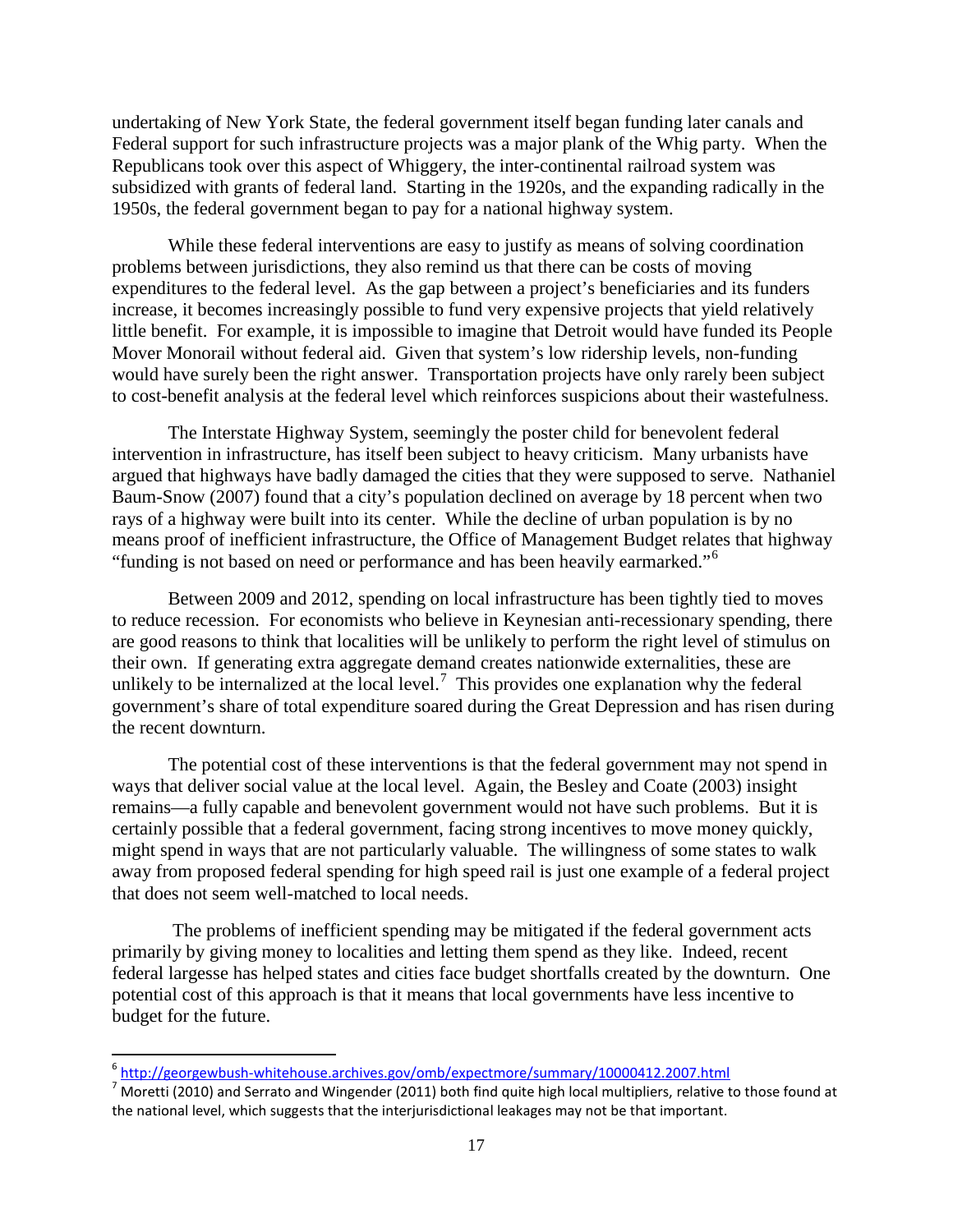undertaking of New York State, the federal government itself began funding later canals and Federal support for such infrastructure projects was a major plank of the Whig party. When the Republicans took over this aspect of Whiggery, the inter-continental railroad system was subsidized with grants of federal land. Starting in the 1920s, and the expanding radically in the 1950s, the federal government began to pay for a national highway system.

While these federal interventions are easy to justify as means of solving coordination problems between jurisdictions, they also remind us that there can be costs of moving expenditures to the federal level. As the gap between a project's beneficiaries and its funders increase, it becomes increasingly possible to fund very expensive projects that yield relatively little benefit. For example, it is impossible to imagine that Detroit would have funded its People Mover Monorail without federal aid. Given that system's low ridership levels, non-funding would have surely been the right answer. Transportation projects have only rarely been subject to cost-benefit analysis at the federal level which reinforces suspicions about their wastefulness.

The Interstate Highway System, seemingly the poster child for benevolent federal intervention in infrastructure, has itself been subject to heavy criticism. Many urbanists have argued that highways have badly damaged the cities that they were supposed to serve. Nathaniel Baum-Snow (2007) found that a city's population declined on average by 18 percent when two rays of a highway were built into its center. While the decline of urban population is by no means proof of inefficient infrastructure, the Office of Management Budget relates that highway "funding is not based on need or performance and has been heavily earmarked."<sup>[6](#page-17-0)</sup>

Between 2009 and 2012, spending on local infrastructure has been tightly tied to moves to reduce recession. For economists who believe in Keynesian anti-recessionary spending, there are good reasons to think that localities will be unlikely to perform the right level of stimulus on their own. If generating extra aggregate demand creates nationwide externalities, these are unlikely to be internalized at the local level.<sup>[7](#page-17-1)</sup> This provides one explanation why the federal government's share of total expenditure soared during the Great Depression and has risen during the recent downturn.

The potential cost of these interventions is that the federal government may not spend in ways that deliver social value at the local level. Again, the Besley and Coate (2003) insight remains—a fully capable and benevolent government would not have such problems. But it is certainly possible that a federal government, facing strong incentives to move money quickly, might spend in ways that are not particularly valuable. The willingness of some states to walk away from proposed federal spending for high speed rail is just one example of a federal project that does not seem well-matched to local needs.

 The problems of inefficient spending may be mitigated if the federal government acts primarily by giving money to localities and letting them spend as they like. Indeed, recent federal largesse has helped states and cities face budget shortfalls created by the downturn. One potential cost of this approach is that it means that local governments have less incentive to budget for the future.

<span id="page-17-0"></span><sup>&</sup>lt;sup>6</sup> http://georgewbush-whitehouse.archives.gov/omb/expectmore/summary/10000412.2007.html

<span id="page-17-1"></span> $\frac{1}{2}$  Moretti (2010) and Serrato and Wingender (2011) both find quite high local multipliers, relative to those found at the national level, which suggests that the interjurisdictional leakages may not be that important.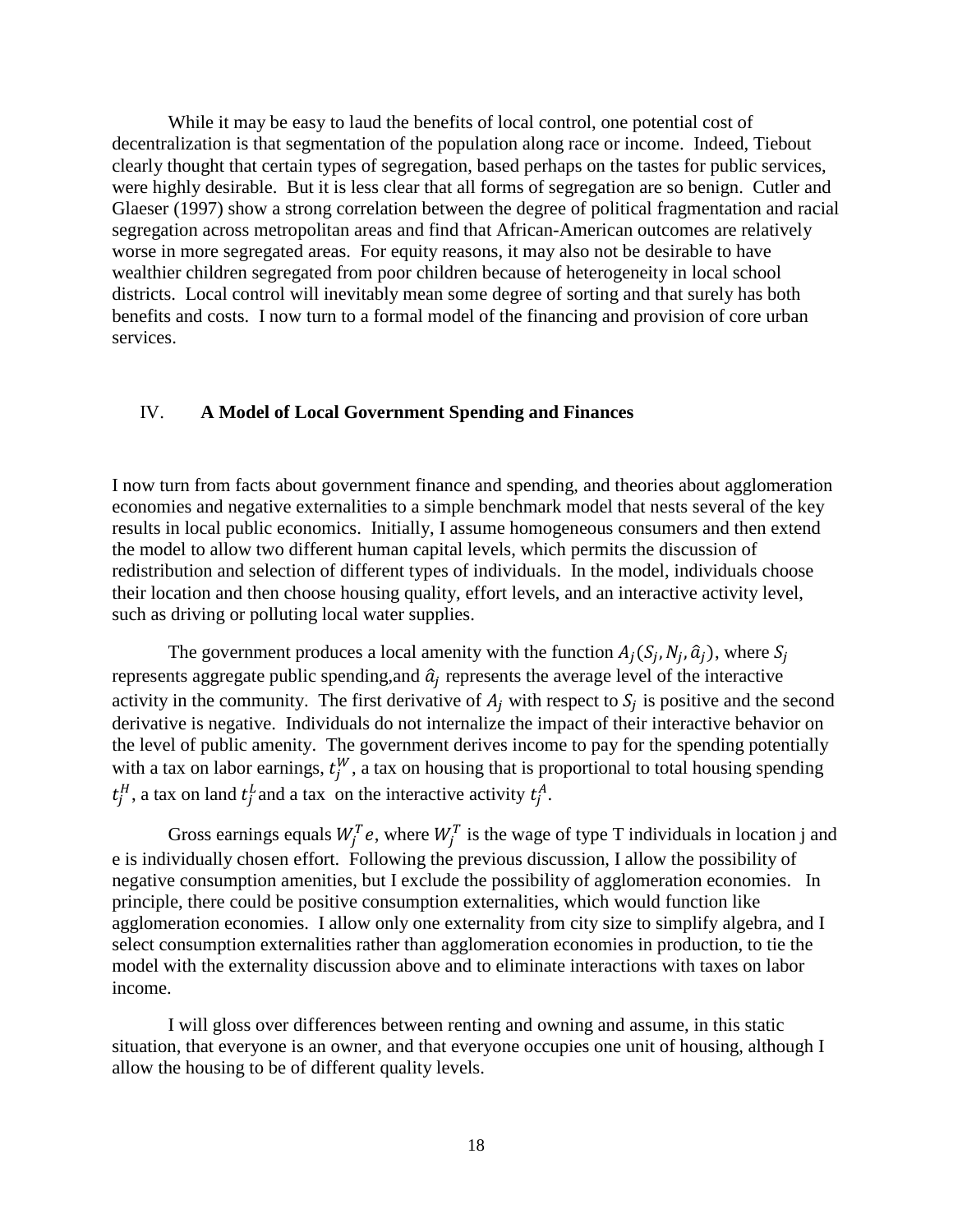While it may be easy to laud the benefits of local control, one potential cost of decentralization is that segmentation of the population along race or income. Indeed, Tiebout clearly thought that certain types of segregation, based perhaps on the tastes for public services, were highly desirable. But it is less clear that all forms of segregation are so benign. Cutler and Glaeser (1997) show a strong correlation between the degree of political fragmentation and racial segregation across metropolitan areas and find that African-American outcomes are relatively worse in more segregated areas. For equity reasons, it may also not be desirable to have wealthier children segregated from poor children because of heterogeneity in local school districts. Local control will inevitably mean some degree of sorting and that surely has both benefits and costs. I now turn to a formal model of the financing and provision of core urban services.

# IV. **A Model of Local Government Spending and Finances**

I now turn from facts about government finance and spending, and theories about agglomeration economies and negative externalities to a simple benchmark model that nests several of the key results in local public economics. Initially, I assume homogeneous consumers and then extend the model to allow two different human capital levels, which permits the discussion of redistribution and selection of different types of individuals. In the model, individuals choose their location and then choose housing quality, effort levels, and an interactive activity level, such as driving or polluting local water supplies.

The government produces a local amenity with the function  $A_i(S_i, N_i, \hat{a}_i)$ , where  $S_i$ represents aggregate public spending, and  $\hat{a}_i$  represents the average level of the interactive activity in the community. The first derivative of  $A_i$  with respect to  $S_i$  is positive and the second derivative is negative. Individuals do not internalize the impact of their interactive behavior on the level of public amenity. The government derives income to pay for the spending potentially with a tax on labor earnings,  $t_j^W$ , a tax on housing that is proportional to total housing spending  $t_j^H$ , a tax on land  $t_j^L$  and a tax on the interactive activity  $t_j^A$ .

Gross earnings equals  $W_j^T e$ , where  $W_j^T$  is the wage of type T individuals in location j and e is individually chosen effort. Following the previous discussion, I allow the possibility of negative consumption amenities, but I exclude the possibility of agglomeration economies. In principle, there could be positive consumption externalities, which would function like agglomeration economies. I allow only one externality from city size to simplify algebra, and I select consumption externalities rather than agglomeration economies in production, to tie the model with the externality discussion above and to eliminate interactions with taxes on labor income.

I will gloss over differences between renting and owning and assume, in this static situation, that everyone is an owner, and that everyone occupies one unit of housing, although I allow the housing to be of different quality levels.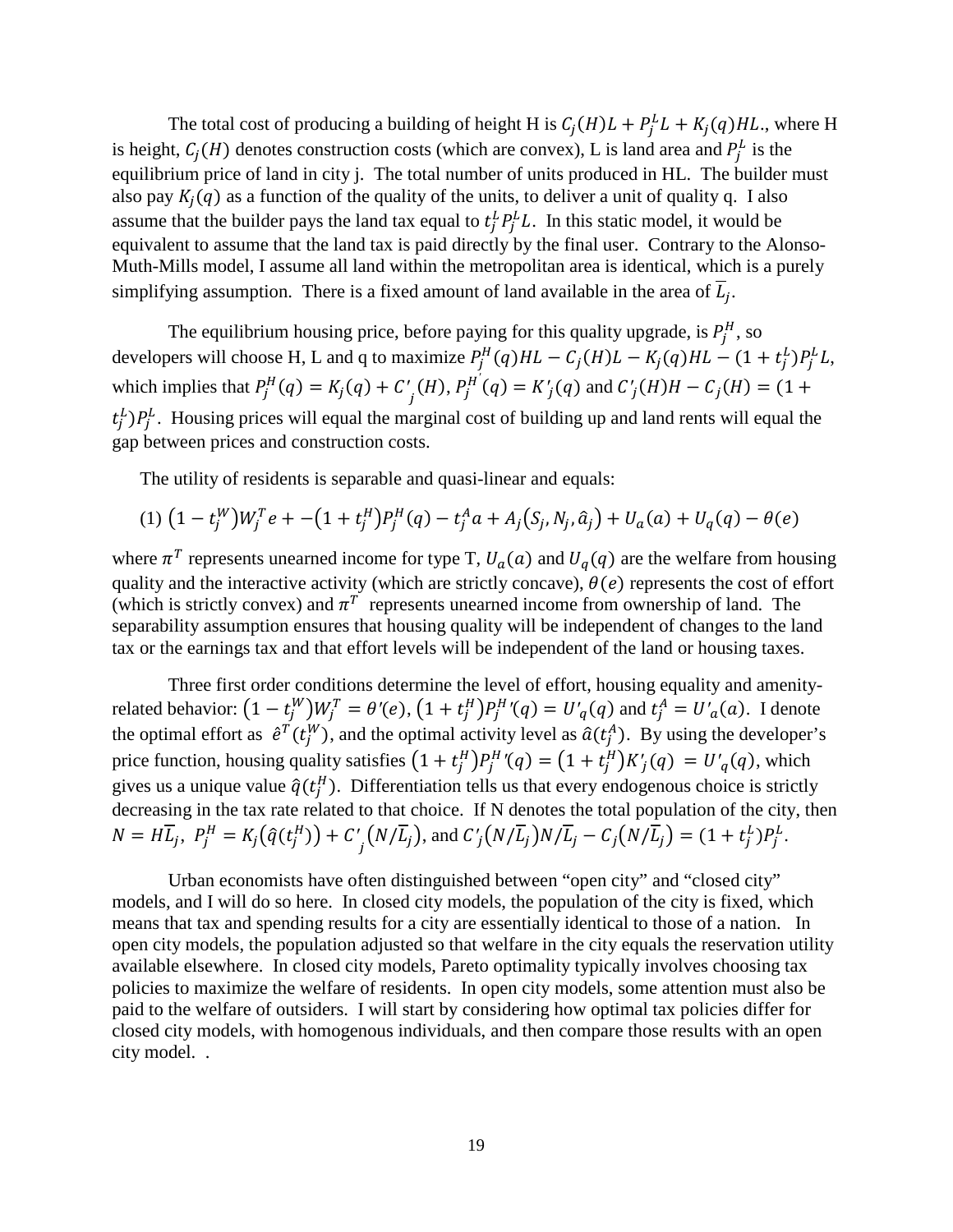The total cost of producing a building of height H is  $C_j(H)L + P_j^L L + K_j(q)HL$ , where H is height,  $C_j(H)$  denotes construction costs (which are convex), L is land area and  $P_j^L$  is the equilibrium price of land in city j. The total number of units produced in HL. The builder must also pay  $K_i(q)$  as a function of the quality of the units, to deliver a unit of quality q. I also assume that the builder pays the land tax equal to  $t_j^L P_j^L L$ . In this static model, it would be equivalent to assume that the land tax is paid directly by the final user. Contrary to the Alonso-Muth-Mills model, I assume all land within the metropolitan area is identical, which is a purely simplifying assumption. There is a fixed amount of land available in the area of  $\overline{L_i}$ .

The equilibrium housing price, before paying for this quality upgrade, is  $P_j^H$ , so developers will choose H, L and q to maximize  $P_j^H(q)HL - C_j(H)L - K_j(q)HL - (1 + t_j^L)P_j^L L$ , which implies that  $P_j^H(q) = K_j(q) + C'_{j}(H), P_j^{H'}(q) = K'_{j}(q)$  and  $C'_{j}(H)H - C_{j}(H) = (1 +$  $(t_j^L)P_j^L$ . Housing prices will equal the marginal cost of building up and land rents will equal the gap between prices and construction costs.

The utility of residents is separable and quasi-linear and equals:

(1) 
$$
(1-t_j^W)W_j^Te + -(1+t_j^H)P_j^H(q) - t_j^A a + A_j(S_j, N_j, \hat{a}_j) + U_a(a) + U_q(q) - \theta(e)
$$

where  $\pi^T$  represents unearned income for type T,  $U_a(a)$  and  $U_a(q)$  are the welfare from housing quality and the interactive activity (which are strictly concave),  $\theta(e)$  represents the cost of effort (which is strictly convex) and  $\pi^{T}$  represents unearned income from ownership of land. The separability assumption ensures that housing quality will be independent of changes to the land tax or the earnings tax and that effort levels will be independent of the land or housing taxes.

Three first order conditions determine the level of effort, housing equality and amenityrelated behavior:  $(1 - t_j^W)W_j^T = \theta'(e)$ ,  $(1 + t_j^H)P_j^H'(q) = U'_q(q)$  and  $t_j^A = U'_a(a)$ . I denote the optimal effort as  $\hat{e}^T(t_j^W)$ , and the optimal activity level as  $\hat{a}(t_j^A)$ . By using the developer's price function, housing quality satisfies  $(1 + t_j^H)P_j^H' (q) = (1 + t_j^H)K'_j (q) = U'_q (q)$ , which gives us a unique value  $\hat{q}(t_j^H)$ . Differentiation tells us that every endogenous choice is strictly decreasing in the tax rate related to that choice. If N denotes the total population of the city, then  $N = HL_j, P_j^H = K_j(\hat{q}(t_j^H)) + C'_{j}(N/L_j),$  and  $C'_{j}(N/L_j)N/L_j - C_{j}(N/L_j) = (1 + t_j^L)P_j^L$ .

Urban economists have often distinguished between "open city" and "closed city" models, and I will do so here. In closed city models, the population of the city is fixed, which means that tax and spending results for a city are essentially identical to those of a nation. In open city models, the population adjusted so that welfare in the city equals the reservation utility available elsewhere. In closed city models, Pareto optimality typically involves choosing tax policies to maximize the welfare of residents. In open city models, some attention must also be paid to the welfare of outsiders. I will start by considering how optimal tax policies differ for closed city models, with homogenous individuals, and then compare those results with an open city model. .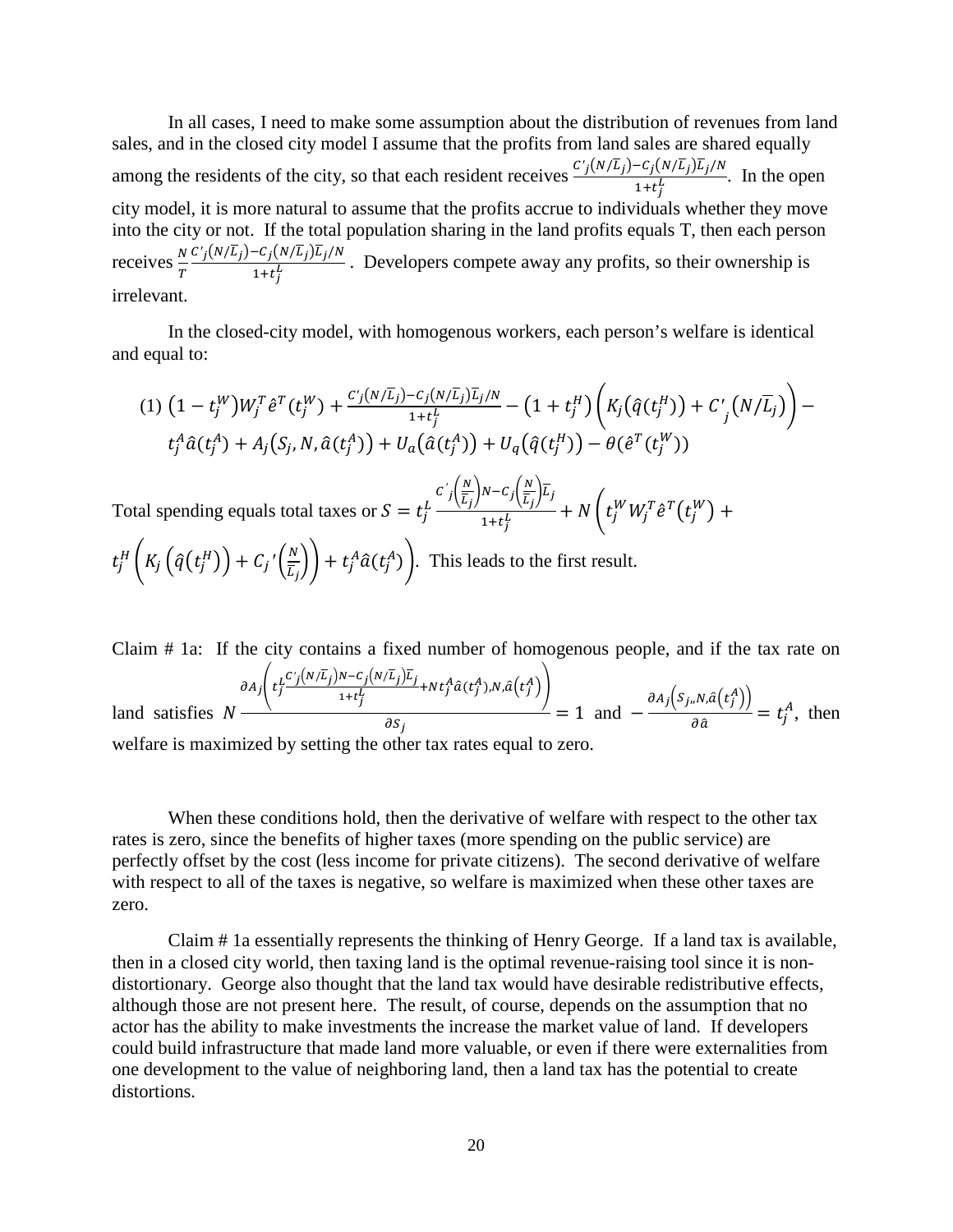In all cases, I need to make some assumption about the distribution of revenues from land sales, and in the closed city model I assume that the profits from land sales are shared equally among the residents of the city, so that each resident receives  $\frac{C'_{j}(N/L_j)-C_{j}(N/L_j)L_j/N}{1+\epsilon}$  $\frac{C_1(x/2)}{1+t^L_j}$ . In the open city model, it is more natural to assume that the profits accrue to individuals whether they move into the city or not. If the total population sharing in the land profits equals T, then each person receives  $\frac{N}{T}$  $C'_{j}(N/L_j)-C_{j}(N/L_j)L_j/N$  $\frac{C_1(x_1, y_1, y_2, y_3, z_4)}{1+t_j^L}$ . Developers compete away any profits, so their ownership is irrelevant.

In the closed-city model, with homogenous workers, each person's welfare is identical and equal to:

$$
(1) \left(1 - t_j^W\right) W_j^T \hat{e}^T(t_j^W) + \frac{c_j(N/\overline{L}_j) - c_j(N/\overline{L}_j)\overline{L}_j/N}{1 + t_j^L} - \left(1 + t_j^H\right) \left(K_j(\hat{q}(t_j^H)) + C_j(N/\overline{L}_j)\right) - t_j^A \hat{a}(t_j^A) + A_j(S_j, N, \hat{a}(t_j^A)) + U_a(\hat{a}(t_j^A)) + U_q(\hat{q}(t_j^H)) - \theta(\hat{e}^T(t_j^W))
$$
  
Total spending equals total taxes or  $S = t_j^L \frac{c_j\left(\frac{N}{L_j}\right)N - c_j\left(\frac{N}{L_j}\right)\overline{L}_j}{1 + t_j^L} + N\left(t_j^W W_j^T \hat{e}^T(t_j^W) + t_j^H\left(K_j\left(\hat{q}(t_j^H)\right) + C_j'\left(\frac{N}{L_j}\right)\right) + t_j^A \hat{a}(t_j^A)\right).$  This leads to the first result.

Claim # 1a: If the city contains a fixed number of homogenous people, and if the tax rate on land satisfies N  $\partial A_j \left( t_j^{L} \frac{C'_j (N/L_j)N - C_j (N/L_j) L_j}{1 + t^L} \right)$  $\left( \begin{matrix} 1+t_j^L \\ 1+t_j^L \end{matrix} \right)$  + Nt<sup>A</sup> $\hat{a}(t_j^A)$ , N,  $\hat{a}(t_j^A)$  $\frac{\partial s_j}{\partial s_j}$  = 1 and  $-\frac{\partial A_j (s_{j,n},\hat{a}(t_j))}{\partial \hat{a}}$  $\frac{\partial}{\partial \hat{a}}(t) = t_j^A$ , then welfare is maximized by setting the other tax rates equal to zero.

When these conditions hold, then the derivative of welfare with respect to the other tax rates is zero, since the benefits of higher taxes (more spending on the public service) are perfectly offset by the cost (less income for private citizens). The second derivative of welfare with respect to all of the taxes is negative, so welfare is maximized when these other taxes are zero.

Claim # 1a essentially represents the thinking of Henry George. If a land tax is available, then in a closed city world, then taxing land is the optimal revenue-raising tool since it is nondistortionary. George also thought that the land tax would have desirable redistributive effects, although those are not present here. The result, of course, depends on the assumption that no actor has the ability to make investments the increase the market value of land. If developers could build infrastructure that made land more valuable, or even if there were externalities from one development to the value of neighboring land, then a land tax has the potential to create distortions.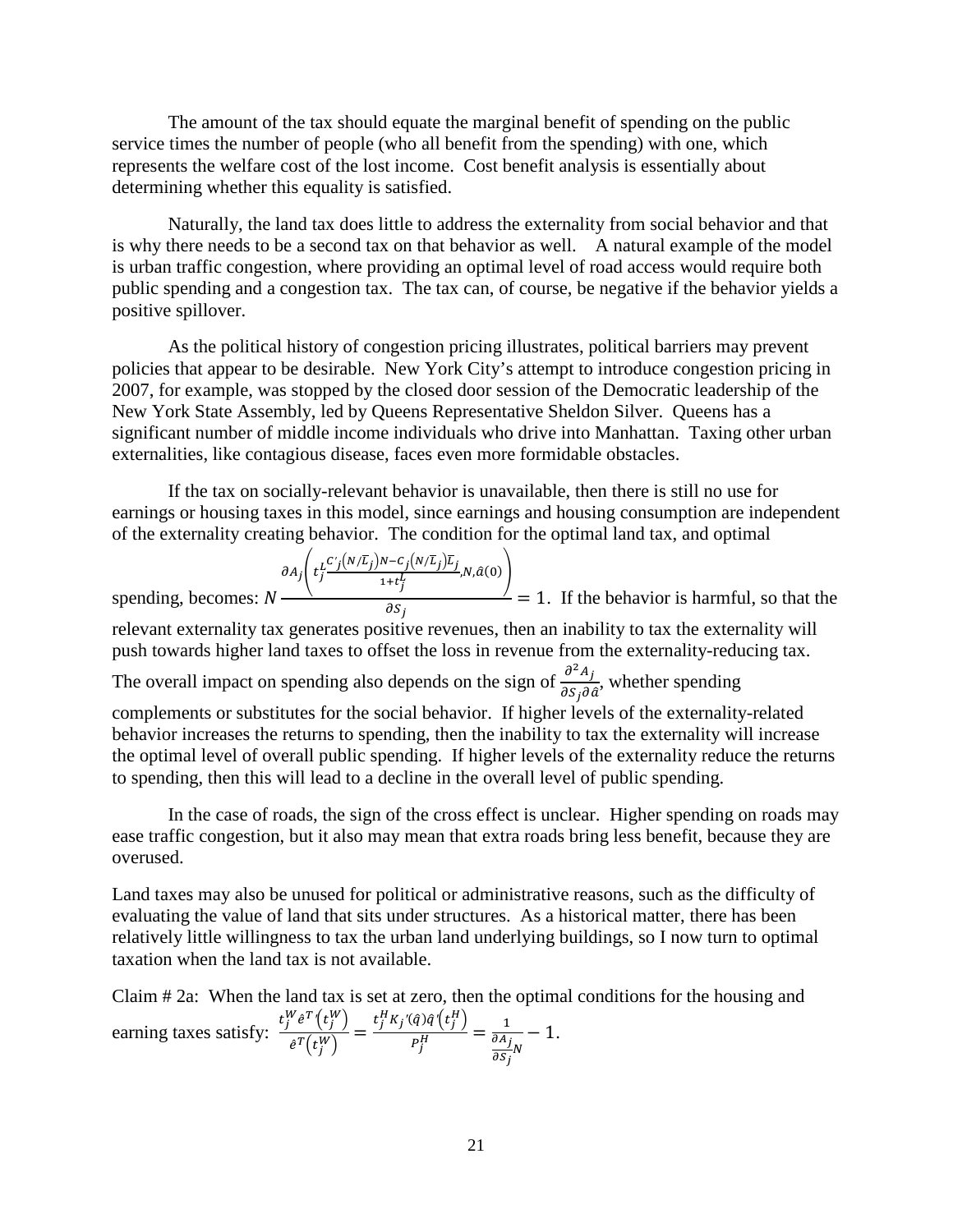The amount of the tax should equate the marginal benefit of spending on the public service times the number of people (who all benefit from the spending) with one, which represents the welfare cost of the lost income. Cost benefit analysis is essentially about determining whether this equality is satisfied.

Naturally, the land tax does little to address the externality from social behavior and that is why there needs to be a second tax on that behavior as well. A natural example of the model is urban traffic congestion, where providing an optimal level of road access would require both public spending and a congestion tax. The tax can, of course, be negative if the behavior yields a positive spillover.

As the political history of congestion pricing illustrates, political barriers may prevent policies that appear to be desirable. New York City's attempt to introduce congestion pricing in 2007, for example, was stopped by the closed door session of the Democratic leadership of the New York State Assembly, led by Queens Representative Sheldon Silver. Queens has a significant number of middle income individuals who drive into Manhattan. Taxing other urban externalities, like contagious disease, faces even more formidable obstacles.

If the tax on socially-relevant behavior is unavailable, then there is still no use for earnings or housing taxes in this model, since earnings and housing consumption are independent of the externality creating behavior. The condition for the optimal land tax, and optimal

$$
\partial A_j \left( t_j^L \frac{C_j \left( N/\overline{L}_j \right) N - C_j \left( N/\overline{L}_j \right) \overline{L}_j}{1 + t_j^L} N, \hat{a}(0) \right)
$$

spending, becomes: N  $\frac{1}{\partial s_j}$  = 1. If the behavior is harmful, so that the relevant externality tax generates positive revenues, then an inability to tax the externality will push towards higher land taxes to offset the loss in revenue from the externality-reducing tax. The overall impact on spending also depends on the sign of  $\frac{\partial^2 A_j}{\partial s}$ os<sub>j</sub>oa , whether spending

complements or substitutes for the social behavior. If higher levels of the externality-related behavior increases the returns to spending, then the inability to tax the externality will increase the optimal level of overall public spending. If higher levels of the externality reduce the returns to spending, then this will lead to a decline in the overall level of public spending.

In the case of roads, the sign of the cross effect is unclear. Higher spending on roads may ease traffic congestion, but it also may mean that extra roads bring less benefit, because they are overused.

Land taxes may also be unused for political or administrative reasons, such as the difficulty of evaluating the value of land that sits under structures. As a historical matter, there has been relatively little willingness to tax the urban land underlying buildings, so I now turn to optimal taxation when the land tax is not available.

Claim # 2a: When the land tax is set at zero, then the optimal conditions for the housing and earning taxes satisfy:  $\frac{t_j^W \hat{e}^T'(t_j^W)}{2(T \cdot W)}$  $\frac{d^{\mathit{r}}\hat{e}^{\mathit{T}}(t_j^W)}{d^{\mathit{r}}(t_j^W)} = \frac{t_j^H K_j(\widehat{q}) \widehat{q}'(t_j^H)}{P_j^H}$  $\frac{q\eta q\left(t_{j}\right)}{P_{j}^{H}} = \frac{1}{\frac{\partial A_{j}}{\partial S_{j}}}$  $\frac{\partial}{\partial s_j}N$ − 1.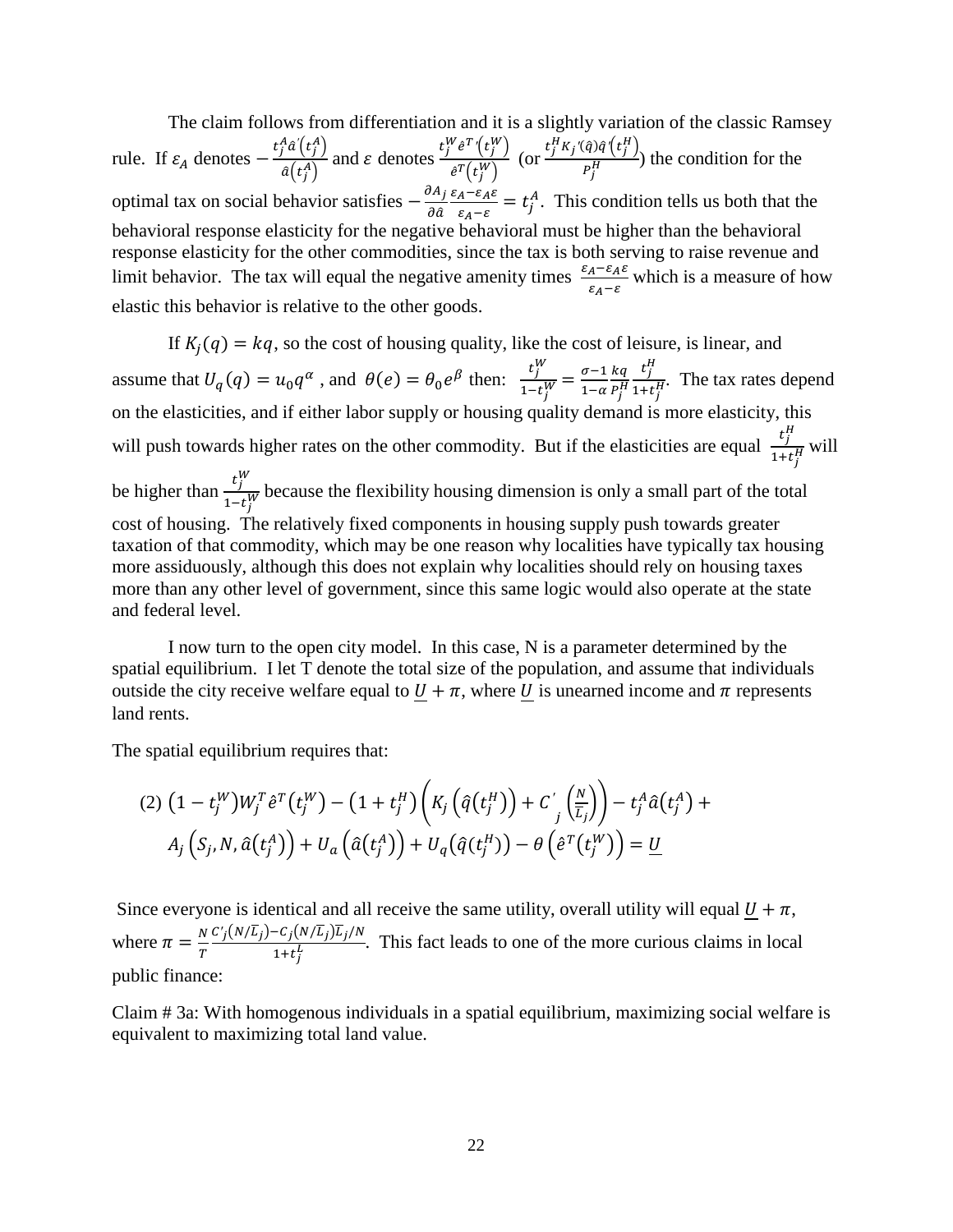The claim follows from differentiation and it is a slightly variation of the classic Ramsey rule. If  $\varepsilon_A$  denotes  $-\frac{t_j^A \hat{a}'(t_j^A)}{\hat{a}(t_j^A)}$  $\frac{\partial^4 a'(t^A_j)}{\partial(t^A_j)}$  and  $\varepsilon$  denotes  $\frac{t^W_j e^T'(t^W_j)}{\partial e^T(t^W_j)}$  $\frac{\partial^{\alpha} \theta^{T}(t_{j}^{W})}{\partial t^{T}(t_{j}^{W})}$  (or  $\frac{t_{j}^{H} K_{j}(\hat{q}) \hat{q}'(t_{j}^{H})}{P_{j}^{H}}$  $\frac{P_1}{P_j^H}$ ) the condition for the optimal tax on social behavior satisfies  $-\frac{\partial A_j}{\partial \hat{a}}$  $\frac{\varepsilon_A - \varepsilon_A \varepsilon}{\varepsilon_A - \varepsilon} = t_j^A$ . This condition tells us both that the behavioral response elasticity for the negative behavioral must be higher than the behavioral response elasticity for the other commodities, since the tax is both serving to raise revenue and limit behavior. The tax will equal the negative amenity times  $\frac{\varepsilon_A - \varepsilon_A \varepsilon_B}{\varepsilon_A - \varepsilon_B}$  which is a measure of how elastic this behavior is relative to the other goods.

If  $K_i(q) = kq$ , so the cost of housing quality, like the cost of leisure, is linear, and assume that  $U_q(q) = u_0 q^{\alpha}$ , and  $\theta(e) = \theta_0 e^{\beta}$  then:  $\frac{t_j^W}{1-t^W}$  $\frac{t_j}{1-t_j^W} = \frac{\sigma - 1}{1 - \alpha}$ <u>kq</u>  $P^H_j$  $t^H_j$  $\frac{y}{1+t_j^H}$ . The tax rates depend on the elasticities, and if either labor supply or housing quality demand is more elasticity, this will push towards higher rates on the other commodity. But if the elasticities are equal  $\frac{t_i^H}{t}$  $\frac{y}{1+t_j^H}$  will be higher than  $\frac{t_j^W}{1-t_j}$  $\frac{f}{1-t}$  because the flexibility housing dimension is only a small part of the total cost of housing. The relatively fixed components in housing supply push towards greater taxation of that commodity, which may be one reason why localities have typically tax housing more assiduously, although this does not explain why localities should rely on housing taxes more than any other level of government, since this same logic would also operate at the state and federal level.

I now turn to the open city model. In this case, N is a parameter determined by the spatial equilibrium. I let T denote the total size of the population, and assume that individuals outside the city receive welfare equal to  $U + \pi$ , where U is unearned income and  $\pi$  represents land rents.

The spatial equilibrium requires that:

$$
(2) \left(1-t_j^W\right)W_j^T\hat{e}^T\left(t_j^W\right) - \left(1+t_j^H\right)\left(K_j\left(\hat{q}\left(t_j^H\right)\right) + C\left(\frac{N}{L_j}\right)\right) - t_j^A\hat{a}\left(t_j^A\right) + A_j\left(S_j, N, \hat{a}\left(t_j^A\right)\right) + U_a\left(\hat{a}\left(t_j^A\right)\right) + U_q\left(\hat{q}\left(t_j^H\right)\right) - \theta\left(\hat{e}^T\left(t_j^W\right)\right) = \underline{U}
$$

Since everyone is identical and all receive the same utility, overall utility will equal  $U + \pi$ , where  $\pi = \frac{N}{T}$  $C'_{j}(N/L_{j})-C_{j}(N/L_{j})L_{j}/N$ 1+ . This fact leads to one of the more curious claims in local public finance:

Claim # 3a: With homogenous individuals in a spatial equilibrium, maximizing social welfare is equivalent to maximizing total land value.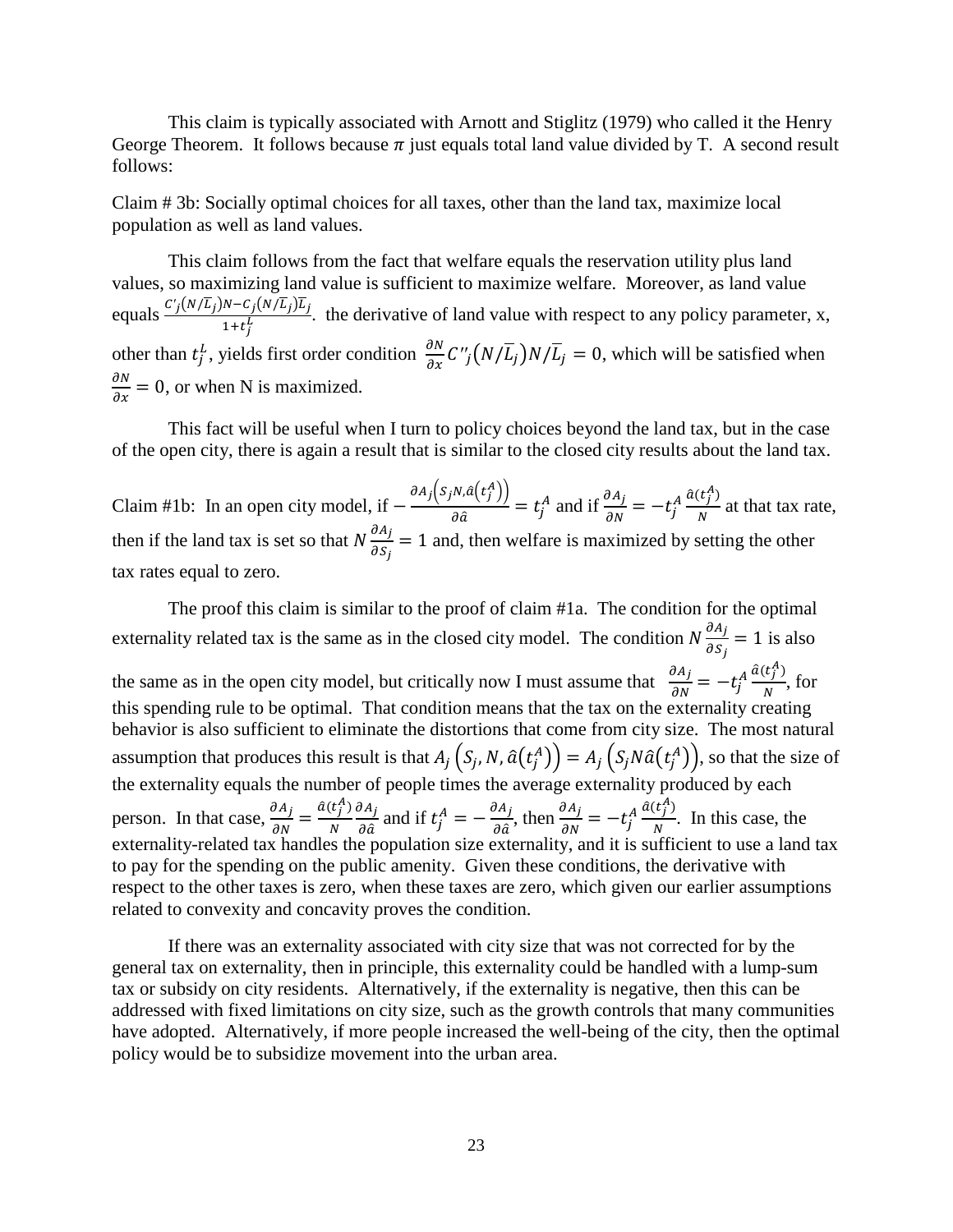This claim is typically associated with Arnott and Stiglitz (1979) who called it the Henry George Theorem. It follows because  $\pi$  just equals total land value divided by T. A second result follows:

Claim # 3b: Socially optimal choices for all taxes, other than the land tax, maximize local population as well as land values.

This claim follows from the fact that welfare equals the reservation utility plus land values, so maximizing land value is sufficient to maximize welfare. Moreover, as land value equals  $\frac{C'_{j}(N/L_j)N - C_{j}(N/L_j)L_j}{1 + t^2}$  $\frac{1+t_j^L}{1+t_j^L}$  the derivative of land value with respect to any policy parameter, x, other than  $t_j^L$ , yields first order condition  $\frac{\partial N}{\partial x} C''_j (N/\overline{L}_j) N/\overline{L}_j = 0$ , which will be satisfied when  $\frac{\partial N}{\partial x} = 0$ , or when N is maximized.

This fact will be useful when I turn to policy choices beyond the land tax, but in the case of the open city, there is again a result that is similar to the closed city results about the land tax.

Claim #1b: In an open city model, if  $-\frac{\partial A_j(S_jN,\hat{a}(t_j^A))}{\partial \hat{a}}$  $\frac{dN}{d\theta a} \frac{dF_j(t)}{dt} = t_j^A$  and if  $\frac{\partial A_j}{\partial N} = -t_j^A \frac{\partial (t_j^A)}{N}$  at that tax rate, then if the land tax is set so that  $N \frac{\partial A_j}{\partial S_j} = 1$  and, then welfare is maximized by setting the other tax rates equal to zero.

The proof this claim is similar to the proof of claim #1a. The condition for the optimal externality related tax is the same as in the closed city model. The condition  $N \frac{\partial A_j}{\partial S_j} = 1$  is also the same as in the open city model, but critically now I must assume that  $\frac{\partial A_j}{\partial N} = -t_j^A \frac{\hat{a}(t_j^A)}{N}$ , for this spending rule to be optimal. That condition means that the tax on the externality creating behavior is also sufficient to eliminate the distortions that come from city size. The most natural assumption that produces this result is that  $A_j(S_j, N, \hat{a}(t_j^A)) = A_j(S_j N \hat{a}(t_j^A)),$  so that the size of the externality equals the number of people times the average externality produced by each person. In that case,  $\frac{\partial A_j}{\partial N} = \frac{\hat{a}(t_j^A)}{N}$  $\boldsymbol{N}$  $\sigma A_j$  $\frac{\partial A_j}{\partial \hat{a}}$  and if  $t_j^A = -\frac{\partial A_j}{\partial \hat{a}}$ , then  $\frac{\partial A_j}{\partial N} = -t_j^A \frac{\hat{a}(t_j^A)}{N}$ . In this case, the externality-related tax handles the population size externality, and it is sufficient to use a land tax to pay for the spending on the public amenity. Given these conditions, the derivative with respect to the other taxes is zero, when these taxes are zero, which given our earlier assumptions related to convexity and concavity proves the condition.

If there was an externality associated with city size that was not corrected for by the general tax on externality, then in principle, this externality could be handled with a lump-sum tax or subsidy on city residents. Alternatively, if the externality is negative, then this can be addressed with fixed limitations on city size, such as the growth controls that many communities have adopted. Alternatively, if more people increased the well-being of the city, then the optimal policy would be to subsidize movement into the urban area.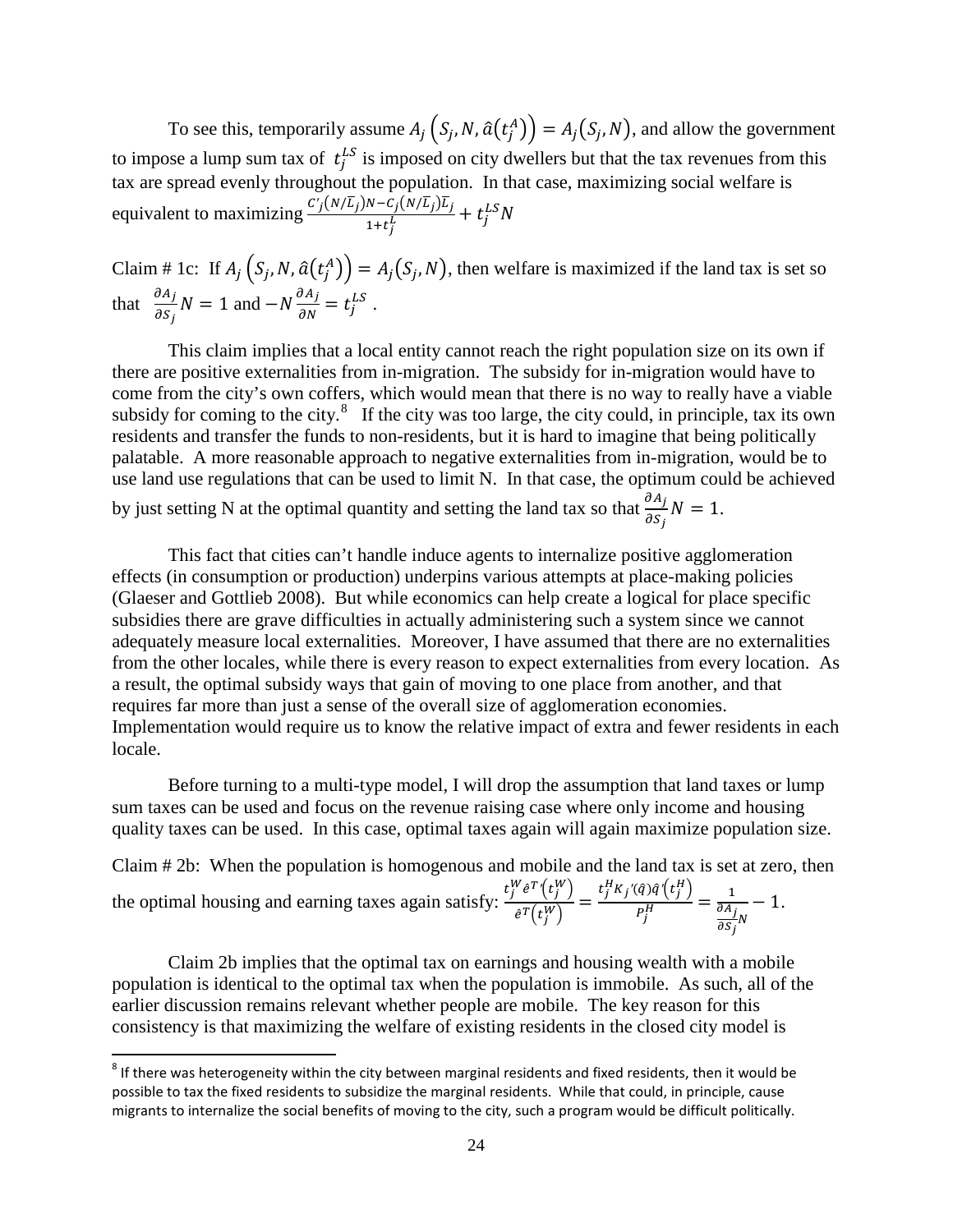To see this, temporarily assume  $A_j(S_j, N, \hat{a}(t_j^A)) = A_j(S_j, N)$ , and allow the government to impose a lump sum tax of  $t_j^{LS}$  is imposed on city dwellers but that the tax revenues from this tax are spread evenly throughout the population. In that case, maximizing social welfare is equivalent to maximizing  $\frac{C'_j(N/L_j)N - C_j(N/L_j)L_j}{N/L}$  $\frac{1+t_j^{L}}{1+t_j^{L}}+t_j^{L}N$ 

Claim # 1c: If  $A_j(S_j, N, \hat{a}(t_j^A)) = A_j(S_j, N)$ , then welfare is maximized if the land tax is set so that  $\frac{\partial A_j}{\partial s}$  $\frac{\partial A_j}{\partial S_j} N = 1$  and  $-N \frac{\partial A_j}{\partial N} = t_j^{LS}$ .

This claim implies that a local entity cannot reach the right population size on its own if there are positive externalities from in-migration. The subsidy for in-migration would have to come from the city's own coffers, which would mean that there is no way to really have a viable subsidy for coming to the city. $8$  If the city was too large, the city could, in principle, tax its own residents and transfer the funds to non-residents, but it is hard to imagine that being politically palatable. A more reasonable approach to negative externalities from in-migration, would be to use land use regulations that can be used to limit N. In that case, the optimum could be achieved by just setting N at the optimal quantity and setting the land tax so that  $\frac{\partial A_j}{\partial s}$  $\frac{\partial n_j}{\partial s_j}N = 1.$ 

This fact that cities can't handle induce agents to internalize positive agglomeration effects (in consumption or production) underpins various attempts at place-making policies (Glaeser and Gottlieb 2008). But while economics can help create a logical for place specific subsidies there are grave difficulties in actually administering such a system since we cannot adequately measure local externalities. Moreover, I have assumed that there are no externalities from the other locales, while there is every reason to expect externalities from every location. As a result, the optimal subsidy ways that gain of moving to one place from another, and that requires far more than just a sense of the overall size of agglomeration economies. Implementation would require us to know the relative impact of extra and fewer residents in each locale.

Before turning to a multi-type model, I will drop the assumption that land taxes or lump sum taxes can be used and focus on the revenue raising case where only income and housing quality taxes can be used. In this case, optimal taxes again will again maximize population size.

Claim # 2b: When the population is homogenous and mobile and the land tax is set at zero, then the optimal housing and earning taxes again satisfy:  $\frac{t^W_i e^T(t^W_j)}{2T_i(W_j)}$  $\frac{d^{\mathcal{V}}\hat{e}^{T}\left(t_{j}^{\mathcal{W}}\right)}{d^{\mathcal{V}}\left(t_{j}^{\mathcal{W}}\right)}=\frac{t_{j}^{\mathcal{H}}K_{j}^{\prime}\left(\widehat{q}\right)\widehat{q}\left(\left(t_{j}^{\mathcal{H}}\right)\right)}{P_{j}^{\mathcal{H}}}$  $\frac{P_f^H}{P_j^H} = \frac{1}{\frac{\partial A_j}{\partial S_i}N}$  $\sigma s_j$ − 1.

Claim 2b implies that the optimal tax on earnings and housing wealth with a mobile population is identical to the optimal tax when the population is immobile. As such, all of the earlier discussion remains relevant whether people are mobile. The key reason for this consistency is that maximizing the welfare of existing residents in the closed city model is

l

<span id="page-24-0"></span> $^8$  If there was heterogeneity within the city between marginal residents and fixed residents, then it would be possible to tax the fixed residents to subsidize the marginal residents. While that could, in principle, cause migrants to internalize the social benefits of moving to the city, such a program would be difficult politically.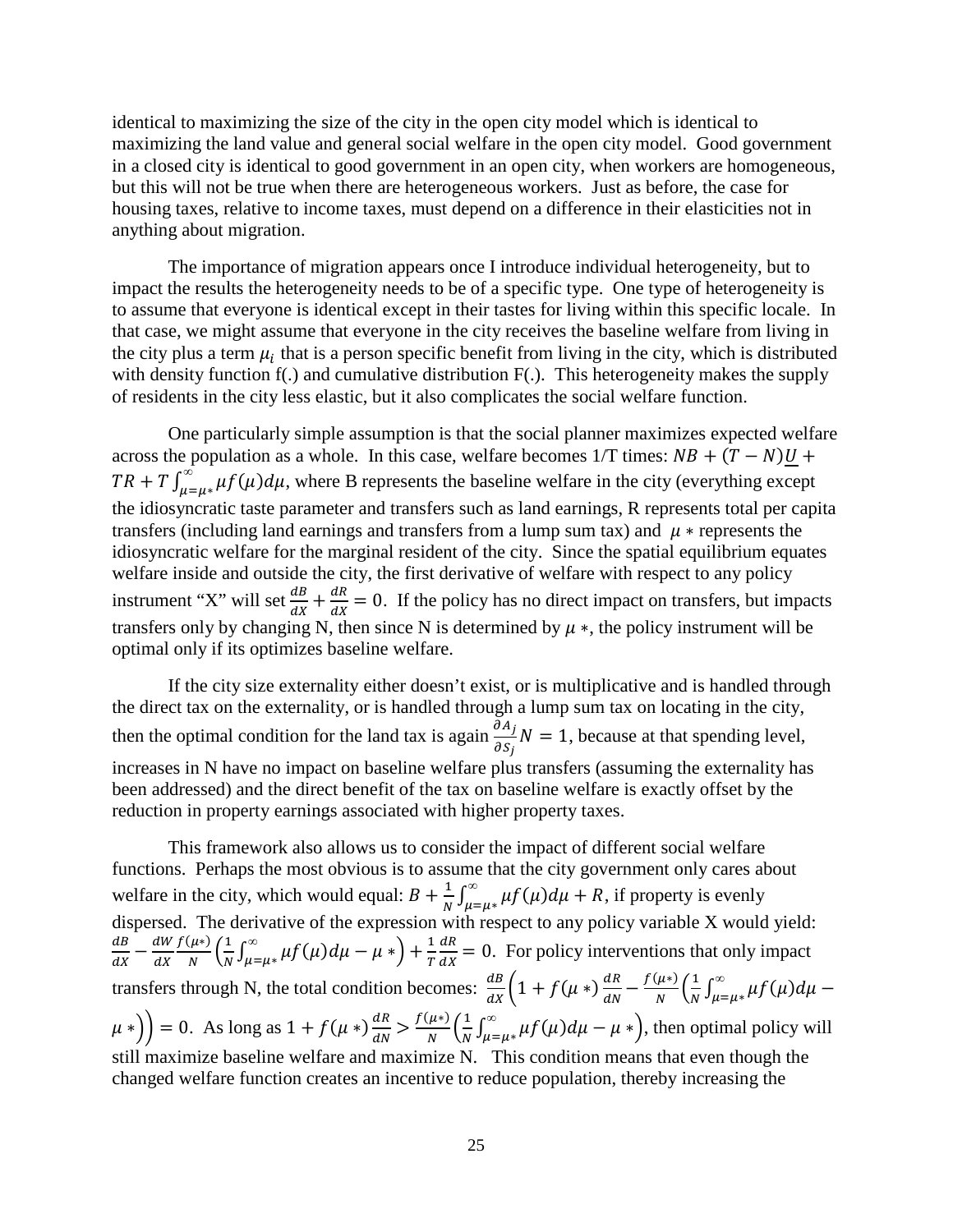identical to maximizing the size of the city in the open city model which is identical to maximizing the land value and general social welfare in the open city model. Good government in a closed city is identical to good government in an open city, when workers are homogeneous, but this will not be true when there are heterogeneous workers. Just as before, the case for housing taxes, relative to income taxes, must depend on a difference in their elasticities not in anything about migration.

The importance of migration appears once I introduce individual heterogeneity, but to impact the results the heterogeneity needs to be of a specific type. One type of heterogeneity is to assume that everyone is identical except in their tastes for living within this specific locale. In that case, we might assume that everyone in the city receives the baseline welfare from living in the city plus a term  $\mu_i$  that is a person specific benefit from living in the city, which is distributed with density function f(.) and cumulative distribution F(.). This heterogeneity makes the supply of residents in the city less elastic, but it also complicates the social welfare function.

One particularly simple assumption is that the social planner maximizes expected welfare across the population as a whole. In this case, welfare becomes  $1/T$  times:  $NB + (T - N)U +$  $TR + T \int_{\mu=\mu^*}^{\infty} \mu f(\mu) d\mu$ , where B represents the baseline welfare in the city (everything except the idiosyncratic taste parameter and transfers such as land earnings, R represents total per capita transfers (including land earnings and transfers from a lump sum tax) and  $\mu$  \* represents the idiosyncratic welfare for the marginal resident of the city. Since the spatial equilibrium equates welfare inside and outside the city, the first derivative of welfare with respect to any policy instrument "X" will set  $\frac{dB}{dx} + \frac{dR}{dx} = 0$ . If the policy has no direct impact on transfers, but impacts transfers only by changing N, then since N is determined by  $\mu$  \*, the policy instrument will be optimal only if its optimizes baseline welfare.

If the city size externality either doesn't exist, or is multiplicative and is handled through the direct tax on the externality, or is handled through a lump sum tax on locating in the city, then the optimal condition for the land tax is again  $\frac{\partial A_j}{\partial s}$  $\frac{\partial H_j}{\partial s_j}$  N = 1, because at that spending level, increases in N have no impact on baseline welfare plus transfers (assuming the externality has been addressed) and the direct benefit of the tax on baseline welfare is exactly offset by the reduction in property earnings associated with higher property taxes.

This framework also allows us to consider the impact of different social welfare functions. Perhaps the most obvious is to assume that the city government only cares about welfare in the city, which would equal:  $B + \frac{1}{N} \int_{\mu=\mu^*}^{\infty} \mu f(\mu) d\mu + R$ , if property is evenly dispersed. The derivative of the expression with respect to any policy variable X would yield:  $\frac{dB}{dX} - \frac{dW}{dX}$  $\int_{N}^{f(\mu*)} \left(\frac{1}{N}\int_{\mu=\mu*}^{\infty} \mu f(\mu) d\mu - \mu * \right) + \frac{1}{T}$  $dR$  $rac{du}{dx} = 0$ . For policy interventions that only impact transfers through N, the total condition becomes:  $\frac{dB}{dx}\left(1+f(\mu*\frac{dR}{dN}-\frac{f(\mu*)}{N}\left(\frac{1}{N}\int_{\mu=\mu*}^{\infty}\mu f(\mu)d\mu-\frac{f(\mu)}{N}\right)\right)$  $(\mu * )$  = 0. As long as  $1 + f(\mu * ) \frac{dR}{dN} > \frac{f(\mu*)}{N} \left(\frac{1}{N} \int_{\mu = \mu *}^{\infty} \mu f(\mu) d\mu - \mu * \right)$ , then optimal policy will still maximize baseline welfare and maximize N. This condition means that even though the changed welfare function creates an incentive to reduce population, thereby increasing the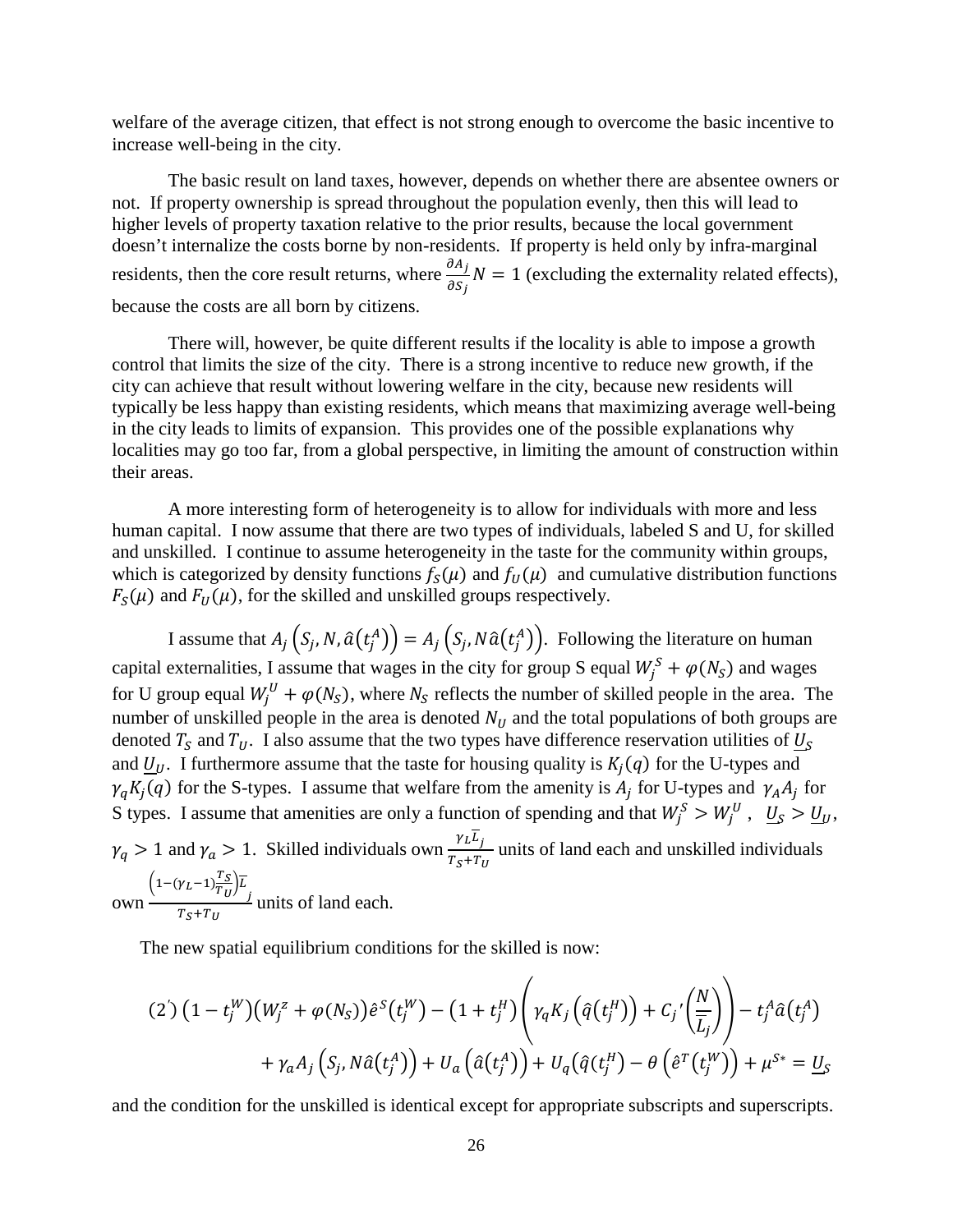welfare of the average citizen, that effect is not strong enough to overcome the basic incentive to increase well-being in the city.

The basic result on land taxes, however, depends on whether there are absentee owners or not. If property ownership is spread throughout the population evenly, then this will lead to higher levels of property taxation relative to the prior results, because the local government doesn't internalize the costs borne by non-residents. If property is held only by infra-marginal residents, then the core result returns, where  $\frac{\partial A_j}{\partial c}$  $\frac{\partial H_j}{\partial s_j}N = 1$  (excluding the externality related effects), because the costs are all born by citizens.

There will, however, be quite different results if the locality is able to impose a growth control that limits the size of the city. There is a strong incentive to reduce new growth, if the city can achieve that result without lowering welfare in the city, because new residents will typically be less happy than existing residents, which means that maximizing average well-being in the city leads to limits of expansion. This provides one of the possible explanations why localities may go too far, from a global perspective, in limiting the amount of construction within their areas.

A more interesting form of heterogeneity is to allow for individuals with more and less human capital. I now assume that there are two types of individuals, labeled S and U, for skilled and unskilled. I continue to assume heterogeneity in the taste for the community within groups, which is categorized by density functions  $f_s(\mu)$  and  $f_{\mu}(\mu)$  and cumulative distribution functions  $F_S(\mu)$  and  $F_U(\mu)$ , for the skilled and unskilled groups respectively.

I assume that  $A_j(S_j, N, \hat{a}(t_j^A)) = A_j(S_j, N\hat{a}(t_j^A))$ . Following the literature on human capital externalities, I assume that wages in the city for group S equal  $W_j^S + \varphi(N_S)$  and wages for U group equal  $W_j^U + \varphi(N_S)$ , where  $N_S$  reflects the number of skilled people in the area. The number of unskilled people in the area is denoted  $N<sub>U</sub>$  and the total populations of both groups are denoted  $T_S$  and  $T_U$ . I also assume that the two types have difference reservation utilities of  $U_S$ and  $U_{U}$ . I furthermore assume that the taste for housing quality is  $K_{i}(q)$  for the U-types and  $\gamma_q K_j(q)$  for the S-types. I assume that welfare from the amenity is  $A_j$  for U-types and  $\gamma_A A_j$  for S types. I assume that amenities are only a function of spending and that  $W_j^S > W_j^U$ ,  $U_S > U_U$ ,  $\gamma_q > 1$  and  $\gamma_a > 1$ . Skilled individuals own  $\frac{\gamma_L L_j}{T_S + T_U}$  units of land each and unskilled individuals own  $\left(1-(\gamma_L-1)\frac{T_S}{T_H}\right)$  $\frac{\partial}{\partial u} L_j$  $\frac{U}{T_S+T_U}$  units of land each.

The new spatial equilibrium conditions for the skilled is now:

$$
(2') (1-t_j^W)(W_j^z + \varphi(N_S))\hat{e}^S(t_j^W) - (1+t_j^H)\left(\gamma_q K_j\left(\hat{q}(t_j^H)\right) + C_j'\left(\frac{N}{\overline{L}_j}\right)\right) - t_j^A \hat{a}(t_j^A) + \gamma_a A_j\left(S_j, N\hat{a}(t_j^A)\right) + U_a\left(\hat{a}(t_j^A)\right) + U_q(\hat{q}(t_j^H) - \theta\left(\hat{e}^T(t_j^W)\right) + \mu^{S*} = \underline{U}_S
$$

and the condition for the unskilled is identical except for appropriate subscripts and superscripts.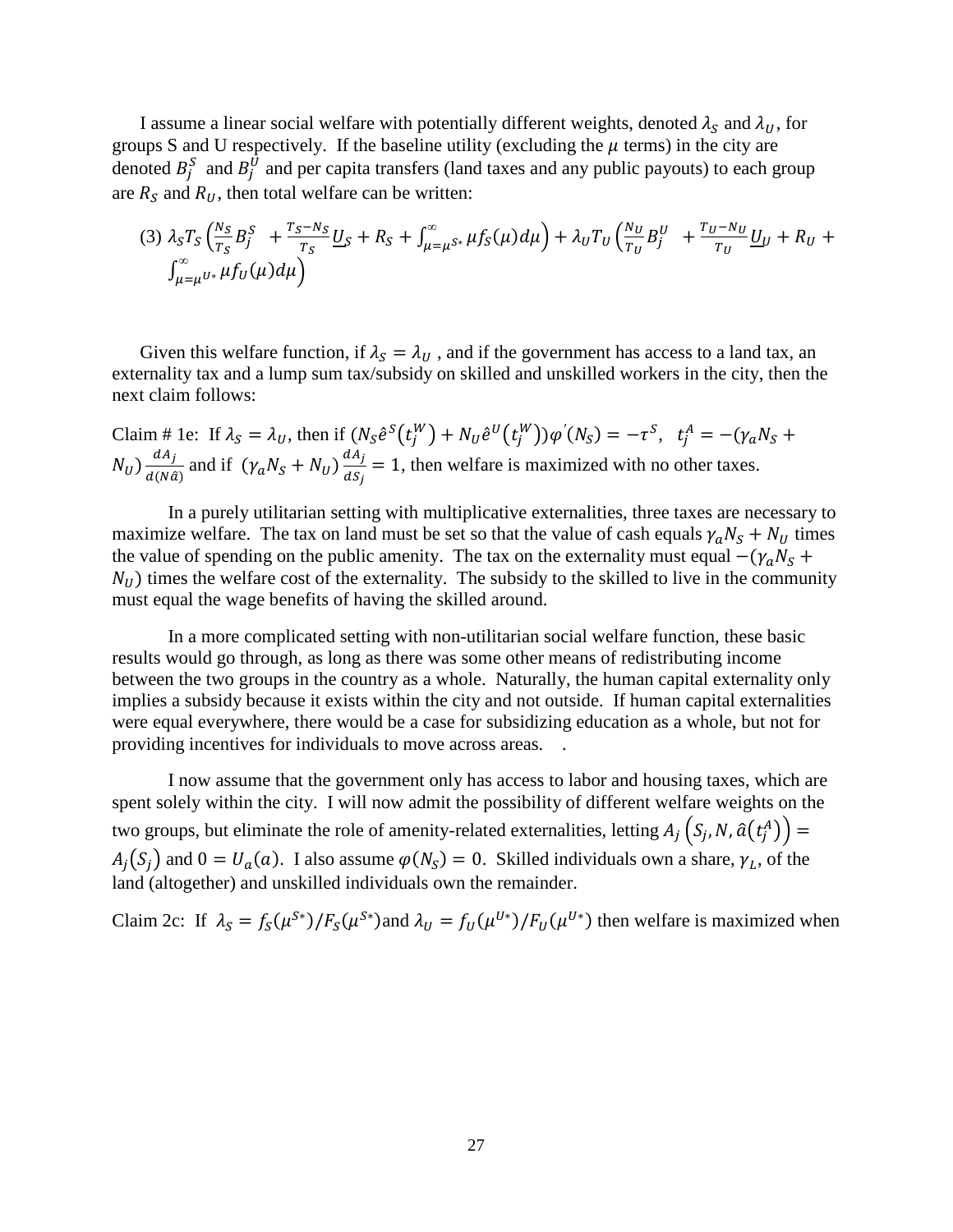I assume a linear social welfare with potentially different weights, denoted  $\lambda_s$  and  $\lambda_u$ , for groups S and U respectively. If the baseline utility (excluding the  $\mu$  terms) in the city are denoted  $B_j^S$  and  $B_j^U$  and per capita transfers (land taxes and any public payouts) to each group are  $R_s$  and  $R_u$ , then total welfare can be written:

(3) 
$$
\lambda_{S}T_{S} \left( \frac{N_{S}}{T_{S}} B_{j}^{S} + \frac{T_{S} - N_{S}}{T_{S}} \underline{U}_{S} + R_{S} + \int_{\mu = \mu^{S*}}^{\infty} \mu f_{S}(\mu) d\mu \right) + \lambda_{U}T_{U} \left( \frac{N_{U}}{T_{U}} B_{j}^{U} + \frac{T_{U} - N_{U}}{T_{U}} \underline{U}_{U} + R_{U} + \int_{\mu = \mu^{U*}}^{\infty} \mu f_{U}(\mu) d\mu \right)
$$

Given this welfare function, if  $\lambda_s = \lambda_u$ , and if the government has access to a land tax, an externality tax and a lump sum tax/subsidy on skilled and unskilled workers in the city, then the next claim follows:

Claim # 1e: If 
$$
\lambda_S = \lambda_U
$$
, then if  $(N_S \hat{e}^S(t_j^W) + N_U \hat{e}^U(t_j^W)) \varphi'(N_S) = -\tau^S$ ,  $t_j^A = -(\gamma_a N_S + N_U) \frac{dA_j}{d(N\hat{a})}$  and if  $(\gamma_a N_S + N_U) \frac{dA_j}{dS_j} = 1$ , then welfare is maximized with no other taxes.

In a purely utilitarian setting with multiplicative externalities, three taxes are necessary to maximize welfare. The tax on land must be set so that the value of cash equals  $\gamma_a N_s + N_U$  times the value of spending on the public amenity. The tax on the externality must equal  $-(\gamma_a N_s +$  $N_{II}$ ) times the welfare cost of the externality. The subsidy to the skilled to live in the community must equal the wage benefits of having the skilled around.

In a more complicated setting with non-utilitarian social welfare function, these basic results would go through, as long as there was some other means of redistributing income between the two groups in the country as a whole. Naturally, the human capital externality only implies a subsidy because it exists within the city and not outside. If human capital externalities were equal everywhere, there would be a case for subsidizing education as a whole, but not for providing incentives for individuals to move across areas. .

I now assume that the government only has access to labor and housing taxes, which are spent solely within the city. I will now admit the possibility of different welfare weights on the two groups, but eliminate the role of amenity-related externalities, letting  $A_j(S_j, N, \hat{a}(t_j^A)) =$  $A_i(S_i)$  and  $0 = U_a(a)$ . I also assume  $\varphi(N_S) = 0$ . Skilled individuals own a share,  $\gamma_L$ , of the land (altogether) and unskilled individuals own the remainder.

Claim 2c: If  $\lambda_s = f_s(\mu^{S*})/F_s(\mu^{S*})$  and  $\lambda_U = f_U(\mu^{U*})/F_U(\mu^{U*})$  then welfare is maximized when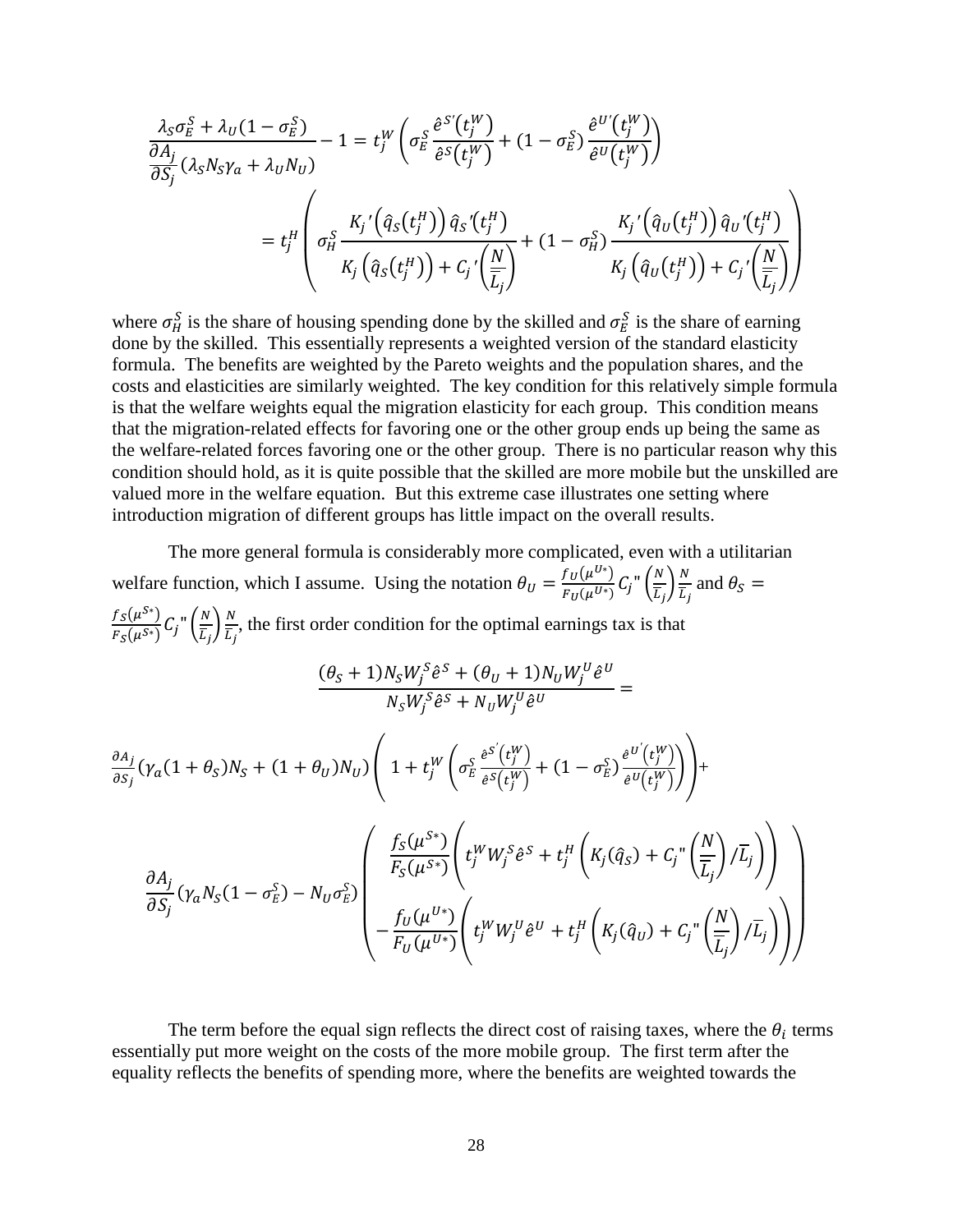$$
\frac{\lambda_S \sigma_E^S + \lambda_U (1 - \sigma_E^S)}{\partial A_j} - 1 = t_j^W \left( \sigma_E^S \frac{\hat{e}^{S'}(t_j^W)}{\hat{e}^S(t_j^W)} + (1 - \sigma_E^S) \frac{\hat{e}^{U'}(t_j^W)}{\hat{e}^U(t_j^W)} \right)
$$
\n
$$
= t_j^H \left( \sigma_H^S \frac{K_j'(\hat{q}_S(t_j^H)) \hat{q}_S'(t_j^H)}{K_j(\hat{q}_S(t_j^H)) + C_j'(\frac{N}{\overline{L}_j})} + (1 - \sigma_H^S) \frac{K_j'(\hat{q}_U(t_j^H)) \hat{q}_U'(t_j^H)}{K_j(\hat{q}_U(t_j^H)) + C_j'(\frac{N}{\overline{L}_j})} \right)
$$

where  $\sigma_H^S$  is the share of housing spending done by the skilled and  $\sigma_E^S$  is the share of earning done by the skilled. This essentially represents a weighted version of the standard elasticity formula. The benefits are weighted by the Pareto weights and the population shares, and the costs and elasticities are similarly weighted. The key condition for this relatively simple formula is that the welfare weights equal the migration elasticity for each group. This condition means that the migration-related effects for favoring one or the other group ends up being the same as the welfare-related forces favoring one or the other group. There is no particular reason why this condition should hold, as it is quite possible that the skilled are more mobile but the unskilled are valued more in the welfare equation. But this extreme case illustrates one setting where introduction migration of different groups has little impact on the overall results.

The more general formula is considerably more complicated, even with a utilitarian welfare function, which I assume. Using the notation  $\theta_U = \frac{f_U(\mu^{U*})}{F_U(\mu^{U*})} C_j$ <sup>"</sup>  $\left(\frac{N}{L_j}\right)$  $\frac{N}{L_j} \frac{\partial}{\partial L_j}$  and  $\theta_S =$  $f_S(\mu^{S*})$  $\frac{f_S(\mu^{S*})}{F_S(\mu^{S*})}C_j$ "  $\left(\frac{N}{\overline{L}_j}\right)$  $\frac{N}{L_j}\bigg)\frac{N}{L_j}$ , the first order condition for the optimal earnings tax is that  $(\theta_S + 1)N_S W_j^S \hat{e}^S + (\theta_U + 1)N_U W_j^U \hat{e}^U$  $\frac{1}{N_S W_j^S \hat{e}^S + N_U W_j^U \hat{e}^U}$  = dΑ<sub>j</sub>  $\frac{\partial A_j}{\partial s_j}(\gamma_a(1+\theta_S)N_S + (1+\theta_U)N_U)\left(1 + t_j^W\left(\sigma_E^S\frac{\hat{e}^{S^\prime}(t_j^W)}{\hat{e}^{S}(t_j^W)}\right)\right)$  $\frac{\hat{e}^{S^\prime}\!\left(t_j^W\right)}{\hat{e}^{S}\!\left(t_j^W\right)} + (1-\sigma_E^S) \frac{\hat{e}^{U^\prime}\!\left(t_j^W\right)}{\hat{e}^{U}\!\left(t_j^W\right)}$  $\frac{(\cdot)}{e^U(t_j^W)}\bigg)$  + <u>0Aj</u>  $\partial S_j$  $(\gamma_a N_S(1-\sigma_E^S)-N_U \sigma_E^S)$  $\lambda$  $\mathsf{L}$  $\mathsf{L}$  $\mathsf{L}$  $\mathsf{L}$  $f_{S}(\mu^{S*})$  $\frac{f_S(\mu^{S^*})}{F_S(\mu^{S^*})}\Biggl(t_j^WW_j^S\hat{e}^S+t_j^H\Biggl(K_j(\hat{q}_S)+C_j\Biggr)\Biggl(\frac{N}{\overline{L}_j}\Biggr)$  $L_j$  $\left[\begin{array}{c} 1/L_j \end{array}\right]$  $-\frac{f_U(\mu^{U*})}{F(U^{\mu^{\vee}})}$  $\frac{f_U(\mu^{U^*})}{F_U(\mu^{U^*})}\Bigg( t_j^W W_j^U\hat{e}^U+t_j^H\bigg(K_j(\widehat{q}_U)+C_j^{\;\prime}\bigg(\frac{N}{\overline{L}_j}\bigg)$  $\left(\frac{1}{L_j}\right)^{L_j}\Big)\Bigg)\Bigg\}$  $\overline{\phantom{a}}$  $\blacksquare$  $\overline{\phantom{a}}$ ⎞

The term before the equal sign reflects the direct cost of raising taxes, where the  $\theta_i$  terms essentially put more weight on the costs of the more mobile group. The first term after the equality reflects the benefits of spending more, where the benefits are weighted towards the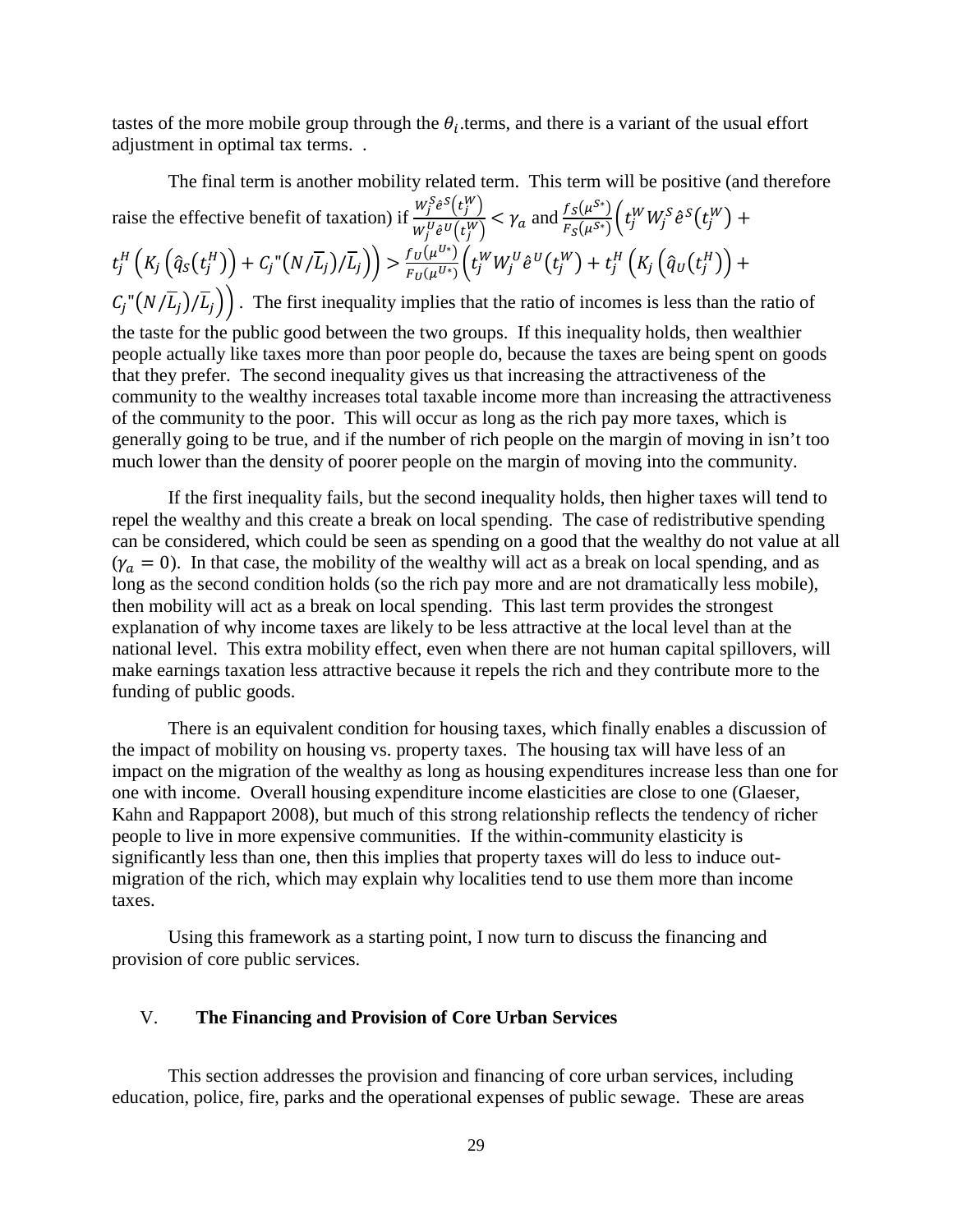tastes of the more mobile group through the  $\theta_i$  terms, and there is a variant of the usual effort adjustment in optimal tax terms. .

The final term is another mobility related term. This term will be positive (and therefore raise the effective benefit of taxation) if  $\frac{W_2^S \hat{e}^S(t_y^W)}{W_1^T(M \times W)}$  $\frac{W_j^v e^{S}(t_j^W)}{W_j^U e^U(t_j^W)} < \gamma_a$  and  $\frac{f_S(\mu^{S*})}{F_S(\mu^{S*})} \Big( t_j^W W_j^S \hat{e}^S(t_j^W) +$  $t_j^H\left(K_j\left(\widehat{q}_S\left(t_j^H\right)\right)+C_j^{\prime\prime}\left(N/\overline{L}_j\right)/\overline{L}_j\right)\right) > \frac{f_U(\mu^{U*})}{F_U(\mu^{U*})}\left(t_j^W W_j^U\hat{e}^U\left(t_j^W\right)+t_j^H\left(K_j\left(\widehat{q}_U\left(t_j^H\right)\right)+C_j^{\prime\prime}\left(N/\overline{L}_j\right)/\overline{L}_j\right)\right)$  $C_j''(N/\overline{L}_j)/\overline{L}_j$ ). The first inequality implies that the ratio of incomes is less than the ratio of the taste for the public good between the two groups. If this inequality holds, then wealthier people actually like taxes more than poor people do, because the taxes are being spent on goods that they prefer. The second inequality gives us that increasing the attractiveness of the community to the wealthy increases total taxable income more than increasing the attractiveness of the community to the poor. This will occur as long as the rich pay more taxes, which is generally going to be true, and if the number of rich people on the margin of moving in isn't too much lower than the density of poorer people on the margin of moving into the community.

If the first inequality fails, but the second inequality holds, then higher taxes will tend to repel the wealthy and this create a break on local spending. The case of redistributive spending can be considered, which could be seen as spending on a good that the wealthy do not value at all  $(y_a = 0)$ . In that case, the mobility of the wealthy will act as a break on local spending, and as long as the second condition holds (so the rich pay more and are not dramatically less mobile), then mobility will act as a break on local spending. This last term provides the strongest explanation of why income taxes are likely to be less attractive at the local level than at the national level. This extra mobility effect, even when there are not human capital spillovers, will make earnings taxation less attractive because it repels the rich and they contribute more to the funding of public goods.

There is an equivalent condition for housing taxes, which finally enables a discussion of the impact of mobility on housing vs. property taxes. The housing tax will have less of an impact on the migration of the wealthy as long as housing expenditures increase less than one for one with income. Overall housing expenditure income elasticities are close to one (Glaeser, Kahn and Rappaport 2008), but much of this strong relationship reflects the tendency of richer people to live in more expensive communities. If the within-community elasticity is significantly less than one, then this implies that property taxes will do less to induce outmigration of the rich, which may explain why localities tend to use them more than income taxes.

Using this framework as a starting point, I now turn to discuss the financing and provision of core public services.

## V. **The Financing and Provision of Core Urban Services**

This section addresses the provision and financing of core urban services, including education, police, fire, parks and the operational expenses of public sewage. These are areas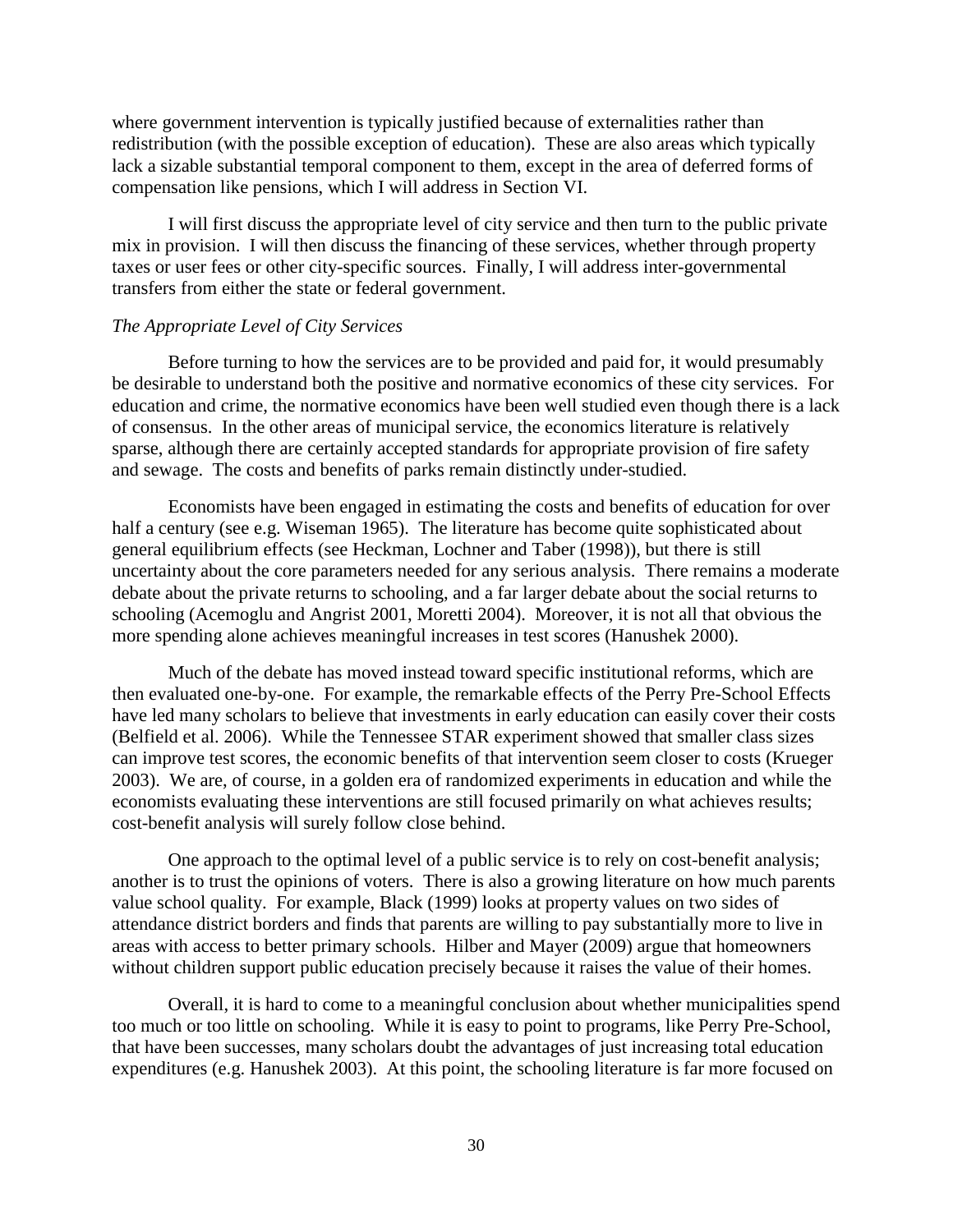where government intervention is typically justified because of externalities rather than redistribution (with the possible exception of education). These are also areas which typically lack a sizable substantial temporal component to them, except in the area of deferred forms of compensation like pensions, which I will address in Section VI.

 I will first discuss the appropriate level of city service and then turn to the public private mix in provision. I will then discuss the financing of these services, whether through property taxes or user fees or other city-specific sources. Finally, I will address inter-governmental transfers from either the state or federal government.

## *The Appropriate Level of City Services*

Before turning to how the services are to be provided and paid for, it would presumably be desirable to understand both the positive and normative economics of these city services. For education and crime, the normative economics have been well studied even though there is a lack of consensus. In the other areas of municipal service, the economics literature is relatively sparse, although there are certainly accepted standards for appropriate provision of fire safety and sewage. The costs and benefits of parks remain distinctly under-studied.

 Economists have been engaged in estimating the costs and benefits of education for over half a century (see e.g. Wiseman 1965). The literature has become quite sophisticated about general equilibrium effects (see Heckman, Lochner and Taber (1998)), but there is still uncertainty about the core parameters needed for any serious analysis. There remains a moderate debate about the private returns to schooling, and a far larger debate about the social returns to schooling (Acemoglu and Angrist 2001, Moretti 2004). Moreover, it is not all that obvious the more spending alone achieves meaningful increases in test scores (Hanushek 2000).

 Much of the debate has moved instead toward specific institutional reforms, which are then evaluated one-by-one. For example, the remarkable effects of the Perry Pre-School Effects have led many scholars to believe that investments in early education can easily cover their costs (Belfield et al. 2006). While the Tennessee STAR experiment showed that smaller class sizes can improve test scores, the economic benefits of that intervention seem closer to costs (Krueger 2003). We are, of course, in a golden era of randomized experiments in education and while the economists evaluating these interventions are still focused primarily on what achieves results; cost-benefit analysis will surely follow close behind.

 One approach to the optimal level of a public service is to rely on cost-benefit analysis; another is to trust the opinions of voters. There is also a growing literature on how much parents value school quality. For example, Black (1999) looks at property values on two sides of attendance district borders and finds that parents are willing to pay substantially more to live in areas with access to better primary schools. Hilber and Mayer (2009) argue that homeowners without children support public education precisely because it raises the value of their homes.

 Overall, it is hard to come to a meaningful conclusion about whether municipalities spend too much or too little on schooling. While it is easy to point to programs, like Perry Pre-School, that have been successes, many scholars doubt the advantages of just increasing total education expenditures (e.g. Hanushek 2003). At this point, the schooling literature is far more focused on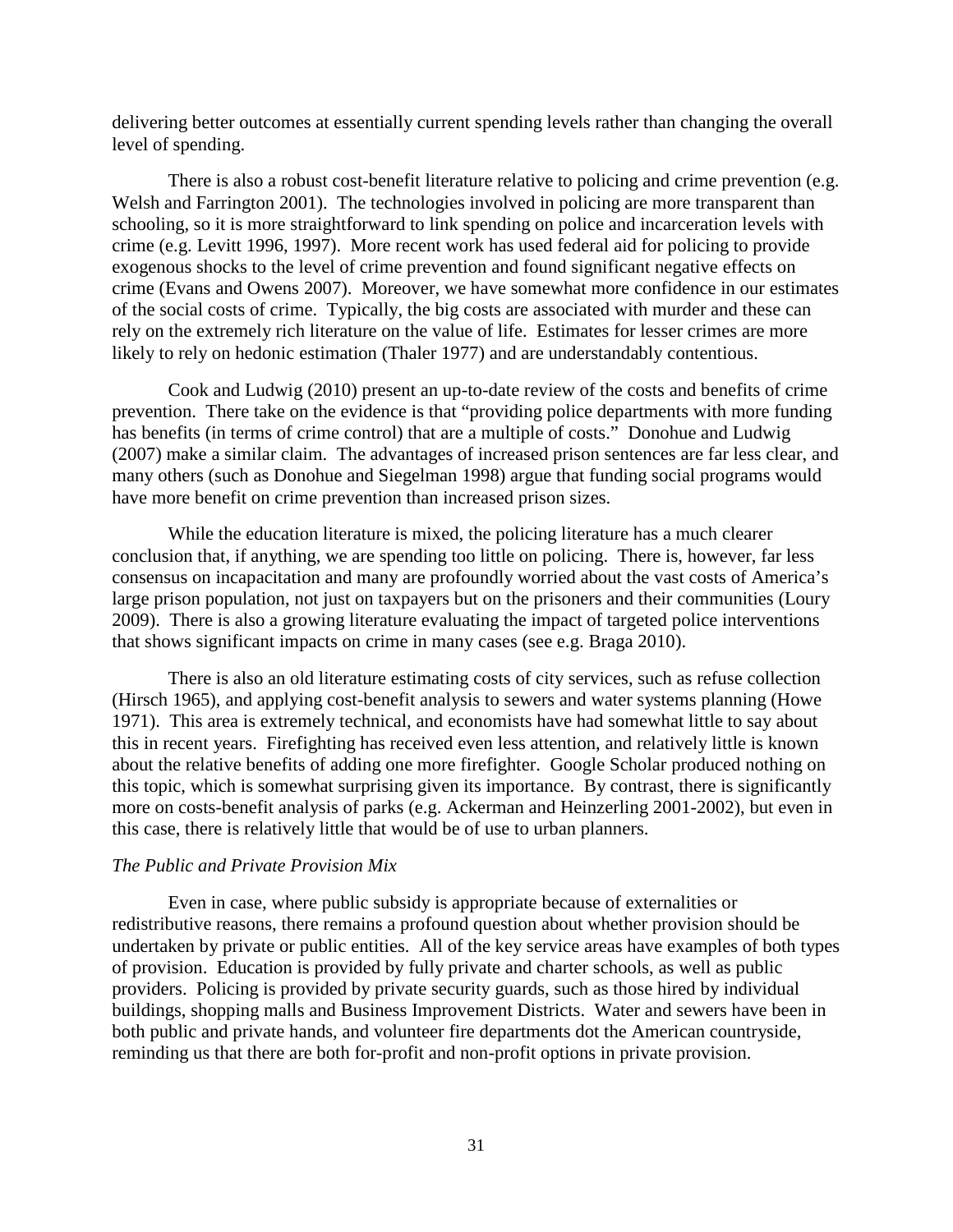delivering better outcomes at essentially current spending levels rather than changing the overall level of spending.

There is also a robust cost-benefit literature relative to policing and crime prevention (e.g. Welsh and Farrington 2001). The technologies involved in policing are more transparent than schooling, so it is more straightforward to link spending on police and incarceration levels with crime (e.g. Levitt 1996, 1997). More recent work has used federal aid for policing to provide exogenous shocks to the level of crime prevention and found significant negative effects on crime (Evans and Owens 2007). Moreover, we have somewhat more confidence in our estimates of the social costs of crime. Typically, the big costs are associated with murder and these can rely on the extremely rich literature on the value of life. Estimates for lesser crimes are more likely to rely on hedonic estimation (Thaler 1977) and are understandably contentious.

 Cook and Ludwig (2010) present an up-to-date review of the costs and benefits of crime prevention. There take on the evidence is that "providing police departments with more funding has benefits (in terms of crime control) that are a multiple of costs." Donohue and Ludwig (2007) make a similar claim. The advantages of increased prison sentences are far less clear, and many others (such as Donohue and Siegelman 1998) argue that funding social programs would have more benefit on crime prevention than increased prison sizes.

While the education literature is mixed, the policing literature has a much clearer conclusion that, if anything, we are spending too little on policing. There is, however, far less consensus on incapacitation and many are profoundly worried about the vast costs of America's large prison population, not just on taxpayers but on the prisoners and their communities (Loury 2009). There is also a growing literature evaluating the impact of targeted police interventions that shows significant impacts on crime in many cases (see e.g. Braga 2010).

There is also an old literature estimating costs of city services, such as refuse collection (Hirsch 1965), and applying cost-benefit analysis to sewers and water systems planning (Howe 1971). This area is extremely technical, and economists have had somewhat little to say about this in recent years. Firefighting has received even less attention, and relatively little is known about the relative benefits of adding one more firefighter. Google Scholar produced nothing on this topic, which is somewhat surprising given its importance. By contrast, there is significantly more on costs-benefit analysis of parks (e.g. Ackerman and Heinzerling 2001-2002), but even in this case, there is relatively little that would be of use to urban planners.

#### *The Public and Private Provision Mix*

Even in case, where public subsidy is appropriate because of externalities or redistributive reasons, there remains a profound question about whether provision should be undertaken by private or public entities. All of the key service areas have examples of both types of provision. Education is provided by fully private and charter schools, as well as public providers. Policing is provided by private security guards, such as those hired by individual buildings, shopping malls and Business Improvement Districts. Water and sewers have been in both public and private hands, and volunteer fire departments dot the American countryside, reminding us that there are both for-profit and non-profit options in private provision.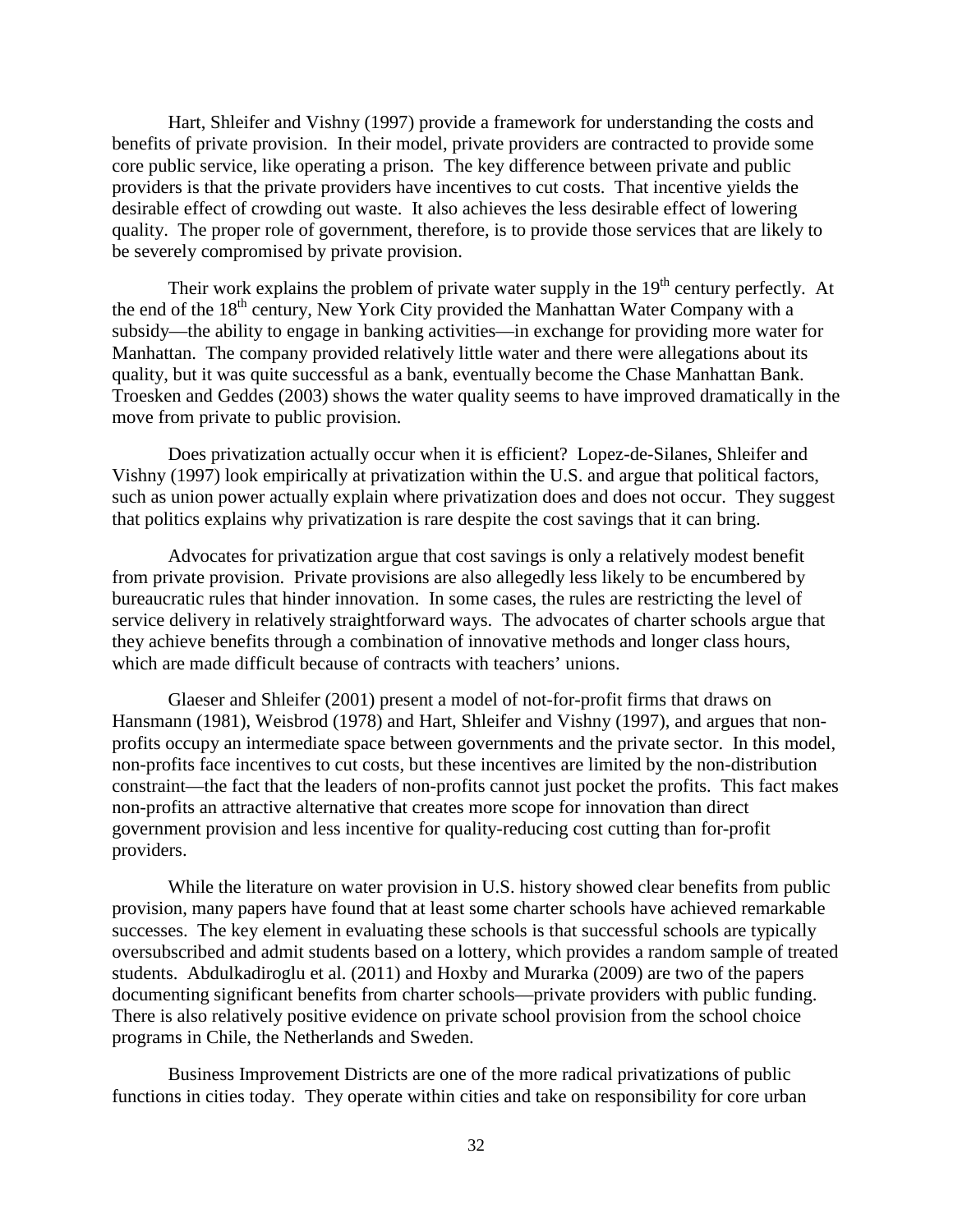Hart, Shleifer and Vishny (1997) provide a framework for understanding the costs and benefits of private provision. In their model, private providers are contracted to provide some core public service, like operating a prison. The key difference between private and public providers is that the private providers have incentives to cut costs. That incentive yields the desirable effect of crowding out waste. It also achieves the less desirable effect of lowering quality. The proper role of government, therefore, is to provide those services that are likely to be severely compromised by private provision.

Their work explains the problem of private water supply in the  $19<sup>th</sup>$  century perfectly. At the end of the 18<sup>th</sup> century, New York City provided the Manhattan Water Company with a subsidy—the ability to engage in banking activities—in exchange for providing more water for Manhattan. The company provided relatively little water and there were allegations about its quality, but it was quite successful as a bank, eventually become the Chase Manhattan Bank. Troesken and Geddes (2003) shows the water quality seems to have improved dramatically in the move from private to public provision.

Does privatization actually occur when it is efficient? Lopez-de-Silanes, Shleifer and Vishny (1997) look empirically at privatization within the U.S. and argue that political factors, such as union power actually explain where privatization does and does not occur. They suggest that politics explains why privatization is rare despite the cost savings that it can bring.

 Advocates for privatization argue that cost savings is only a relatively modest benefit from private provision. Private provisions are also allegedly less likely to be encumbered by bureaucratic rules that hinder innovation. In some cases, the rules are restricting the level of service delivery in relatively straightforward ways. The advocates of charter schools argue that they achieve benefits through a combination of innovative methods and longer class hours, which are made difficult because of contracts with teachers' unions.

Glaeser and Shleifer (2001) present a model of not-for-profit firms that draws on Hansmann (1981), Weisbrod (1978) and Hart, Shleifer and Vishny (1997), and argues that nonprofits occupy an intermediate space between governments and the private sector. In this model, non-profits face incentives to cut costs, but these incentives are limited by the non-distribution constraint—the fact that the leaders of non-profits cannot just pocket the profits. This fact makes non-profits an attractive alternative that creates more scope for innovation than direct government provision and less incentive for quality-reducing cost cutting than for-profit providers.

While the literature on water provision in U.S. history showed clear benefits from public provision, many papers have found that at least some charter schools have achieved remarkable successes. The key element in evaluating these schools is that successful schools are typically oversubscribed and admit students based on a lottery, which provides a random sample of treated students. Abdulkadiroglu et al. (2011) and Hoxby and Murarka (2009) are two of the papers documenting significant benefits from charter schools—private providers with public funding. There is also relatively positive evidence on private school provision from the school choice programs in Chile, the Netherlands and Sweden.

Business Improvement Districts are one of the more radical privatizations of public functions in cities today. They operate within cities and take on responsibility for core urban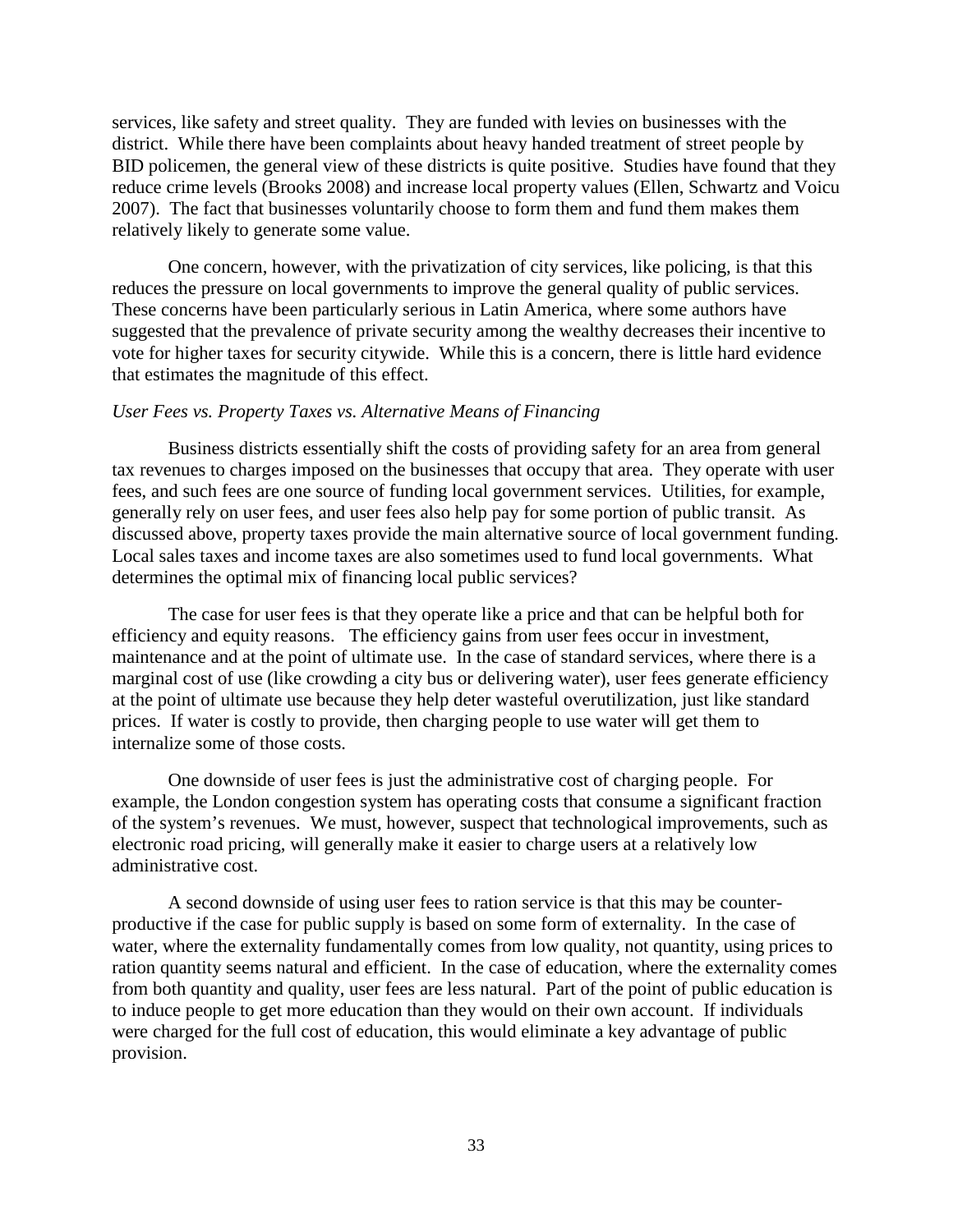services, like safety and street quality. They are funded with levies on businesses with the district. While there have been complaints about heavy handed treatment of street people by BID policemen, the general view of these districts is quite positive. Studies have found that they reduce crime levels (Brooks 2008) and increase local property values (Ellen, Schwartz and Voicu 2007). The fact that businesses voluntarily choose to form them and fund them makes them relatively likely to generate some value.

One concern, however, with the privatization of city services, like policing, is that this reduces the pressure on local governments to improve the general quality of public services. These concerns have been particularly serious in Latin America, where some authors have suggested that the prevalence of private security among the wealthy decreases their incentive to vote for higher taxes for security citywide. While this is a concern, there is little hard evidence that estimates the magnitude of this effect.

#### *User Fees vs. Property Taxes vs. Alternative Means of Financing*

Business districts essentially shift the costs of providing safety for an area from general tax revenues to charges imposed on the businesses that occupy that area. They operate with user fees, and such fees are one source of funding local government services. Utilities, for example, generally rely on user fees, and user fees also help pay for some portion of public transit. As discussed above, property taxes provide the main alternative source of local government funding. Local sales taxes and income taxes are also sometimes used to fund local governments. What determines the optimal mix of financing local public services?

The case for user fees is that they operate like a price and that can be helpful both for efficiency and equity reasons. The efficiency gains from user fees occur in investment, maintenance and at the point of ultimate use. In the case of standard services, where there is a marginal cost of use (like crowding a city bus or delivering water), user fees generate efficiency at the point of ultimate use because they help deter wasteful overutilization, just like standard prices. If water is costly to provide, then charging people to use water will get them to internalize some of those costs.

One downside of user fees is just the administrative cost of charging people. For example, the London congestion system has operating costs that consume a significant fraction of the system's revenues. We must, however, suspect that technological improvements, such as electronic road pricing, will generally make it easier to charge users at a relatively low administrative cost.

A second downside of using user fees to ration service is that this may be counterproductive if the case for public supply is based on some form of externality. In the case of water, where the externality fundamentally comes from low quality, not quantity, using prices to ration quantity seems natural and efficient. In the case of education, where the externality comes from both quantity and quality, user fees are less natural. Part of the point of public education is to induce people to get more education than they would on their own account. If individuals were charged for the full cost of education, this would eliminate a key advantage of public provision.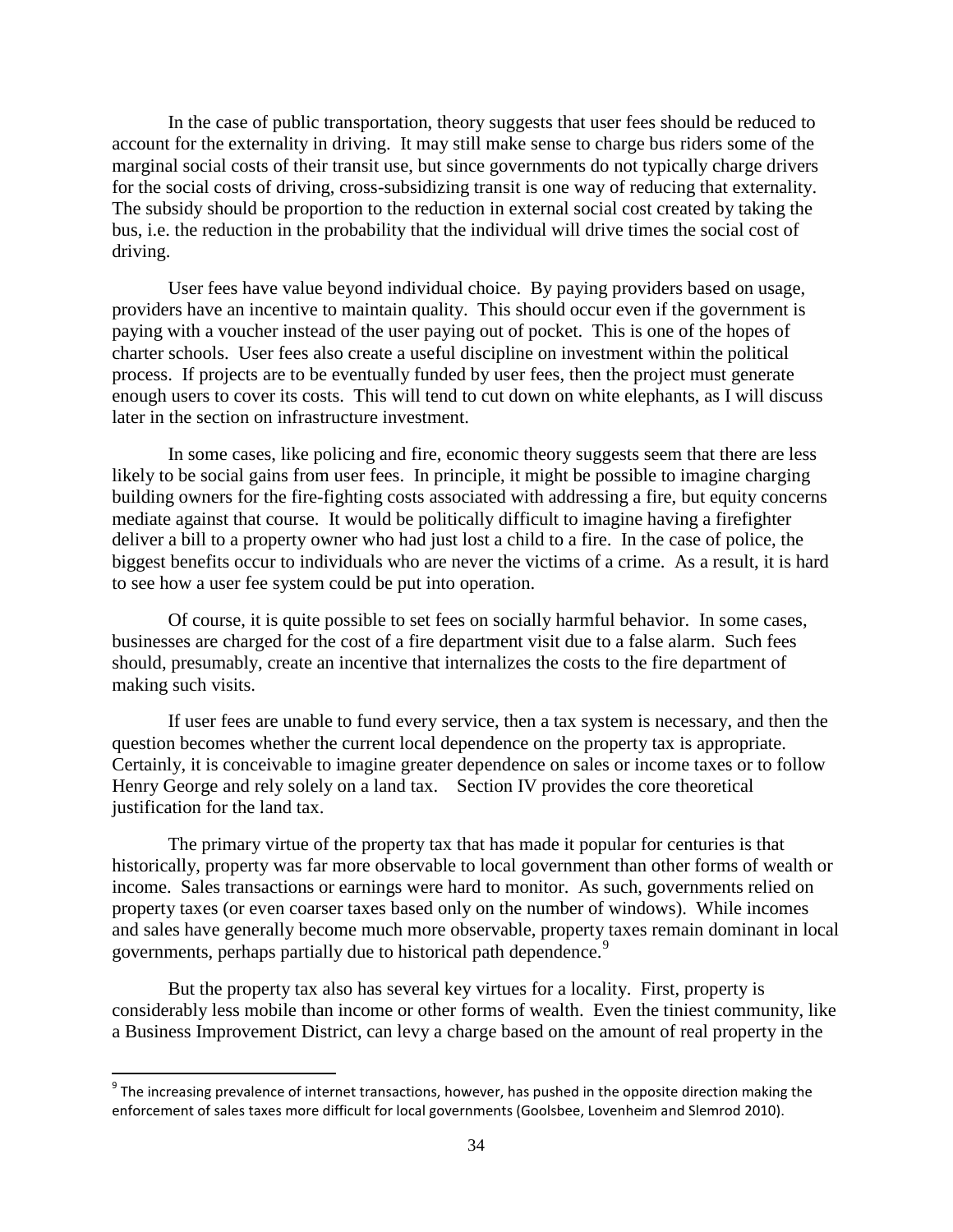In the case of public transportation, theory suggests that user fees should be reduced to account for the externality in driving. It may still make sense to charge bus riders some of the marginal social costs of their transit use, but since governments do not typically charge drivers for the social costs of driving, cross-subsidizing transit is one way of reducing that externality. The subsidy should be proportion to the reduction in external social cost created by taking the bus, i.e. the reduction in the probability that the individual will drive times the social cost of driving.

 User fees have value beyond individual choice. By paying providers based on usage, providers have an incentive to maintain quality. This should occur even if the government is paying with a voucher instead of the user paying out of pocket. This is one of the hopes of charter schools. User fees also create a useful discipline on investment within the political process. If projects are to be eventually funded by user fees, then the project must generate enough users to cover its costs. This will tend to cut down on white elephants, as I will discuss later in the section on infrastructure investment.

 In some cases, like policing and fire, economic theory suggests seem that there are less likely to be social gains from user fees. In principle, it might be possible to imagine charging building owners for the fire-fighting costs associated with addressing a fire, but equity concerns mediate against that course. It would be politically difficult to imagine having a firefighter deliver a bill to a property owner who had just lost a child to a fire. In the case of police, the biggest benefits occur to individuals who are never the victims of a crime. As a result, it is hard to see how a user fee system could be put into operation.

Of course, it is quite possible to set fees on socially harmful behavior. In some cases, businesses are charged for the cost of a fire department visit due to a false alarm. Such fees should, presumably, create an incentive that internalizes the costs to the fire department of making such visits.

If user fees are unable to fund every service, then a tax system is necessary, and then the question becomes whether the current local dependence on the property tax is appropriate. Certainly, it is conceivable to imagine greater dependence on sales or income taxes or to follow Henry George and rely solely on a land tax. Section IV provides the core theoretical justification for the land tax.

 The primary virtue of the property tax that has made it popular for centuries is that historically, property was far more observable to local government than other forms of wealth or income. Sales transactions or earnings were hard to monitor. As such, governments relied on property taxes (or even coarser taxes based only on the number of windows). While incomes and sales have generally become much more observable, property taxes remain dominant in local governments, perhaps partially due to historical path dependence.<sup>[9](#page-34-0)</sup>

 But the property tax also has several key virtues for a locality. First, property is considerably less mobile than income or other forms of wealth. Even the tiniest community, like a Business Improvement District, can levy a charge based on the amount of real property in the

 $\overline{\phantom{a}}$ 

<span id="page-34-0"></span> $9$  The increasing prevalence of internet transactions, however, has pushed in the opposite direction making the enforcement of sales taxes more difficult for local governments (Goolsbee, Lovenheim and Slemrod 2010).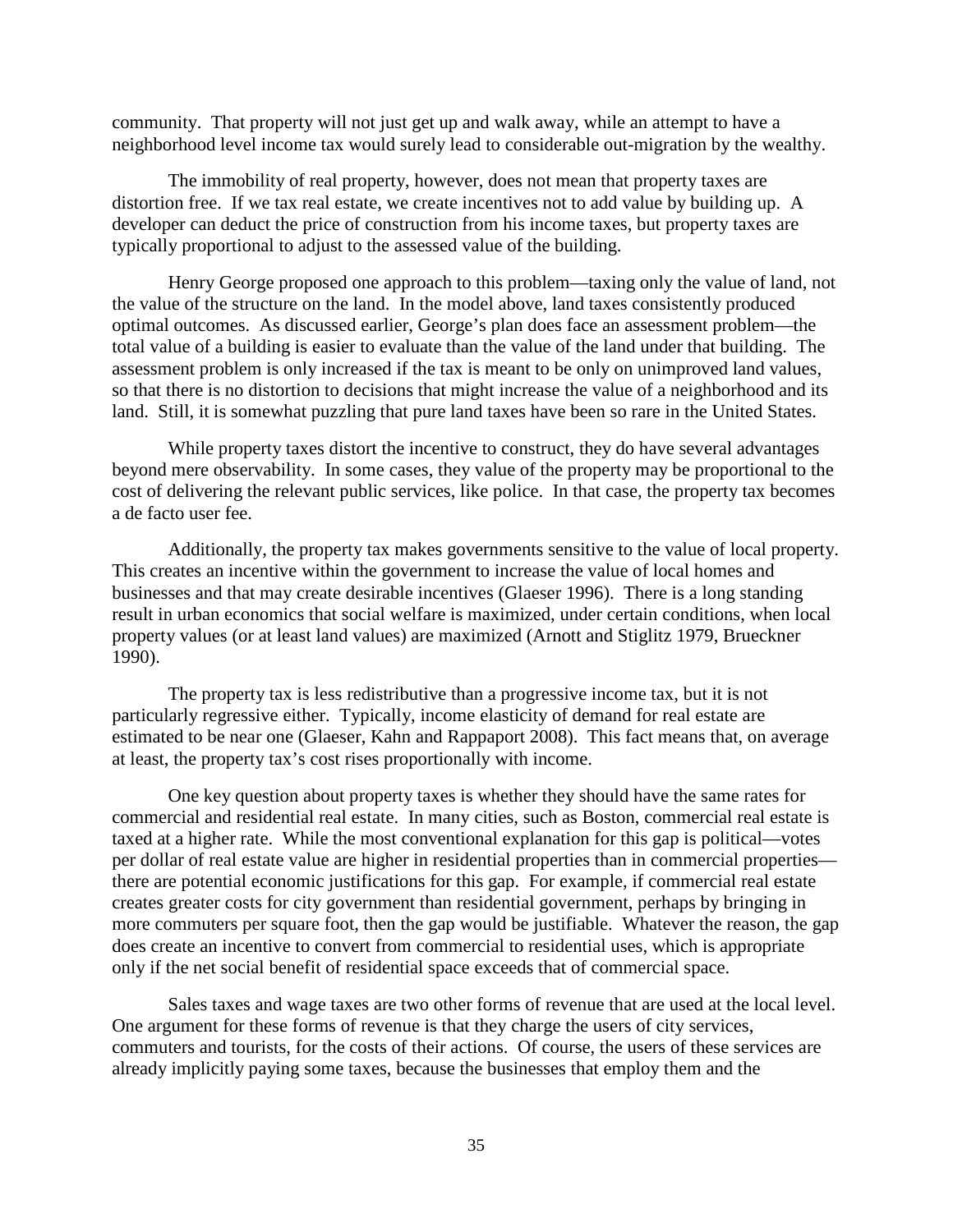community. That property will not just get up and walk away, while an attempt to have a neighborhood level income tax would surely lead to considerable out-migration by the wealthy.

 The immobility of real property, however, does not mean that property taxes are distortion free. If we tax real estate, we create incentives not to add value by building up. A developer can deduct the price of construction from his income taxes, but property taxes are typically proportional to adjust to the assessed value of the building.

Henry George proposed one approach to this problem—taxing only the value of land, not the value of the structure on the land. In the model above, land taxes consistently produced optimal outcomes. As discussed earlier, George's plan does face an assessment problem—the total value of a building is easier to evaluate than the value of the land under that building. The assessment problem is only increased if the tax is meant to be only on unimproved land values, so that there is no distortion to decisions that might increase the value of a neighborhood and its land. Still, it is somewhat puzzling that pure land taxes have been so rare in the United States.

While property taxes distort the incentive to construct, they do have several advantages beyond mere observability. In some cases, they value of the property may be proportional to the cost of delivering the relevant public services, like police. In that case, the property tax becomes a de facto user fee.

Additionally, the property tax makes governments sensitive to the value of local property. This creates an incentive within the government to increase the value of local homes and businesses and that may create desirable incentives (Glaeser 1996). There is a long standing result in urban economics that social welfare is maximized, under certain conditions, when local property values (or at least land values) are maximized (Arnott and Stiglitz 1979, Brueckner 1990).

The property tax is less redistributive than a progressive income tax, but it is not particularly regressive either. Typically, income elasticity of demand for real estate are estimated to be near one (Glaeser, Kahn and Rappaport 2008). This fact means that, on average at least, the property tax's cost rises proportionally with income.

One key question about property taxes is whether they should have the same rates for commercial and residential real estate. In many cities, such as Boston, commercial real estate is taxed at a higher rate. While the most conventional explanation for this gap is political—votes per dollar of real estate value are higher in residential properties than in commercial properties there are potential economic justifications for this gap. For example, if commercial real estate creates greater costs for city government than residential government, perhaps by bringing in more commuters per square foot, then the gap would be justifiable. Whatever the reason, the gap does create an incentive to convert from commercial to residential uses, which is appropriate only if the net social benefit of residential space exceeds that of commercial space.

Sales taxes and wage taxes are two other forms of revenue that are used at the local level. One argument for these forms of revenue is that they charge the users of city services, commuters and tourists, for the costs of their actions. Of course, the users of these services are already implicitly paying some taxes, because the businesses that employ them and the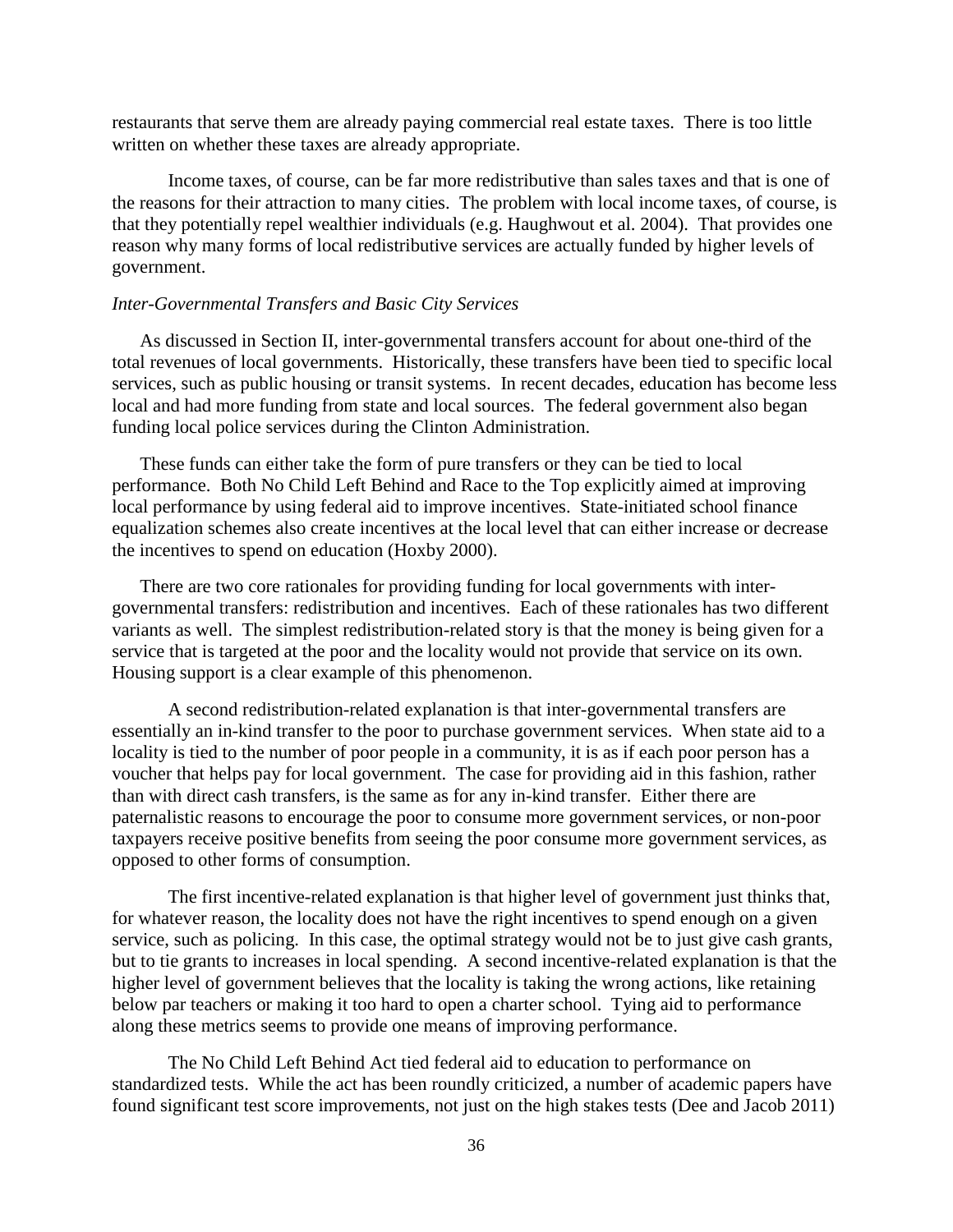restaurants that serve them are already paying commercial real estate taxes. There is too little written on whether these taxes are already appropriate.

Income taxes, of course, can be far more redistributive than sales taxes and that is one of the reasons for their attraction to many cities. The problem with local income taxes, of course, is that they potentially repel wealthier individuals (e.g. Haughwout et al. 2004). That provides one reason why many forms of local redistributive services are actually funded by higher levels of government.

## *Inter-Governmental Transfers and Basic City Services*

As discussed in Section II, inter-governmental transfers account for about one-third of the total revenues of local governments. Historically, these transfers have been tied to specific local services, such as public housing or transit systems. In recent decades, education has become less local and had more funding from state and local sources. The federal government also began funding local police services during the Clinton Administration.

These funds can either take the form of pure transfers or they can be tied to local performance. Both No Child Left Behind and Race to the Top explicitly aimed at improving local performance by using federal aid to improve incentives. State-initiated school finance equalization schemes also create incentives at the local level that can either increase or decrease the incentives to spend on education (Hoxby 2000).

There are two core rationales for providing funding for local governments with intergovernmental transfers: redistribution and incentives. Each of these rationales has two different variants as well. The simplest redistribution-related story is that the money is being given for a service that is targeted at the poor and the locality would not provide that service on its own. Housing support is a clear example of this phenomenon.

A second redistribution-related explanation is that inter-governmental transfers are essentially an in-kind transfer to the poor to purchase government services. When state aid to a locality is tied to the number of poor people in a community, it is as if each poor person has a voucher that helps pay for local government. The case for providing aid in this fashion, rather than with direct cash transfers, is the same as for any in-kind transfer. Either there are paternalistic reasons to encourage the poor to consume more government services, or non-poor taxpayers receive positive benefits from seeing the poor consume more government services, as opposed to other forms of consumption.

The first incentive-related explanation is that higher level of government just thinks that, for whatever reason, the locality does not have the right incentives to spend enough on a given service, such as policing. In this case, the optimal strategy would not be to just give cash grants, but to tie grants to increases in local spending. A second incentive-related explanation is that the higher level of government believes that the locality is taking the wrong actions, like retaining below par teachers or making it too hard to open a charter school. Tying aid to performance along these metrics seems to provide one means of improving performance.

The No Child Left Behind Act tied federal aid to education to performance on standardized tests. While the act has been roundly criticized, a number of academic papers have found significant test score improvements, not just on the high stakes tests (Dee and Jacob 2011)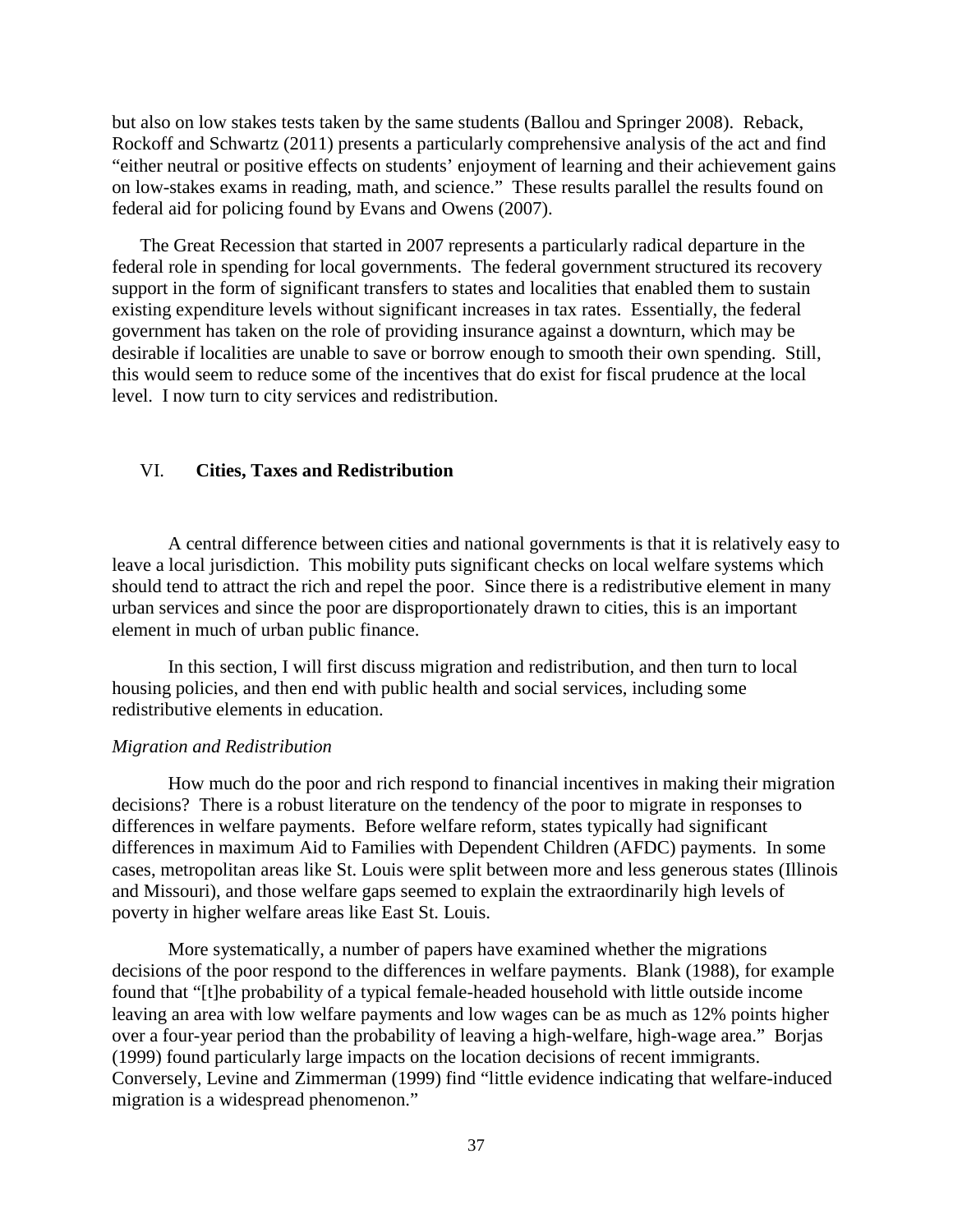but also on low stakes tests taken by the same students (Ballou and Springer 2008). Reback, Rockoff and Schwartz (2011) presents a particularly comprehensive analysis of the act and find "either neutral or positive effects on students' enjoyment of learning and their achievement gains on low-stakes exams in reading, math, and science." These results parallel the results found on federal aid for policing found by Evans and Owens (2007).

The Great Recession that started in 2007 represents a particularly radical departure in the federal role in spending for local governments. The federal government structured its recovery support in the form of significant transfers to states and localities that enabled them to sustain existing expenditure levels without significant increases in tax rates. Essentially, the federal government has taken on the role of providing insurance against a downturn, which may be desirable if localities are unable to save or borrow enough to smooth their own spending. Still, this would seem to reduce some of the incentives that do exist for fiscal prudence at the local level. I now turn to city services and redistribution.

## VI. **Cities, Taxes and Redistribution**

A central difference between cities and national governments is that it is relatively easy to leave a local jurisdiction. This mobility puts significant checks on local welfare systems which should tend to attract the rich and repel the poor. Since there is a redistributive element in many urban services and since the poor are disproportionately drawn to cities, this is an important element in much of urban public finance.

In this section, I will first discuss migration and redistribution, and then turn to local housing policies, and then end with public health and social services, including some redistributive elements in education.

### *Migration and Redistribution*

 How much do the poor and rich respond to financial incentives in making their migration decisions? There is a robust literature on the tendency of the poor to migrate in responses to differences in welfare payments. Before welfare reform, states typically had significant differences in maximum Aid to Families with Dependent Children (AFDC) payments. In some cases, metropolitan areas like St. Louis were split between more and less generous states (Illinois and Missouri), and those welfare gaps seemed to explain the extraordinarily high levels of poverty in higher welfare areas like East St. Louis.

More systematically, a number of papers have examined whether the migrations decisions of the poor respond to the differences in welfare payments. Blank (1988), for example found that "[t]he probability of a typical female-headed household with little outside income leaving an area with low welfare payments and low wages can be as much as 12% points higher over a four-year period than the probability of leaving a high-welfare, high-wage area." Borjas (1999) found particularly large impacts on the location decisions of recent immigrants. Conversely, Levine and Zimmerman (1999) find "little evidence indicating that welfare-induced migration is a widespread phenomenon."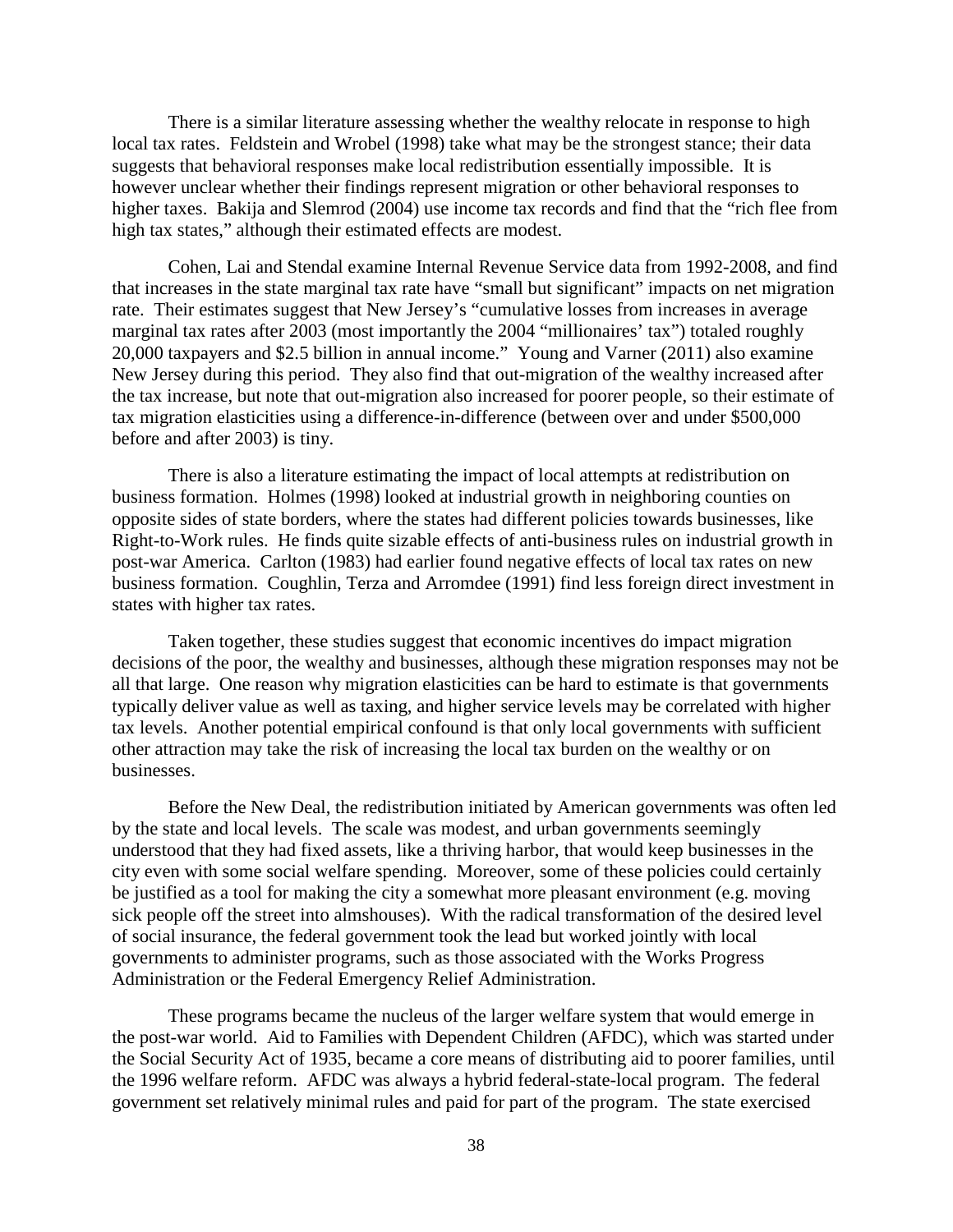There is a similar literature assessing whether the wealthy relocate in response to high local tax rates. Feldstein and Wrobel (1998) take what may be the strongest stance; their data suggests that behavioral responses make local redistribution essentially impossible. It is however unclear whether their findings represent migration or other behavioral responses to higher taxes. Bakija and Slemrod (2004) use income tax records and find that the "rich flee from high tax states," although their estimated effects are modest.

Cohen, Lai and Stendal examine Internal Revenue Service data from 1992-2008, and find that increases in the state marginal tax rate have "small but significant" impacts on net migration rate. Their estimates suggest that New Jersey's "cumulative losses from increases in average marginal tax rates after 2003 (most importantly the 2004 "millionaires' tax") totaled roughly 20,000 taxpayers and \$2.5 billion in annual income." Young and Varner (2011) also examine New Jersey during this period. They also find that out-migration of the wealthy increased after the tax increase, but note that out-migration also increased for poorer people, so their estimate of tax migration elasticities using a difference-in-difference (between over and under \$500,000 before and after 2003) is tiny.

There is also a literature estimating the impact of local attempts at redistribution on business formation. Holmes (1998) looked at industrial growth in neighboring counties on opposite sides of state borders, where the states had different policies towards businesses, like Right-to-Work rules. He finds quite sizable effects of anti-business rules on industrial growth in post-war America. Carlton (1983) had earlier found negative effects of local tax rates on new business formation. Coughlin, Terza and Arromdee (1991) find less foreign direct investment in states with higher tax rates.

 Taken together, these studies suggest that economic incentives do impact migration decisions of the poor, the wealthy and businesses, although these migration responses may not be all that large. One reason why migration elasticities can be hard to estimate is that governments typically deliver value as well as taxing, and higher service levels may be correlated with higher tax levels. Another potential empirical confound is that only local governments with sufficient other attraction may take the risk of increasing the local tax burden on the wealthy or on businesses.

Before the New Deal, the redistribution initiated by American governments was often led by the state and local levels. The scale was modest, and urban governments seemingly understood that they had fixed assets, like a thriving harbor, that would keep businesses in the city even with some social welfare spending. Moreover, some of these policies could certainly be justified as a tool for making the city a somewhat more pleasant environment (e.g. moving sick people off the street into almshouses). With the radical transformation of the desired level of social insurance, the federal government took the lead but worked jointly with local governments to administer programs, such as those associated with the Works Progress Administration or the Federal Emergency Relief Administration.

These programs became the nucleus of the larger welfare system that would emerge in the post-war world. Aid to Families with Dependent Children (AFDC), which was started under the Social Security Act of 1935, became a core means of distributing aid to poorer families, until the 1996 welfare reform. AFDC was always a hybrid federal-state-local program. The federal government set relatively minimal rules and paid for part of the program. The state exercised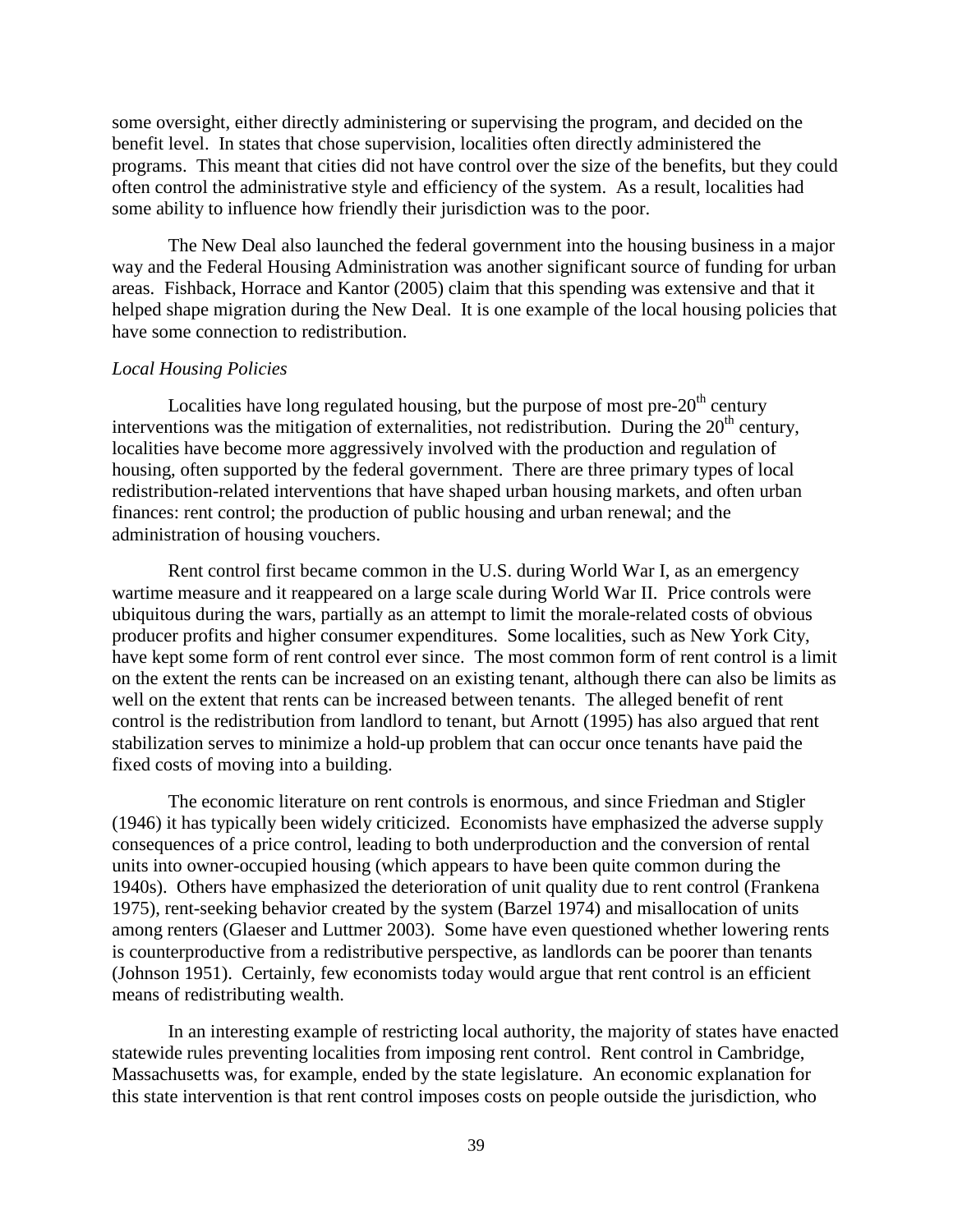some oversight, either directly administering or supervising the program, and decided on the benefit level. In states that chose supervision, localities often directly administered the programs. This meant that cities did not have control over the size of the benefits, but they could often control the administrative style and efficiency of the system. As a result, localities had some ability to influence how friendly their jurisdiction was to the poor.

The New Deal also launched the federal government into the housing business in a major way and the Federal Housing Administration was another significant source of funding for urban areas. Fishback, Horrace and Kantor (2005) claim that this spending was extensive and that it helped shape migration during the New Deal. It is one example of the local housing policies that have some connection to redistribution.

#### *Local Housing Policies*

Localities have long regulated housing, but the purpose of most pre- $20<sup>th</sup>$  century interventions was the mitigation of externalities, not redistribution. During the  $20<sup>th</sup>$  century, localities have become more aggressively involved with the production and regulation of housing, often supported by the federal government. There are three primary types of local redistribution-related interventions that have shaped urban housing markets, and often urban finances: rent control; the production of public housing and urban renewal; and the administration of housing vouchers.

 Rent control first became common in the U.S. during World War I, as an emergency wartime measure and it reappeared on a large scale during World War II. Price controls were ubiquitous during the wars, partially as an attempt to limit the morale-related costs of obvious producer profits and higher consumer expenditures. Some localities, such as New York City, have kept some form of rent control ever since. The most common form of rent control is a limit on the extent the rents can be increased on an existing tenant, although there can also be limits as well on the extent that rents can be increased between tenants. The alleged benefit of rent control is the redistribution from landlord to tenant, but Arnott (1995) has also argued that rent stabilization serves to minimize a hold-up problem that can occur once tenants have paid the fixed costs of moving into a building.

 The economic literature on rent controls is enormous, and since Friedman and Stigler (1946) it has typically been widely criticized. Economists have emphasized the adverse supply consequences of a price control, leading to both underproduction and the conversion of rental units into owner-occupied housing (which appears to have been quite common during the 1940s). Others have emphasized the deterioration of unit quality due to rent control (Frankena 1975), rent-seeking behavior created by the system (Barzel 1974) and misallocation of units among renters (Glaeser and Luttmer 2003). Some have even questioned whether lowering rents is counterproductive from a redistributive perspective, as landlords can be poorer than tenants (Johnson 1951). Certainly, few economists today would argue that rent control is an efficient means of redistributing wealth.

In an interesting example of restricting local authority, the majority of states have enacted statewide rules preventing localities from imposing rent control. Rent control in Cambridge, Massachusetts was, for example, ended by the state legislature. An economic explanation for this state intervention is that rent control imposes costs on people outside the jurisdiction, who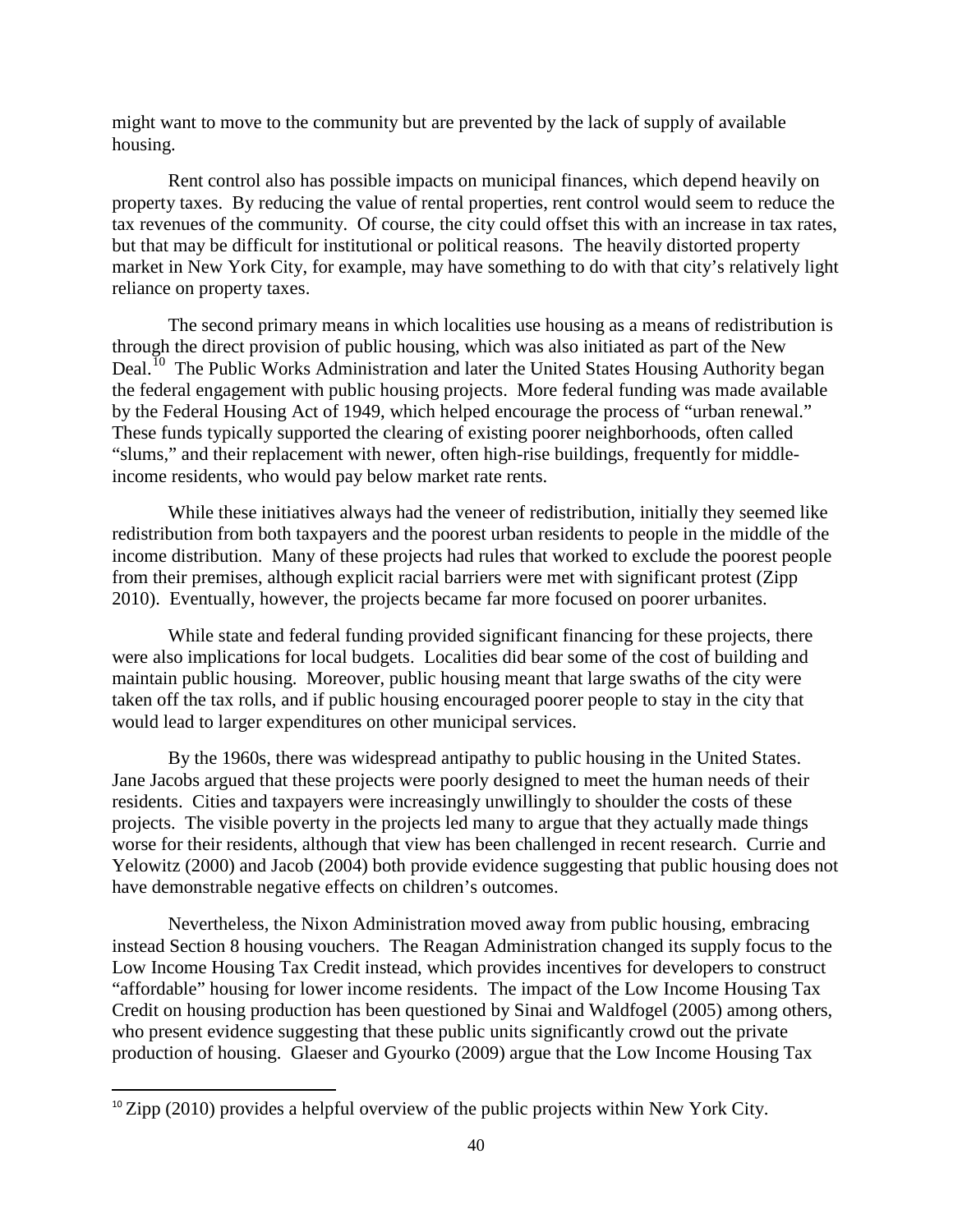might want to move to the community but are prevented by the lack of supply of available housing.

 Rent control also has possible impacts on municipal finances, which depend heavily on property taxes. By reducing the value of rental properties, rent control would seem to reduce the tax revenues of the community. Of course, the city could offset this with an increase in tax rates, but that may be difficult for institutional or political reasons. The heavily distorted property market in New York City, for example, may have something to do with that city's relatively light reliance on property taxes.

 The second primary means in which localities use housing as a means of redistribution is through the direct provision of public housing, which was also initiated as part of the New Deal.<sup>[10](#page-40-0)</sup> The Public Works Administration and later the United States Housing Authority began the federal engagement with public housing projects. More federal funding was made available by the Federal Housing Act of 1949, which helped encourage the process of "urban renewal." These funds typically supported the clearing of existing poorer neighborhoods, often called "slums," and their replacement with newer, often high-rise buildings, frequently for middleincome residents, who would pay below market rate rents.

While these initiatives always had the veneer of redistribution, initially they seemed like redistribution from both taxpayers and the poorest urban residents to people in the middle of the income distribution. Many of these projects had rules that worked to exclude the poorest people from their premises, although explicit racial barriers were met with significant protest (Zipp 2010). Eventually, however, the projects became far more focused on poorer urbanites.

While state and federal funding provided significant financing for these projects, there were also implications for local budgets. Localities did bear some of the cost of building and maintain public housing. Moreover, public housing meant that large swaths of the city were taken off the tax rolls, and if public housing encouraged poorer people to stay in the city that would lead to larger expenditures on other municipal services.

 By the 1960s, there was widespread antipathy to public housing in the United States. Jane Jacobs argued that these projects were poorly designed to meet the human needs of their residents. Cities and taxpayers were increasingly unwillingly to shoulder the costs of these projects. The visible poverty in the projects led many to argue that they actually made things worse for their residents, although that view has been challenged in recent research. Currie and Yelowitz (2000) and Jacob (2004) both provide evidence suggesting that public housing does not have demonstrable negative effects on children's outcomes.

 Nevertheless, the Nixon Administration moved away from public housing, embracing instead Section 8 housing vouchers. The Reagan Administration changed its supply focus to the Low Income Housing Tax Credit instead, which provides incentives for developers to construct "affordable" housing for lower income residents. The impact of the Low Income Housing Tax Credit on housing production has been questioned by Sinai and Waldfogel (2005) among others, who present evidence suggesting that these public units significantly crowd out the private production of housing. Glaeser and Gyourko (2009) argue that the Low Income Housing Tax

 $\overline{\phantom{a}}$ 

<span id="page-40-0"></span> $10$  Zipp (2010) provides a helpful overview of the public projects within New York City.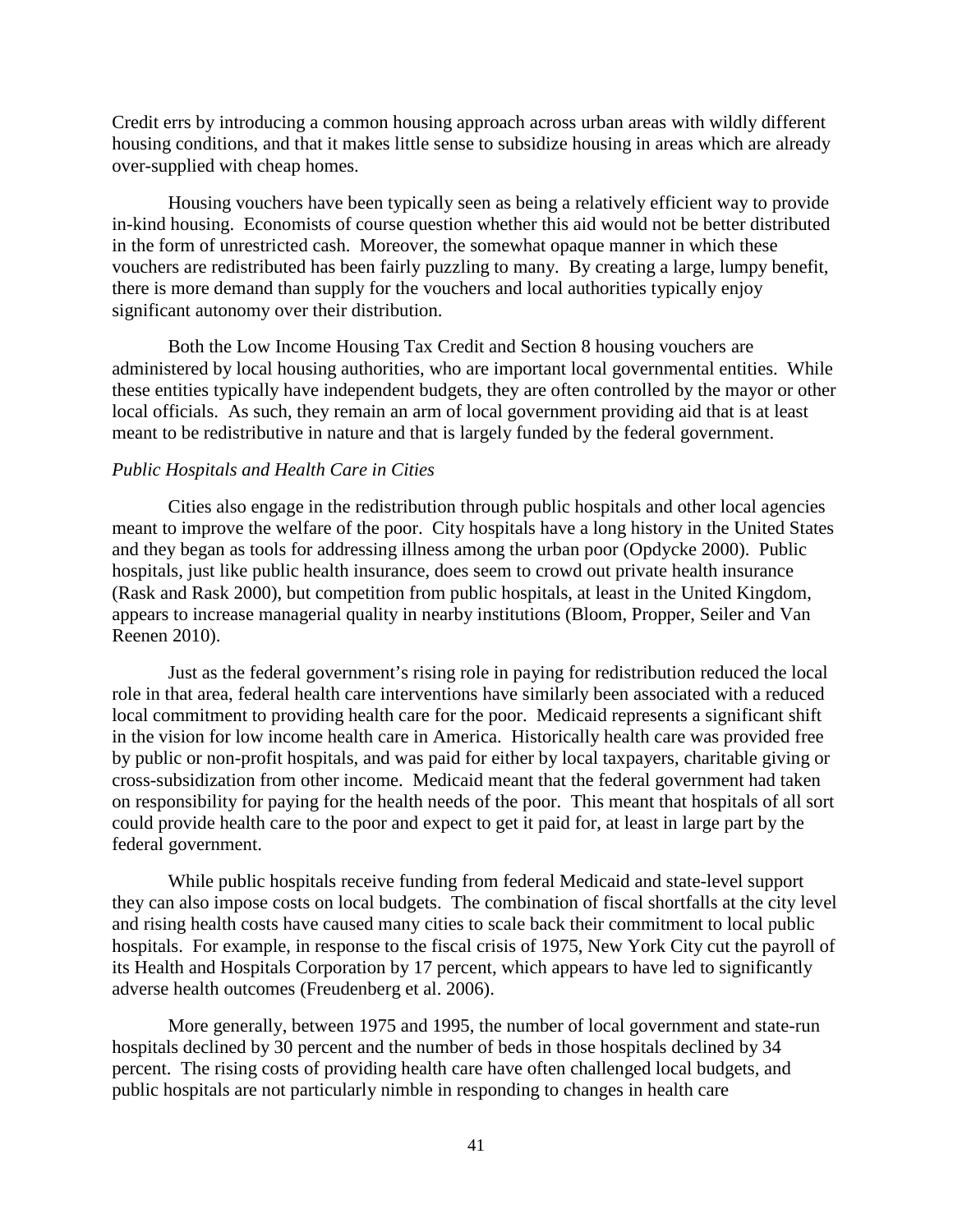Credit errs by introducing a common housing approach across urban areas with wildly different housing conditions, and that it makes little sense to subsidize housing in areas which are already over-supplied with cheap homes.

 Housing vouchers have been typically seen as being a relatively efficient way to provide in-kind housing. Economists of course question whether this aid would not be better distributed in the form of unrestricted cash. Moreover, the somewhat opaque manner in which these vouchers are redistributed has been fairly puzzling to many. By creating a large, lumpy benefit, there is more demand than supply for the vouchers and local authorities typically enjoy significant autonomy over their distribution.

 Both the Low Income Housing Tax Credit and Section 8 housing vouchers are administered by local housing authorities, who are important local governmental entities. While these entities typically have independent budgets, they are often controlled by the mayor or other local officials. As such, they remain an arm of local government providing aid that is at least meant to be redistributive in nature and that is largely funded by the federal government.

## *Public Hospitals and Health Care in Cities*

Cities also engage in the redistribution through public hospitals and other local agencies meant to improve the welfare of the poor. City hospitals have a long history in the United States and they began as tools for addressing illness among the urban poor (Opdycke 2000). Public hospitals, just like public health insurance, does seem to crowd out private health insurance (Rask and Rask 2000), but competition from public hospitals, at least in the United Kingdom, appears to increase managerial quality in nearby institutions (Bloom, Propper, Seiler and Van Reenen 2010).

Just as the federal government's rising role in paying for redistribution reduced the local role in that area, federal health care interventions have similarly been associated with a reduced local commitment to providing health care for the poor. Medicaid represents a significant shift in the vision for low income health care in America. Historically health care was provided free by public or non-profit hospitals, and was paid for either by local taxpayers, charitable giving or cross-subsidization from other income. Medicaid meant that the federal government had taken on responsibility for paying for the health needs of the poor. This meant that hospitals of all sort could provide health care to the poor and expect to get it paid for, at least in large part by the federal government.

While public hospitals receive funding from federal Medicaid and state-level support they can also impose costs on local budgets. The combination of fiscal shortfalls at the city level and rising health costs have caused many cities to scale back their commitment to local public hospitals. For example, in response to the fiscal crisis of 1975, New York City cut the payroll of its Health and Hospitals Corporation by 17 percent, which appears to have led to significantly adverse health outcomes (Freudenberg et al. 2006).

More generally, between 1975 and 1995, the number of local government and state-run hospitals declined by 30 percent and the number of beds in those hospitals declined by 34 percent. The rising costs of providing health care have often challenged local budgets, and public hospitals are not particularly nimble in responding to changes in health care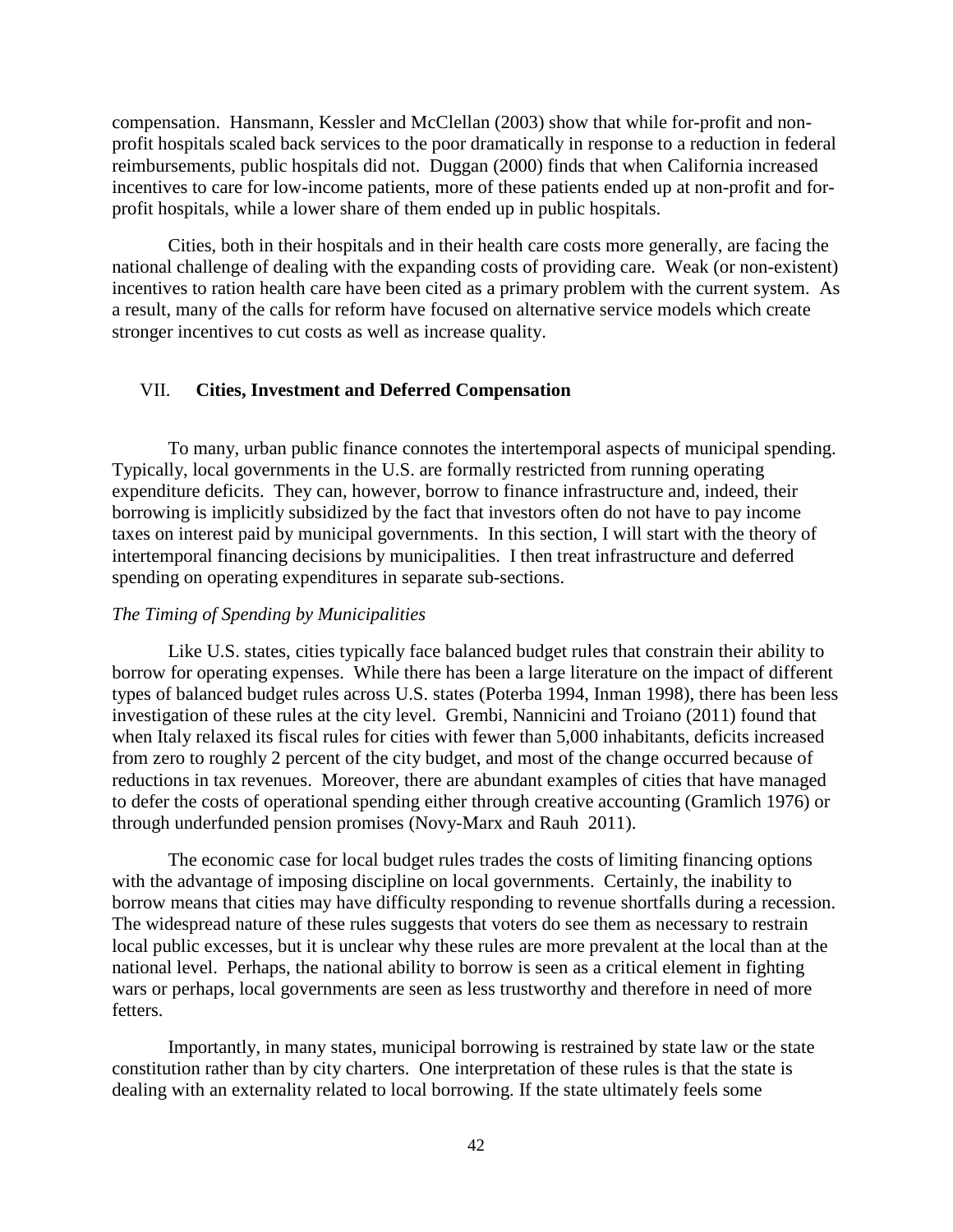compensation. Hansmann, Kessler and McClellan (2003) show that while for-profit and nonprofit hospitals scaled back services to the poor dramatically in response to a reduction in federal reimbursements, public hospitals did not. Duggan (2000) finds that when California increased incentives to care for low-income patients, more of these patients ended up at non-profit and forprofit hospitals, while a lower share of them ended up in public hospitals.

Cities, both in their hospitals and in their health care costs more generally, are facing the national challenge of dealing with the expanding costs of providing care. Weak (or non-existent) incentives to ration health care have been cited as a primary problem with the current system. As a result, many of the calls for reform have focused on alternative service models which create stronger incentives to cut costs as well as increase quality.

## VII. **Cities, Investment and Deferred Compensation**

To many, urban public finance connotes the intertemporal aspects of municipal spending. Typically, local governments in the U.S. are formally restricted from running operating expenditure deficits. They can, however, borrow to finance infrastructure and, indeed, their borrowing is implicitly subsidized by the fact that investors often do not have to pay income taxes on interest paid by municipal governments. In this section, I will start with the theory of intertemporal financing decisions by municipalities. I then treat infrastructure and deferred spending on operating expenditures in separate sub-sections.

#### *The Timing of Spending by Municipalities*

Like U.S. states, cities typically face balanced budget rules that constrain their ability to borrow for operating expenses. While there has been a large literature on the impact of different types of balanced budget rules across U.S. states (Poterba 1994, Inman 1998), there has been less investigation of these rules at the city level. Grembi, Nannicini and Troiano (2011) found that when Italy relaxed its fiscal rules for cities with fewer than 5,000 inhabitants, deficits increased from zero to roughly 2 percent of the city budget, and most of the change occurred because of reductions in tax revenues. Moreover, there are abundant examples of cities that have managed to defer the costs of operational spending either through creative accounting (Gramlich 1976) or through underfunded pension promises (Novy-Marx and Rauh 2011).

 The economic case for local budget rules trades the costs of limiting financing options with the advantage of imposing discipline on local governments. Certainly, the inability to borrow means that cities may have difficulty responding to revenue shortfalls during a recession. The widespread nature of these rules suggests that voters do see them as necessary to restrain local public excesses, but it is unclear why these rules are more prevalent at the local than at the national level. Perhaps, the national ability to borrow is seen as a critical element in fighting wars or perhaps, local governments are seen as less trustworthy and therefore in need of more fetters.

Importantly, in many states, municipal borrowing is restrained by state law or the state constitution rather than by city charters. One interpretation of these rules is that the state is dealing with an externality related to local borrowing. If the state ultimately feels some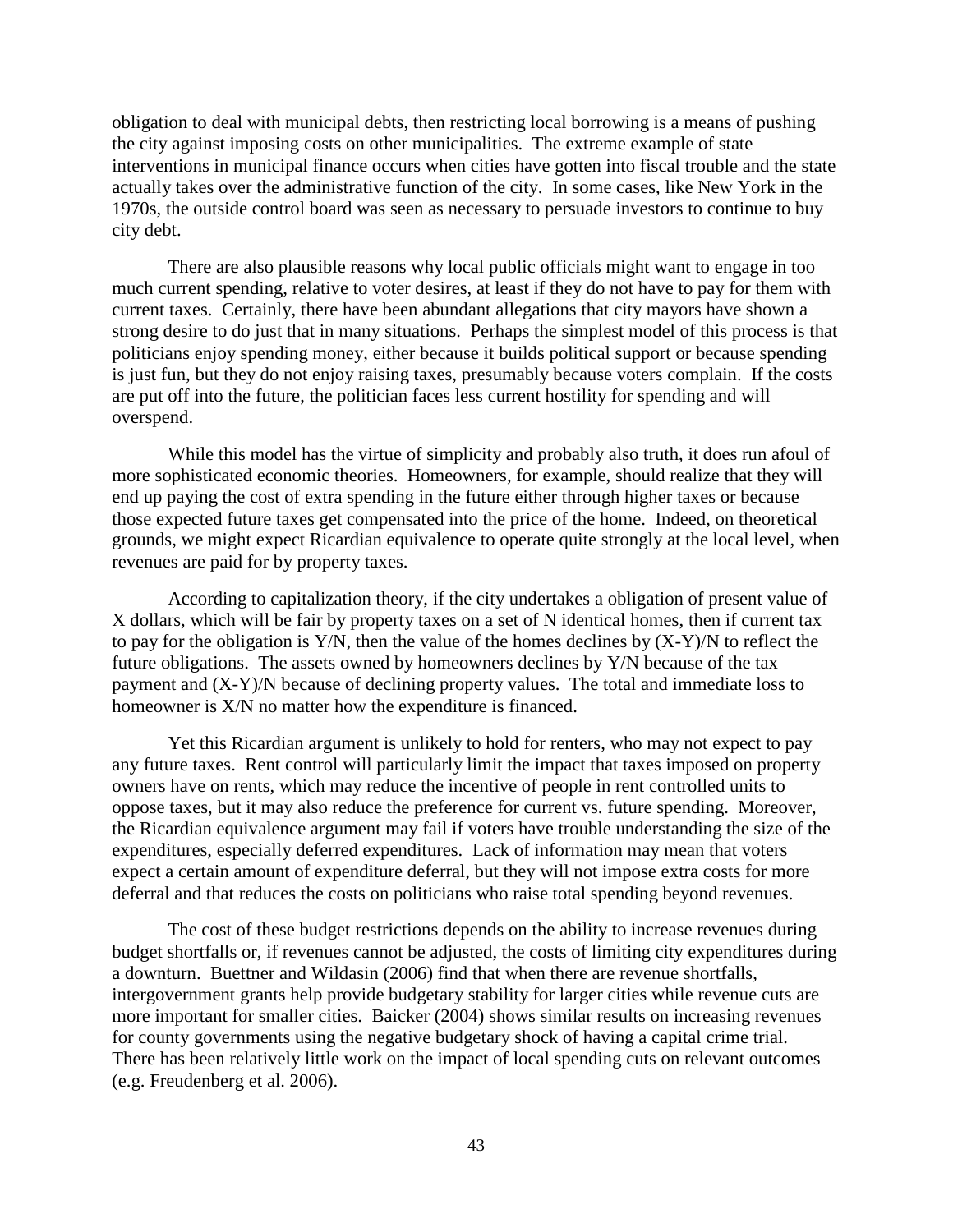obligation to deal with municipal debts, then restricting local borrowing is a means of pushing the city against imposing costs on other municipalities. The extreme example of state interventions in municipal finance occurs when cities have gotten into fiscal trouble and the state actually takes over the administrative function of the city. In some cases, like New York in the 1970s, the outside control board was seen as necessary to persuade investors to continue to buy city debt.

There are also plausible reasons why local public officials might want to engage in too much current spending, relative to voter desires, at least if they do not have to pay for them with current taxes. Certainly, there have been abundant allegations that city mayors have shown a strong desire to do just that in many situations. Perhaps the simplest model of this process is that politicians enjoy spending money, either because it builds political support or because spending is just fun, but they do not enjoy raising taxes, presumably because voters complain. If the costs are put off into the future, the politician faces less current hostility for spending and will overspend.

While this model has the virtue of simplicity and probably also truth, it does run afoul of more sophisticated economic theories. Homeowners, for example, should realize that they will end up paying the cost of extra spending in the future either through higher taxes or because those expected future taxes get compensated into the price of the home. Indeed, on theoretical grounds, we might expect Ricardian equivalence to operate quite strongly at the local level, when revenues are paid for by property taxes.

According to capitalization theory, if the city undertakes a obligation of present value of X dollars, which will be fair by property taxes on a set of N identical homes, then if current tax to pay for the obligation is Y/N, then the value of the homes declines by  $(X-Y)/N$  to reflect the future obligations. The assets owned by homeowners declines by Y/N because of the tax payment and (X-Y)/N because of declining property values. The total and immediate loss to homeowner is X/N no matter how the expenditure is financed.

Yet this Ricardian argument is unlikely to hold for renters, who may not expect to pay any future taxes. Rent control will particularly limit the impact that taxes imposed on property owners have on rents, which may reduce the incentive of people in rent controlled units to oppose taxes, but it may also reduce the preference for current vs. future spending. Moreover, the Ricardian equivalence argument may fail if voters have trouble understanding the size of the expenditures, especially deferred expenditures. Lack of information may mean that voters expect a certain amount of expenditure deferral, but they will not impose extra costs for more deferral and that reduces the costs on politicians who raise total spending beyond revenues.

The cost of these budget restrictions depends on the ability to increase revenues during budget shortfalls or, if revenues cannot be adjusted, the costs of limiting city expenditures during a downturn. Buettner and Wildasin (2006) find that when there are revenue shortfalls, intergovernment grants help provide budgetary stability for larger cities while revenue cuts are more important for smaller cities. Baicker (2004) shows similar results on increasing revenues for county governments using the negative budgetary shock of having a capital crime trial. There has been relatively little work on the impact of local spending cuts on relevant outcomes (e.g. Freudenberg et al. 2006).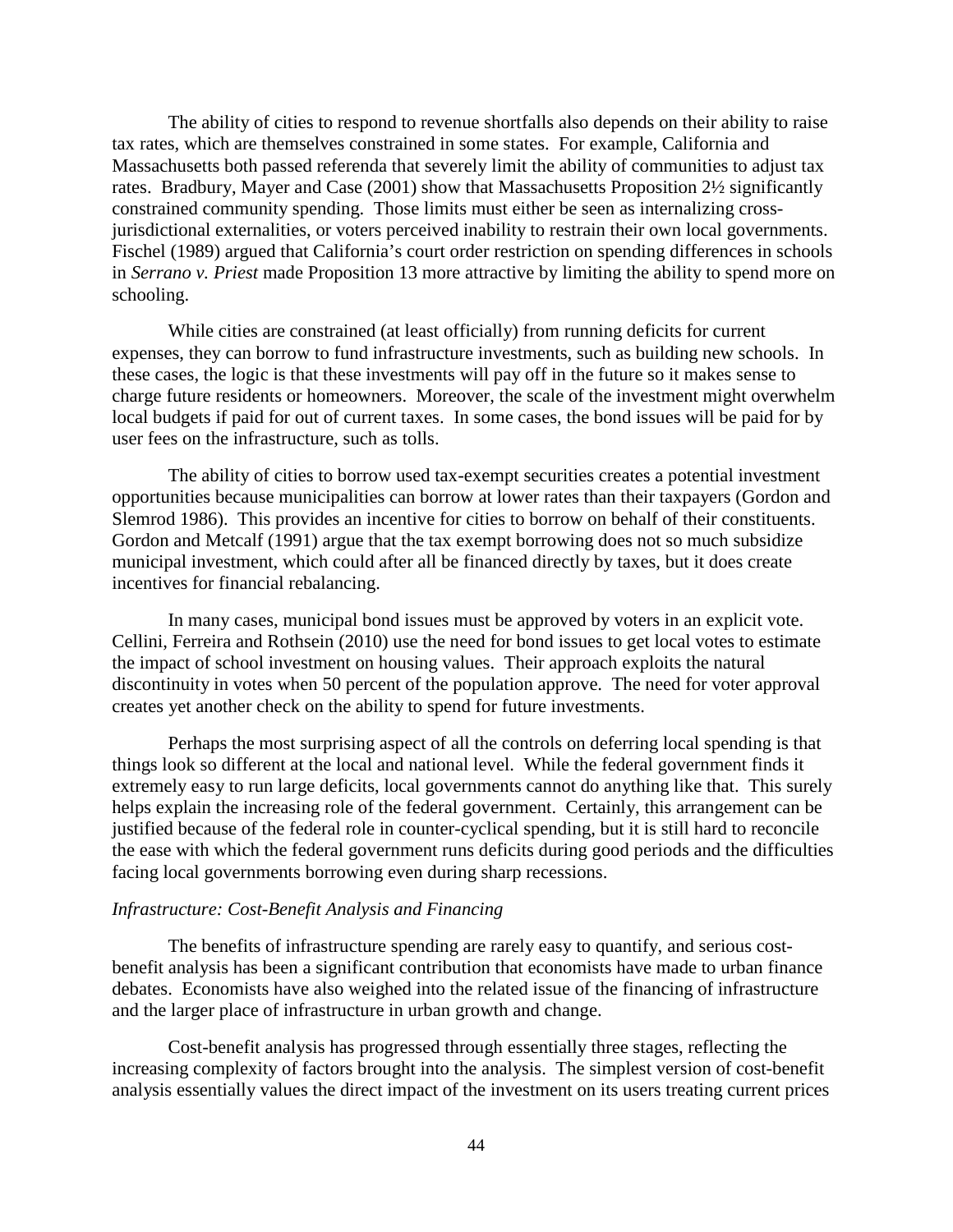The ability of cities to respond to revenue shortfalls also depends on their ability to raise tax rates, which are themselves constrained in some states. For example, California and Massachusetts both passed referenda that severely limit the ability of communities to adjust tax rates. Bradbury, Mayer and Case (2001) show that Massachusetts Proposition 2½ significantly constrained community spending. Those limits must either be seen as internalizing crossjurisdictional externalities, or voters perceived inability to restrain their own local governments. Fischel (1989) argued that California's court order restriction on spending differences in schools in *Serrano v. Priest* made Proposition 13 more attractive by limiting the ability to spend more on schooling.

While cities are constrained (at least officially) from running deficits for current expenses, they can borrow to fund infrastructure investments, such as building new schools. In these cases, the logic is that these investments will pay off in the future so it makes sense to charge future residents or homeowners. Moreover, the scale of the investment might overwhelm local budgets if paid for out of current taxes. In some cases, the bond issues will be paid for by user fees on the infrastructure, such as tolls.

The ability of cities to borrow used tax-exempt securities creates a potential investment opportunities because municipalities can borrow at lower rates than their taxpayers (Gordon and Slemrod 1986). This provides an incentive for cities to borrow on behalf of their constituents. Gordon and Metcalf (1991) argue that the tax exempt borrowing does not so much subsidize municipal investment, which could after all be financed directly by taxes, but it does create incentives for financial rebalancing.

In many cases, municipal bond issues must be approved by voters in an explicit vote. Cellini, Ferreira and Rothsein (2010) use the need for bond issues to get local votes to estimate the impact of school investment on housing values. Their approach exploits the natural discontinuity in votes when 50 percent of the population approve. The need for voter approval creates yet another check on the ability to spend for future investments.

 Perhaps the most surprising aspect of all the controls on deferring local spending is that things look so different at the local and national level. While the federal government finds it extremely easy to run large deficits, local governments cannot do anything like that. This surely helps explain the increasing role of the federal government. Certainly, this arrangement can be justified because of the federal role in counter-cyclical spending, but it is still hard to reconcile the ease with which the federal government runs deficits during good periods and the difficulties facing local governments borrowing even during sharp recessions.

#### *Infrastructure: Cost-Benefit Analysis and Financing*

 The benefits of infrastructure spending are rarely easy to quantify, and serious costbenefit analysis has been a significant contribution that economists have made to urban finance debates. Economists have also weighed into the related issue of the financing of infrastructure and the larger place of infrastructure in urban growth and change.

 Cost-benefit analysis has progressed through essentially three stages, reflecting the increasing complexity of factors brought into the analysis. The simplest version of cost-benefit analysis essentially values the direct impact of the investment on its users treating current prices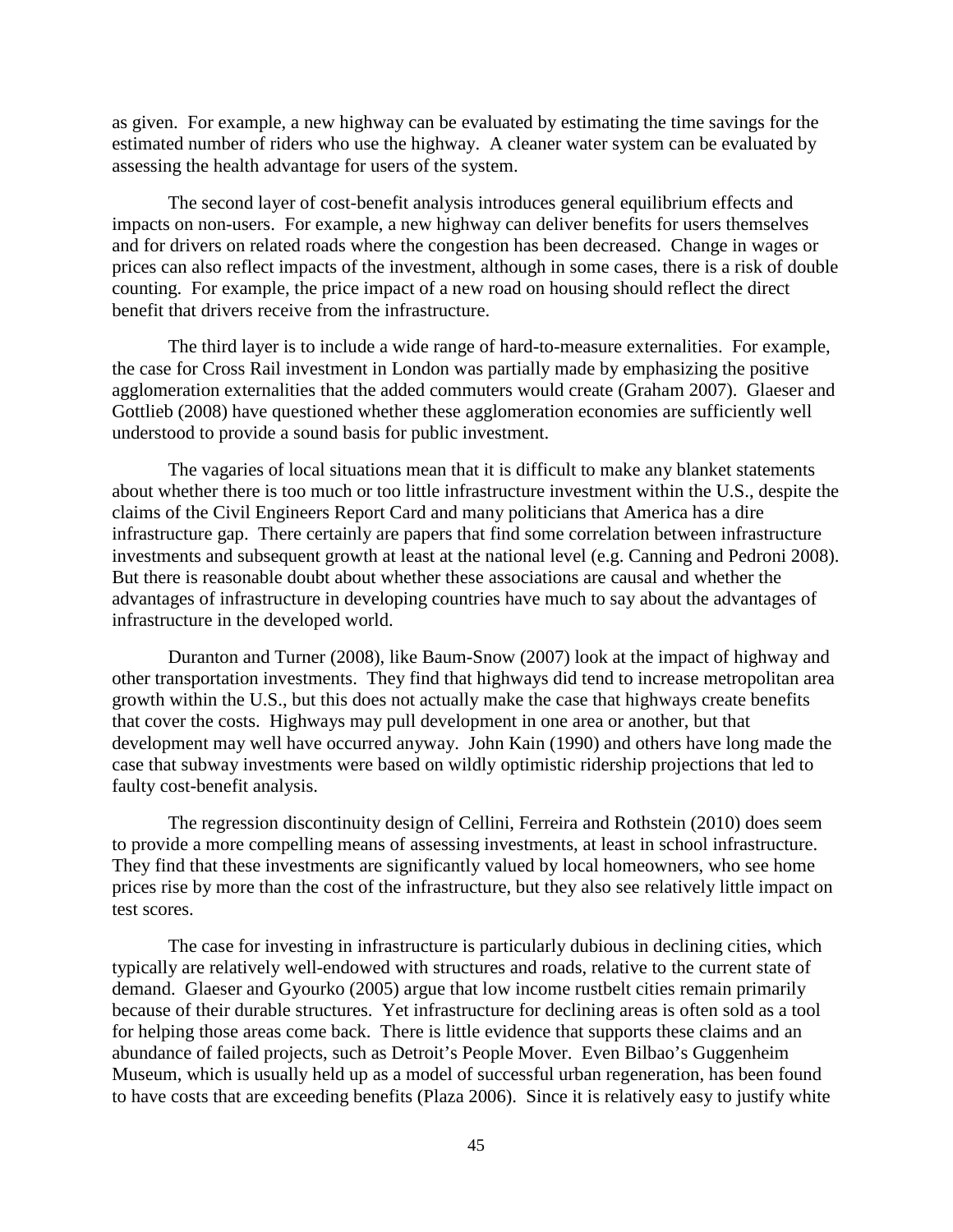as given. For example, a new highway can be evaluated by estimating the time savings for the estimated number of riders who use the highway. A cleaner water system can be evaluated by assessing the health advantage for users of the system.

 The second layer of cost-benefit analysis introduces general equilibrium effects and impacts on non-users. For example, a new highway can deliver benefits for users themselves and for drivers on related roads where the congestion has been decreased. Change in wages or prices can also reflect impacts of the investment, although in some cases, there is a risk of double counting. For example, the price impact of a new road on housing should reflect the direct benefit that drivers receive from the infrastructure.

The third layer is to include a wide range of hard-to-measure externalities. For example, the case for Cross Rail investment in London was partially made by emphasizing the positive agglomeration externalities that the added commuters would create (Graham 2007). Glaeser and Gottlieb (2008) have questioned whether these agglomeration economies are sufficiently well understood to provide a sound basis for public investment.

The vagaries of local situations mean that it is difficult to make any blanket statements about whether there is too much or too little infrastructure investment within the U.S., despite the claims of the Civil Engineers Report Card and many politicians that America has a dire infrastructure gap. There certainly are papers that find some correlation between infrastructure investments and subsequent growth at least at the national level (e.g. Canning and Pedroni 2008). But there is reasonable doubt about whether these associations are causal and whether the advantages of infrastructure in developing countries have much to say about the advantages of infrastructure in the developed world.

 Duranton and Turner (2008), like Baum-Snow (2007) look at the impact of highway and other transportation investments. They find that highways did tend to increase metropolitan area growth within the U.S., but this does not actually make the case that highways create benefits that cover the costs. Highways may pull development in one area or another, but that development may well have occurred anyway. John Kain (1990) and others have long made the case that subway investments were based on wildly optimistic ridership projections that led to faulty cost-benefit analysis.

 The regression discontinuity design of Cellini, Ferreira and Rothstein (2010) does seem to provide a more compelling means of assessing investments, at least in school infrastructure. They find that these investments are significantly valued by local homeowners, who see home prices rise by more than the cost of the infrastructure, but they also see relatively little impact on test scores.

 The case for investing in infrastructure is particularly dubious in declining cities, which typically are relatively well-endowed with structures and roads, relative to the current state of demand. Glaeser and Gyourko (2005) argue that low income rustbelt cities remain primarily because of their durable structures. Yet infrastructure for declining areas is often sold as a tool for helping those areas come back. There is little evidence that supports these claims and an abundance of failed projects, such as Detroit's People Mover. Even Bilbao's Guggenheim Museum, which is usually held up as a model of successful urban regeneration, has been found to have costs that are exceeding benefits (Plaza 2006). Since it is relatively easy to justify white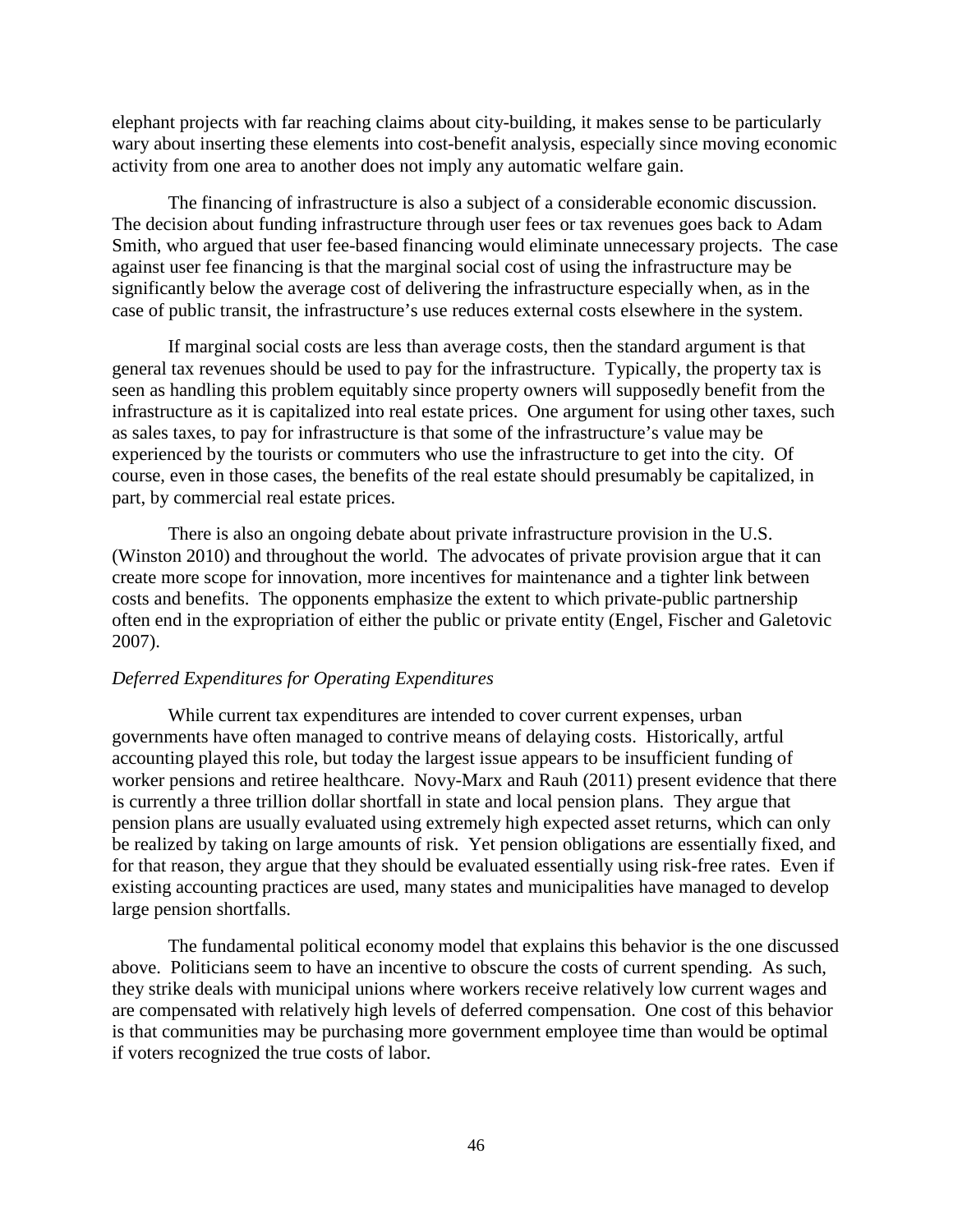elephant projects with far reaching claims about city-building, it makes sense to be particularly wary about inserting these elements into cost-benefit analysis, especially since moving economic activity from one area to another does not imply any automatic welfare gain.

 The financing of infrastructure is also a subject of a considerable economic discussion. The decision about funding infrastructure through user fees or tax revenues goes back to Adam Smith, who argued that user fee-based financing would eliminate unnecessary projects. The case against user fee financing is that the marginal social cost of using the infrastructure may be significantly below the average cost of delivering the infrastructure especially when, as in the case of public transit, the infrastructure's use reduces external costs elsewhere in the system.

If marginal social costs are less than average costs, then the standard argument is that general tax revenues should be used to pay for the infrastructure. Typically, the property tax is seen as handling this problem equitably since property owners will supposedly benefit from the infrastructure as it is capitalized into real estate prices. One argument for using other taxes, such as sales taxes, to pay for infrastructure is that some of the infrastructure's value may be experienced by the tourists or commuters who use the infrastructure to get into the city. Of course, even in those cases, the benefits of the real estate should presumably be capitalized, in part, by commercial real estate prices.

 There is also an ongoing debate about private infrastructure provision in the U.S. (Winston 2010) and throughout the world. The advocates of private provision argue that it can create more scope for innovation, more incentives for maintenance and a tighter link between costs and benefits. The opponents emphasize the extent to which private-public partnership often end in the expropriation of either the public or private entity (Engel, Fischer and Galetovic 2007).

## *Deferred Expenditures for Operating Expenditures*

While current tax expenditures are intended to cover current expenses, urban governments have often managed to contrive means of delaying costs. Historically, artful accounting played this role, but today the largest issue appears to be insufficient funding of worker pensions and retiree healthcare. Novy-Marx and Rauh (2011) present evidence that there is currently a three trillion dollar shortfall in state and local pension plans. They argue that pension plans are usually evaluated using extremely high expected asset returns, which can only be realized by taking on large amounts of risk. Yet pension obligations are essentially fixed, and for that reason, they argue that they should be evaluated essentially using risk-free rates. Even if existing accounting practices are used, many states and municipalities have managed to develop large pension shortfalls.

 The fundamental political economy model that explains this behavior is the one discussed above. Politicians seem to have an incentive to obscure the costs of current spending. As such, they strike deals with municipal unions where workers receive relatively low current wages and are compensated with relatively high levels of deferred compensation. One cost of this behavior is that communities may be purchasing more government employee time than would be optimal if voters recognized the true costs of labor*.*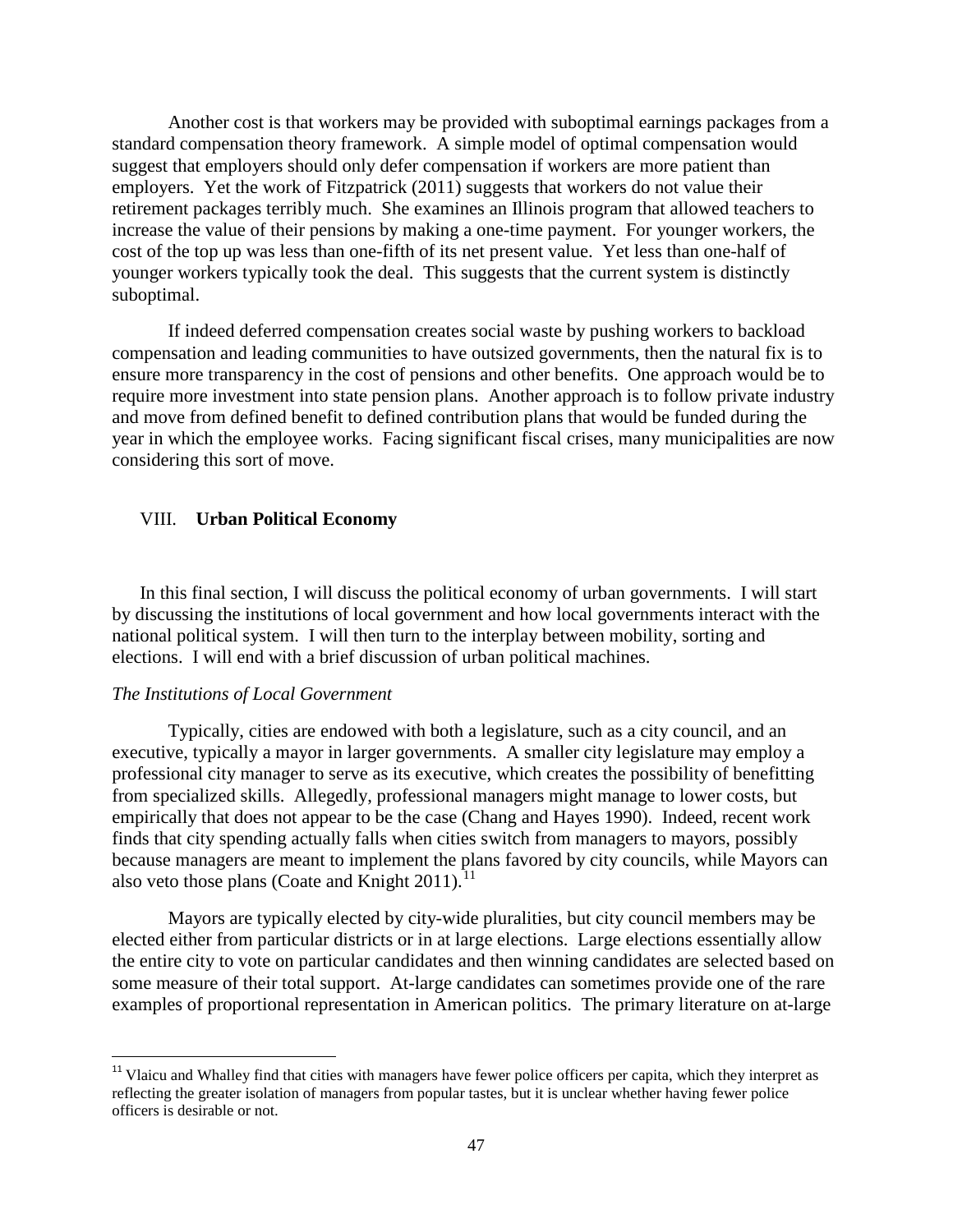Another cost is that workers may be provided with suboptimal earnings packages from a standard compensation theory framework. A simple model of optimal compensation would suggest that employers should only defer compensation if workers are more patient than employers. Yet the work of Fitzpatrick (2011) suggests that workers do not value their retirement packages terribly much. She examines an Illinois program that allowed teachers to increase the value of their pensions by making a one-time payment. For younger workers, the cost of the top up was less than one-fifth of its net present value. Yet less than one-half of younger workers typically took the deal. This suggests that the current system is distinctly suboptimal.

 If indeed deferred compensation creates social waste by pushing workers to backload compensation and leading communities to have outsized governments, then the natural fix is to ensure more transparency in the cost of pensions and other benefits. One approach would be to require more investment into state pension plans. Another approach is to follow private industry and move from defined benefit to defined contribution plans that would be funded during the year in which the employee works. Facing significant fiscal crises, many municipalities are now considering this sort of move.

## VIII. **Urban Political Economy**

In this final section, I will discuss the political economy of urban governments. I will start by discussing the institutions of local government and how local governments interact with the national political system. I will then turn to the interplay between mobility, sorting and elections. I will end with a brief discussion of urban political machines.

## *The Institutions of Local Government*

l

Typically, cities are endowed with both a legislature, such as a city council, and an executive, typically a mayor in larger governments. A smaller city legislature may employ a professional city manager to serve as its executive, which creates the possibility of benefitting from specialized skills. Allegedly, professional managers might manage to lower costs, but empirically that does not appear to be the case (Chang and Hayes 1990). Indeed, recent work finds that city spending actually falls when cities switch from managers to mayors, possibly because managers are meant to implement the plans favored by city councils, while Mayors can also veto those plans (Coate and Knight  $2011$  $2011$ ).<sup>11</sup>

Mayors are typically elected by city-wide pluralities, but city council members may be elected either from particular districts or in at large elections. Large elections essentially allow the entire city to vote on particular candidates and then winning candidates are selected based on some measure of their total support. At-large candidates can sometimes provide one of the rare examples of proportional representation in American politics. The primary literature on at-large

<span id="page-47-0"></span><sup>&</sup>lt;sup>11</sup> Vlaicu and Whalley find that cities with managers have fewer police officers per capita, which they interpret as reflecting the greater isolation of managers from popular tastes, but it is unclear whether having fewer police officers is desirable or not.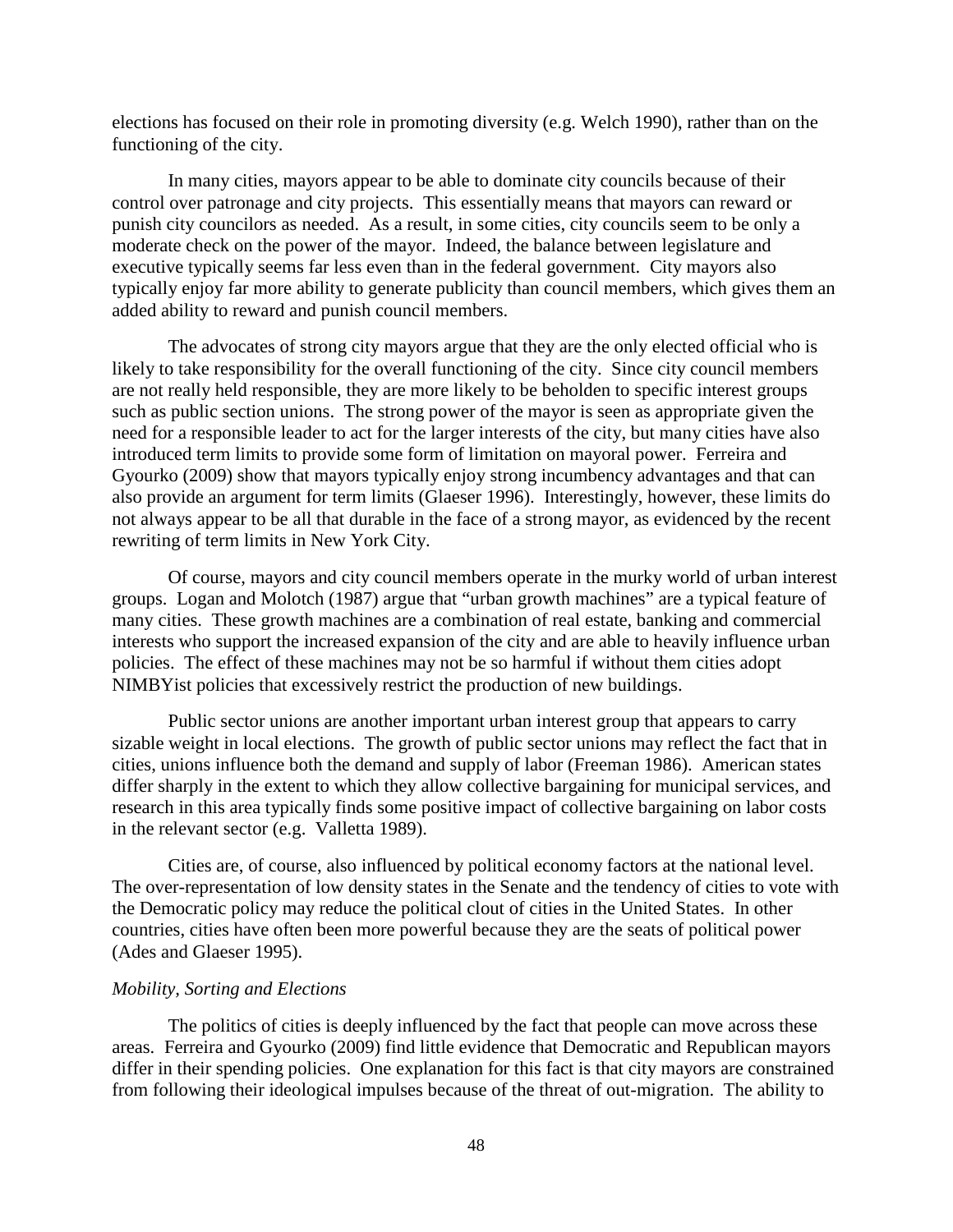elections has focused on their role in promoting diversity (e.g. Welch 1990), rather than on the functioning of the city.

In many cities, mayors appear to be able to dominate city councils because of their control over patronage and city projects. This essentially means that mayors can reward or punish city councilors as needed. As a result, in some cities, city councils seem to be only a moderate check on the power of the mayor. Indeed, the balance between legislature and executive typically seems far less even than in the federal government. City mayors also typically enjoy far more ability to generate publicity than council members, which gives them an added ability to reward and punish council members.

The advocates of strong city mayors argue that they are the only elected official who is likely to take responsibility for the overall functioning of the city. Since city council members are not really held responsible, they are more likely to be beholden to specific interest groups such as public section unions. The strong power of the mayor is seen as appropriate given the need for a responsible leader to act for the larger interests of the city, but many cities have also introduced term limits to provide some form of limitation on mayoral power. Ferreira and Gyourko (2009) show that mayors typically enjoy strong incumbency advantages and that can also provide an argument for term limits (Glaeser 1996). Interestingly, however, these limits do not always appear to be all that durable in the face of a strong mayor, as evidenced by the recent rewriting of term limits in New York City.

 Of course, mayors and city council members operate in the murky world of urban interest groups. Logan and Molotch (1987) argue that "urban growth machines" are a typical feature of many cities. These growth machines are a combination of real estate, banking and commercial interests who support the increased expansion of the city and are able to heavily influence urban policies. The effect of these machines may not be so harmful if without them cities adopt NIMBYist policies that excessively restrict the production of new buildings.

 Public sector unions are another important urban interest group that appears to carry sizable weight in local elections. The growth of public sector unions may reflect the fact that in cities, unions influence both the demand and supply of labor (Freeman 1986). American states differ sharply in the extent to which they allow collective bargaining for municipal services, and research in this area typically finds some positive impact of collective bargaining on labor costs in the relevant sector (e.g. Valletta 1989).

 Cities are, of course, also influenced by political economy factors at the national level. The over-representation of low density states in the Senate and the tendency of cities to vote with the Democratic policy may reduce the political clout of cities in the United States. In other countries, cities have often been more powerful because they are the seats of political power (Ades and Glaeser 1995).

#### *Mobility, Sorting and Elections*

The politics of cities is deeply influenced by the fact that people can move across these areas. Ferreira and Gyourko (2009) find little evidence that Democratic and Republican mayors differ in their spending policies. One explanation for this fact is that city mayors are constrained from following their ideological impulses because of the threat of out-migration. The ability to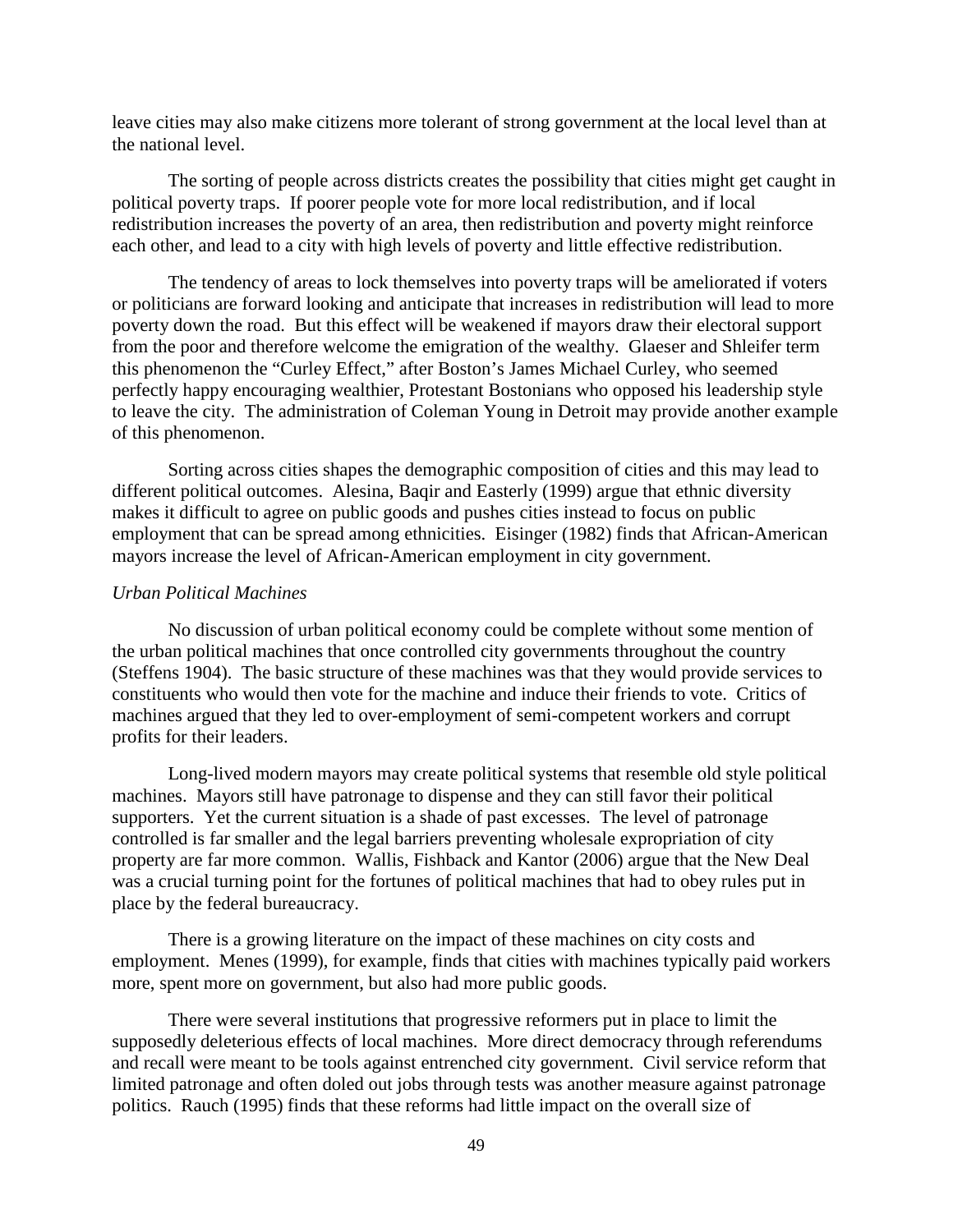leave cities may also make citizens more tolerant of strong government at the local level than at the national level.

The sorting of people across districts creates the possibility that cities might get caught in political poverty traps. If poorer people vote for more local redistribution, and if local redistribution increases the poverty of an area, then redistribution and poverty might reinforce each other, and lead to a city with high levels of poverty and little effective redistribution.

 The tendency of areas to lock themselves into poverty traps will be ameliorated if voters or politicians are forward looking and anticipate that increases in redistribution will lead to more poverty down the road. But this effect will be weakened if mayors draw their electoral support from the poor and therefore welcome the emigration of the wealthy. Glaeser and Shleifer term this phenomenon the "Curley Effect," after Boston's James Michael Curley, who seemed perfectly happy encouraging wealthier, Protestant Bostonians who opposed his leadership style to leave the city. The administration of Coleman Young in Detroit may provide another example of this phenomenon.

 Sorting across cities shapes the demographic composition of cities and this may lead to different political outcomes. Alesina, Baqir and Easterly (1999) argue that ethnic diversity makes it difficult to agree on public goods and pushes cities instead to focus on public employment that can be spread among ethnicities. Eisinger (1982) finds that African-American mayors increase the level of African-American employment in city government.

### *Urban Political Machines*

No discussion of urban political economy could be complete without some mention of the urban political machines that once controlled city governments throughout the country (Steffens 1904). The basic structure of these machines was that they would provide services to constituents who would then vote for the machine and induce their friends to vote. Critics of machines argued that they led to over-employment of semi-competent workers and corrupt profits for their leaders.

Long-lived modern mayors may create political systems that resemble old style political machines. Mayors still have patronage to dispense and they can still favor their political supporters. Yet the current situation is a shade of past excesses. The level of patronage controlled is far smaller and the legal barriers preventing wholesale expropriation of city property are far more common. Wallis, Fishback and Kantor (2006) argue that the New Deal was a crucial turning point for the fortunes of political machines that had to obey rules put in place by the federal bureaucracy.

There is a growing literature on the impact of these machines on city costs and employment. Menes (1999), for example, finds that cities with machines typically paid workers more, spent more on government, but also had more public goods.

There were several institutions that progressive reformers put in place to limit the supposedly deleterious effects of local machines. More direct democracy through referendums and recall were meant to be tools against entrenched city government. Civil service reform that limited patronage and often doled out jobs through tests was another measure against patronage politics. Rauch (1995) finds that these reforms had little impact on the overall size of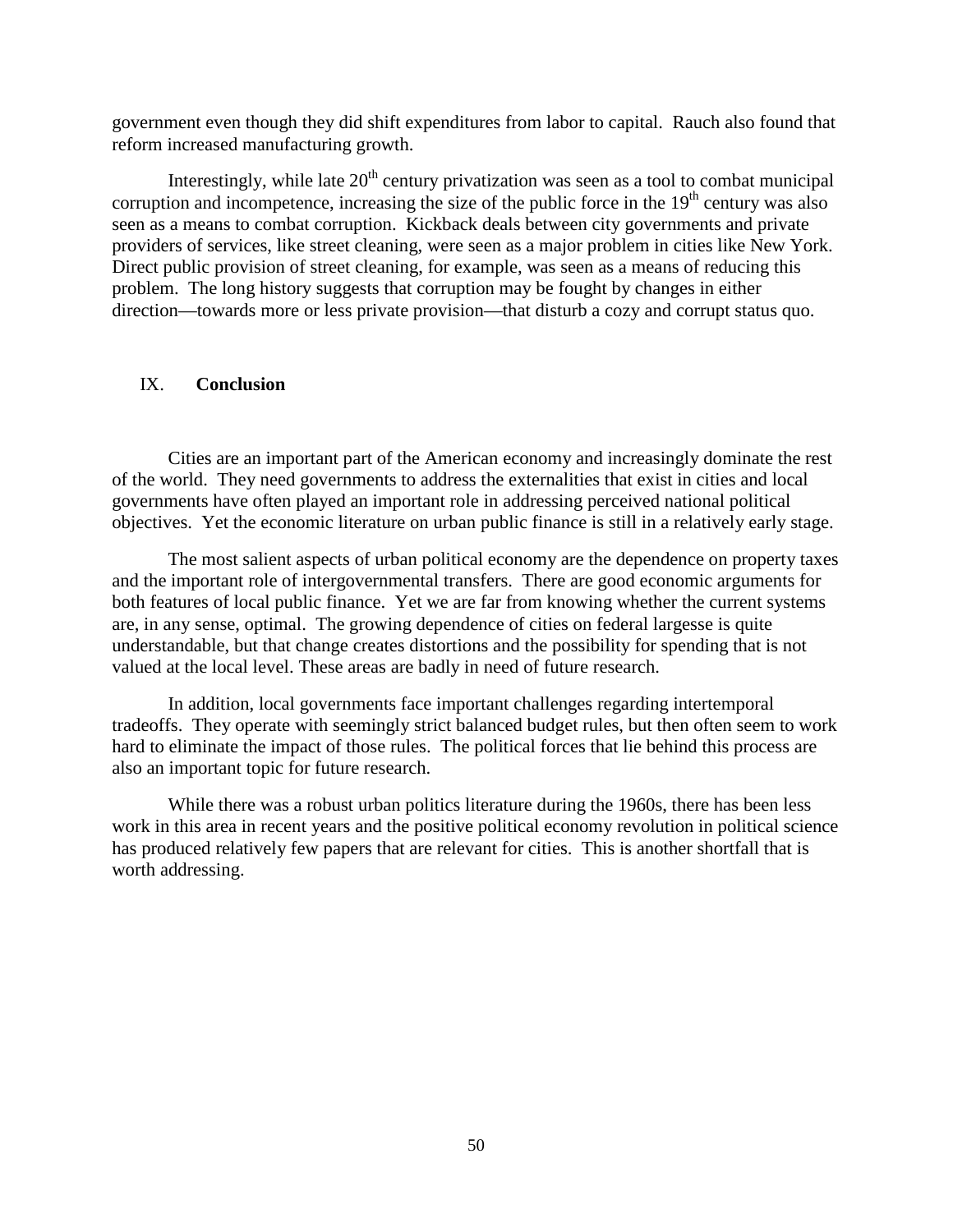government even though they did shift expenditures from labor to capital. Rauch also found that reform increased manufacturing growth.

Interestingly, while late  $20<sup>th</sup>$  century privatization was seen as a tool to combat municipal corruption and incompetence, increasing the size of the public force in the  $19<sup>th</sup>$  century was also seen as a means to combat corruption. Kickback deals between city governments and private providers of services, like street cleaning, were seen as a major problem in cities like New York. Direct public provision of street cleaning, for example, was seen as a means of reducing this problem. The long history suggests that corruption may be fought by changes in either direction—towards more or less private provision—that disturb a cozy and corrupt status quo.

# IX. **Conclusion**

Cities are an important part of the American economy and increasingly dominate the rest of the world. They need governments to address the externalities that exist in cities and local governments have often played an important role in addressing perceived national political objectives. Yet the economic literature on urban public finance is still in a relatively early stage.

The most salient aspects of urban political economy are the dependence on property taxes and the important role of intergovernmental transfers. There are good economic arguments for both features of local public finance. Yet we are far from knowing whether the current systems are, in any sense, optimal. The growing dependence of cities on federal largesse is quite understandable, but that change creates distortions and the possibility for spending that is not valued at the local level. These areas are badly in need of future research.

 In addition, local governments face important challenges regarding intertemporal tradeoffs. They operate with seemingly strict balanced budget rules, but then often seem to work hard to eliminate the impact of those rules. The political forces that lie behind this process are also an important topic for future research.

 While there was a robust urban politics literature during the 1960s, there has been less work in this area in recent years and the positive political economy revolution in political science has produced relatively few papers that are relevant for cities. This is another shortfall that is worth addressing.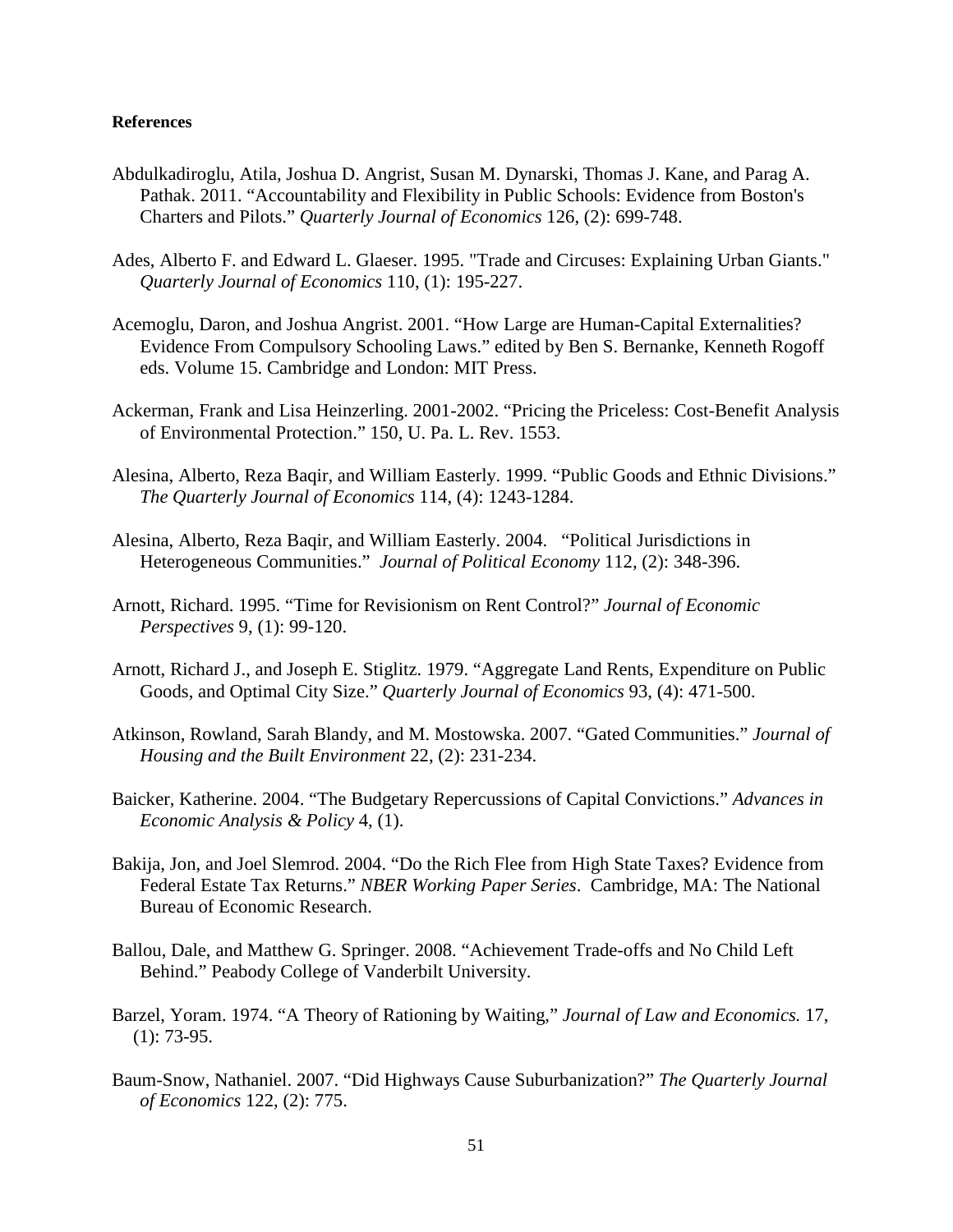#### **References**

- Abdulkadiroglu, Atila, Joshua D. Angrist, Susan M. Dynarski, Thomas J. Kane, and Parag A. Pathak. 2011. "Accountability and Flexibility in Public Schools: Evidence from Boston's Charters and Pilots." *Quarterly Journal of Economics* 126, (2): 699-748.
- Ades, Alberto F. and Edward L. Glaeser. 1995. "Trade and Circuses: Explaining Urban Giants." *Quarterly Journal of Economics* 110, (1): 195-227.
- Acemoglu, Daron, and Joshua Angrist. 2001. "How Large are Human-Capital Externalities? Evidence From Compulsory Schooling Laws." edited by Ben S. Bernanke, Kenneth Rogoff eds. Volume 15. Cambridge and London: MIT Press.
- Ackerman, Frank and Lisa Heinzerling. 2001-2002. "Pricing the Priceless: Cost-Benefit Analysis of Environmental Protection." 150, U. Pa. L. Rev. 1553.
- Alesina, Alberto, Reza Baqir, and William Easterly. 1999. "Public Goods and Ethnic Divisions." *The Quarterly Journal of Economics* 114, (4): 1243-1284.
- Alesina, Alberto, Reza Baqir, and William Easterly. 2004. "Political Jurisdictions in Heterogeneous Communities." *Journal of Political Economy* 112, (2): 348-396.
- Arnott, Richard. 1995. "Time for Revisionism on Rent Control?" *Journal of Economic Perspectives* 9, (1): 99-120.
- Arnott, Richard J., and Joseph E. Stiglitz. 1979. "Aggregate Land Rents, Expenditure on Public Goods, and Optimal City Size." *Quarterly Journal of Economics* 93, (4): 471-500.
- Atkinson, Rowland, Sarah Blandy, and M. Mostowska. 2007. "Gated Communities." *Journal of Housing and the Built Environment* 22, (2): 231-234.
- Baicker, Katherine. 2004. "The Budgetary Repercussions of Capital Convictions." *Advances in Economic Analysis & Policy* 4, (1).
- Bakija, Jon, and Joel Slemrod. 2004. "Do the Rich Flee from High State Taxes? Evidence from Federal Estate Tax Returns." *NBER Working Paper Series*. Cambridge, MA: The National Bureau of Economic Research.
- Ballou, Dale, and Matthew G. Springer. 2008. "Achievement Trade-offs and No Child Left Behind." Peabody College of Vanderbilt University.
- Barzel, Yoram. 1974. "A Theory of Rationing by Waiting," *Journal of Law and Economics.* 17, (1): 73-95.
- Baum-Snow, Nathaniel. 2007. "Did Highways Cause Suburbanization?" *The Quarterly Journal of Economics* 122, (2): 775.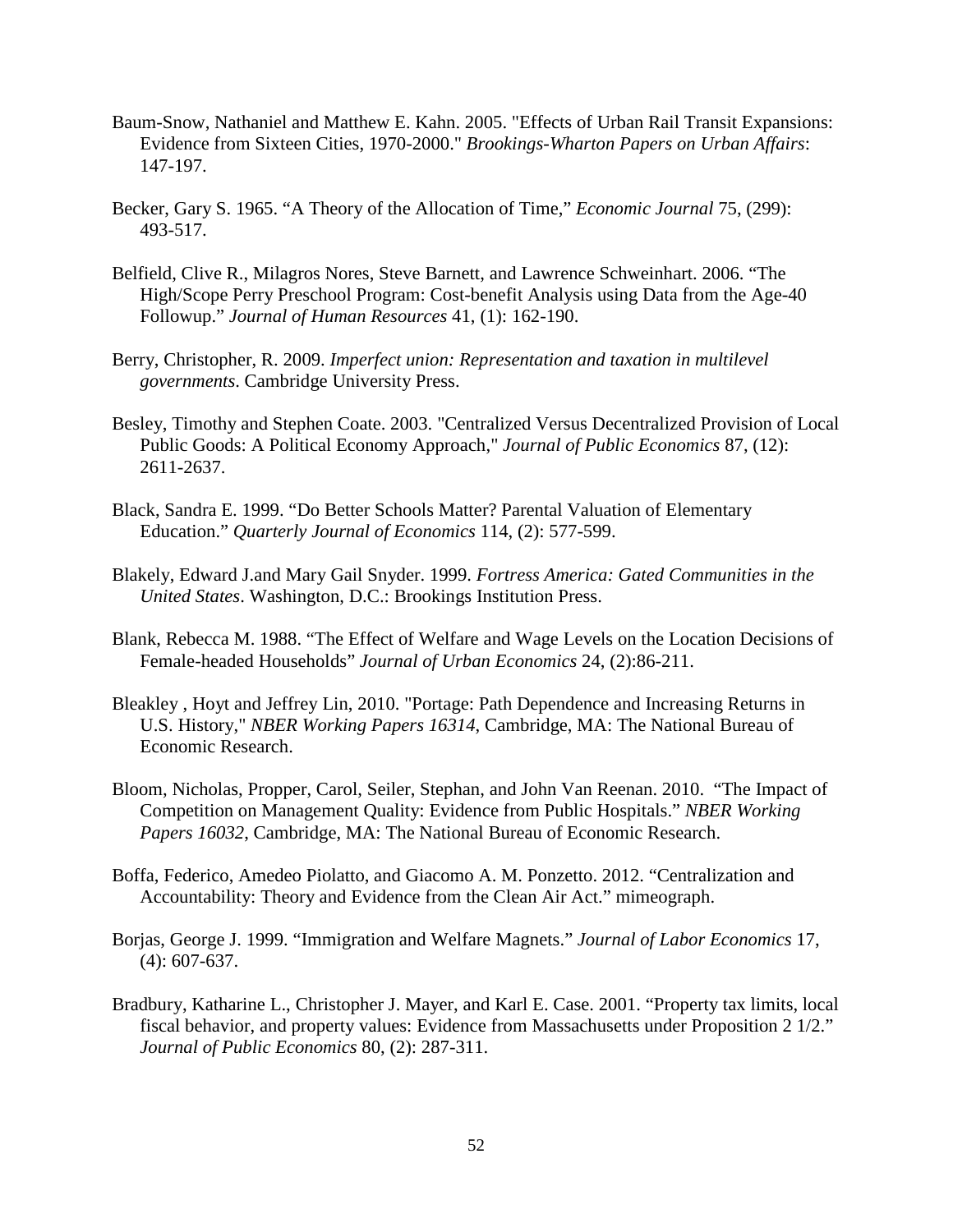- Baum-Snow, Nathaniel and Matthew E. Kahn. 2005. "Effects of Urban Rail Transit Expansions: Evidence from Sixteen Cities, 1970-2000." *Brookings-Wharton Papers on Urban Affairs*: 147-197.
- Becker, Gary S. 1965. "A Theory of the Allocation of Time," *Economic Journal* 75, (299): 493-517.
- Belfield, Clive R., Milagros Nores, Steve Barnett, and Lawrence Schweinhart. 2006. "The High/Scope Perry Preschool Program: Cost-benefit Analysis using Data from the Age-40 Followup." *Journal of Human Resources* 41, (1): 162-190.
- Berry, Christopher, R. 2009. *Imperfect union: Representation and taxation in multilevel governments*. Cambridge University Press.
- Besley, Timothy and Stephen Coate. 2003. "Centralized Versus Decentralized Provision of Local Public Goods: A Political Economy Approach," *Journal of Public Economics* 87, (12): 2611-2637.
- Black, Sandra E. 1999. "Do Better Schools Matter? Parental Valuation of Elementary Education." *Quarterly Journal of Economics* 114, (2): 577-599.
- Blakely, Edward J.and Mary Gail Snyder. 1999. *Fortress America: Gated Communities in the United States*. Washington, D.C.: Brookings Institution Press.
- Blank, Rebecca M. 1988. "The Effect of Welfare and Wage Levels on the Location Decisions of Female-headed Households" *Journal of Urban Economics* 24, (2):86-211.
- Bleakley , Hoyt and Jeffrey Lin, 2010. ["Portage: Path Dependence and Increasing Returns in](http://ideas.repec.org/p/nbr/nberwo/16314.html)   [U.S. History,](http://ideas.repec.org/p/nbr/nberwo/16314.html)" *[NBER Working Papers](http://ideas.repec.org/s/nbr/nberwo.html) 16314*, Cambridge, MA: The National Bureau of Economic Research.
- Bloom, Nicholas, Propper, Carol, Seiler, Stephan, and John Van Reenan. 2010. "The Impact of Competition on Management Quality: Evidence from Public Hospitals." *NBER Working Papers 16032*, Cambridge, MA: The National Bureau of Economic Research.
- Boffa, Federico, Amedeo Piolatto, and Giacomo A. M. Ponzetto. 2012. "Centralization and Accountability: Theory and Evidence from the Clean Air Act." mimeograph.
- Borjas, George J. 1999. "Immigration and Welfare Magnets." *Journal of Labor Economics* 17, (4): 607-637.
- Bradbury, Katharine L., Christopher J. Mayer, and Karl E. Case. 2001. "Property tax limits, local fiscal behavior, and property values: Evidence from Massachusetts under Proposition 2 1/2." *Journal of Public Economics* 80, (2): 287-311.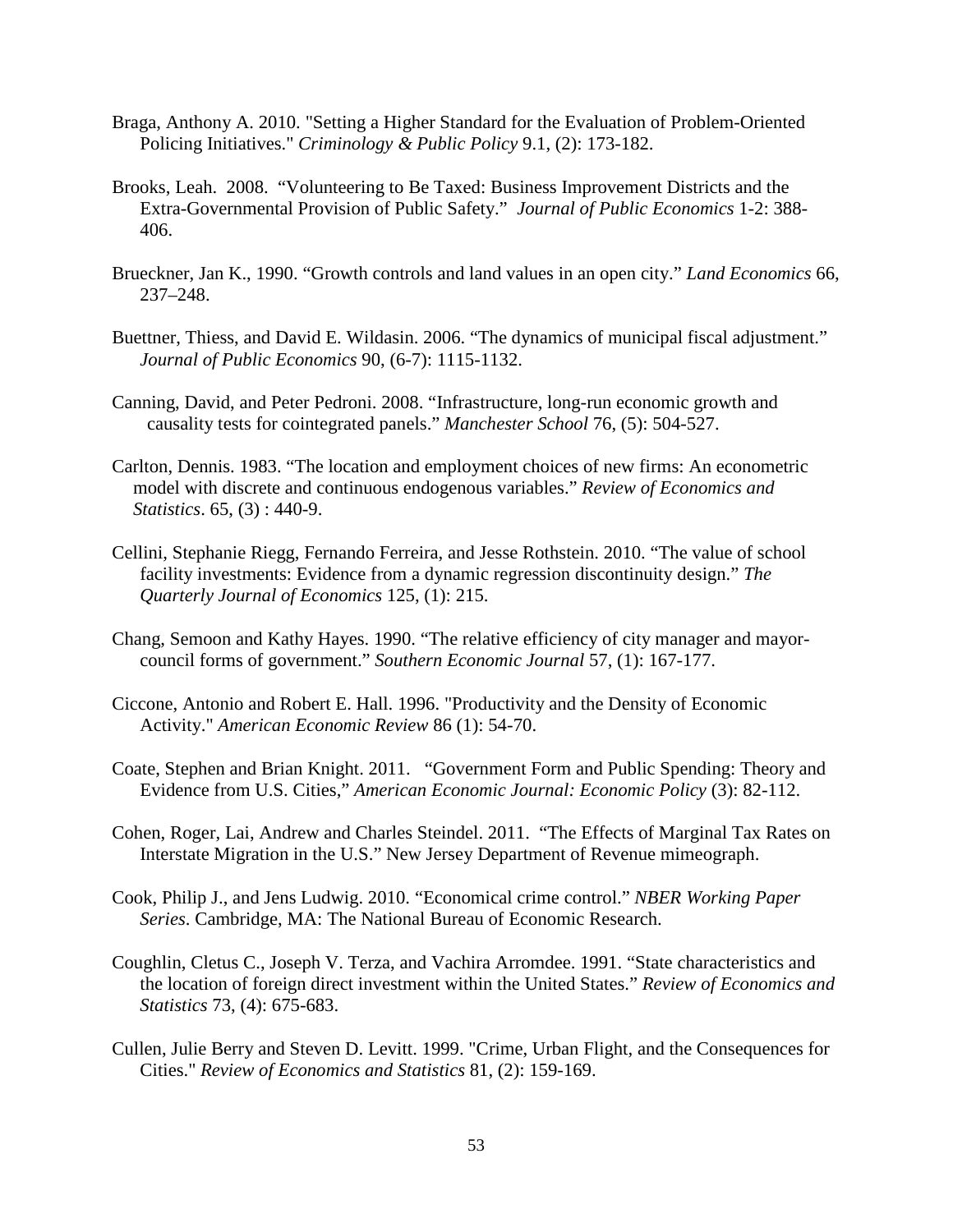- Braga, Anthony A. 2010. "Setting a Higher Standard for the Evaluation of Problem-Oriented Policing Initiatives." *Criminology & Public Policy* 9.1, (2): 173-182.
- Brooks, Leah. 2008. "Volunteering to Be Taxed: Business Improvement Districts and the Extra-Governmental Provision of Public Safety." *Journal of Public Economics* 1-2: 388- 406.
- Brueckner, Jan K., 1990. "Growth controls and land values in an open city." *Land Economics* 66, 237–248.
- Buettner, Thiess, and David E. Wildasin. 2006. "The dynamics of municipal fiscal adjustment." *Journal of Public Economics* 90, (6-7): 1115-1132.
- Canning, David, and Peter Pedroni. 2008. "Infrastructure, long-run economic growth and causality tests for cointegrated panels." *Manchester School* 76, (5): 504-527.
- Carlton, Dennis. 1983. "The location and employment choices of new firms: An econometric model with discrete and continuous endogenous variables." *Review of Economics and Statistics*. 65, (3) : 440-9.
- Cellini, Stephanie Riegg, Fernando Ferreira, and Jesse Rothstein. 2010. "The value of school facility investments: Evidence from a dynamic regression discontinuity design." *The Quarterly Journal of Economics* 125, (1): 215.
- Chang, Semoon and Kathy Hayes. 1990. "The relative efficiency of city manager and mayorcouncil forms of government." *Southern Economic Journal* 57, (1): 167-177.
- Ciccone, Antonio and Robert E. Hall. 1996. "Productivity and the Density of Economic Activity." *American Economic Review* 86 (1): 54-70.
- Coate, Stephen and Brian Knight. 2011. "Government Form and Public Spending: Theory and Evidence from U.S. Cities," *American Economic Journal: Economic Policy* (3): 82-112.
- Cohen, Roger, Lai, Andrew and Charles Steindel. 2011. "The Effects of Marginal Tax Rates on Interstate Migration in the U.S." New Jersey Department of Revenue mimeograph.
- Cook, Philip J., and Jens Ludwig. 2010. "Economical crime control." *NBER Working Paper Series*. Cambridge, MA: The National Bureau of Economic Research.
- Coughlin, Cletus C., Joseph V. Terza, and Vachira Arromdee. 1991. "State characteristics and the location of foreign direct investment within the United States." *Review of Economics and Statistics* 73, (4): 675-683.
- Cullen, Julie Berry and Steven D. Levitt. 1999. "Crime, Urban Flight, and the Consequences for Cities." *Review of Economics and Statistics* 81, (2): 159-169.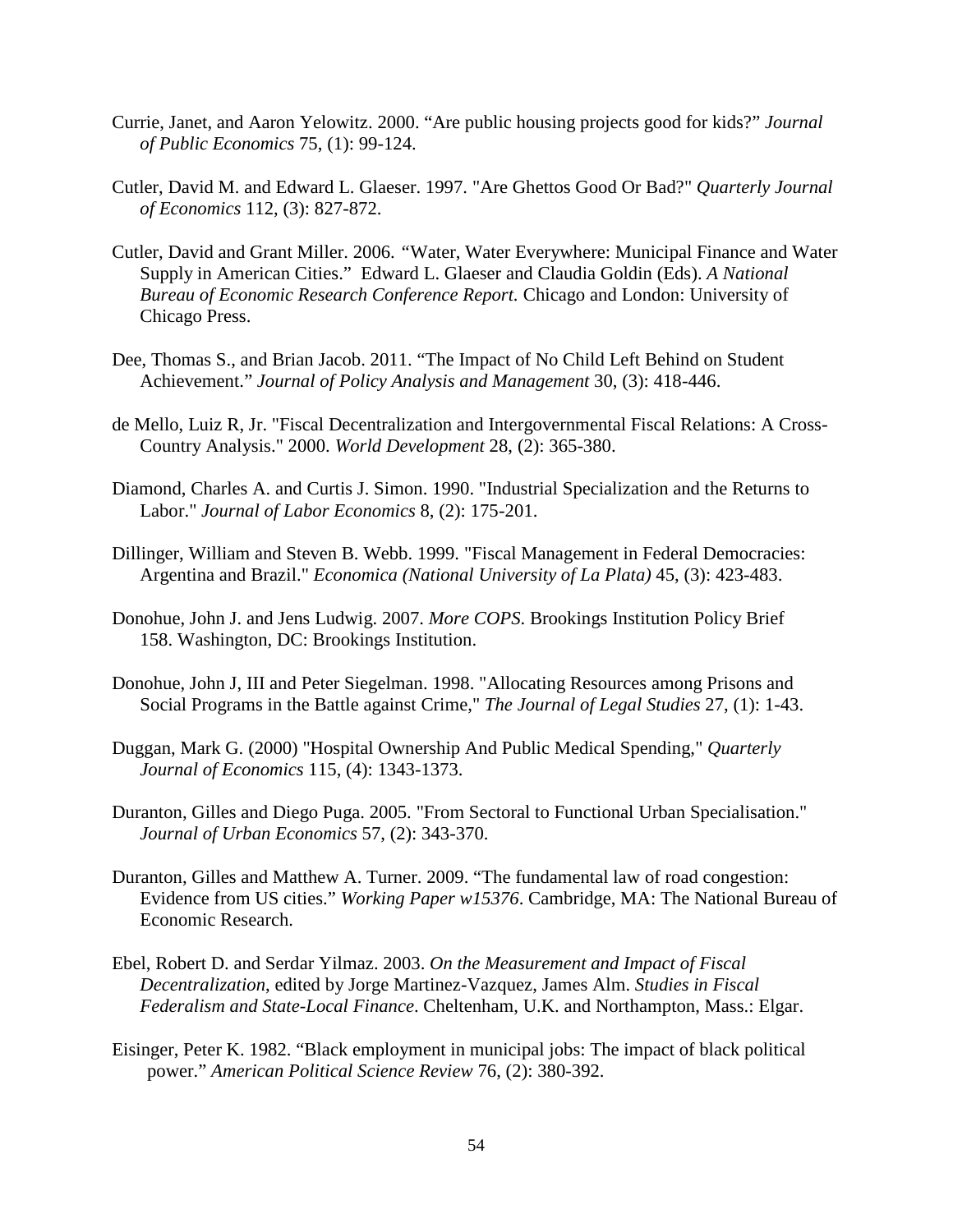- Currie, Janet, and Aaron Yelowitz. 2000. "Are public housing projects good for kids?" *Journal of Public Economics* 75, (1): 99-124.
- Cutler, David M. and Edward L. Glaeser. 1997. "Are Ghettos Good Or Bad?" *Quarterly Journal of Economics* 112, (3): 827-872.
- Cutler, David and Grant Miller. 2006. *"*Water, Water Everywhere: Municipal Finance and Water Supply in American Cities." Edward L. Glaeser and Claudia Goldin (Eds). *A National Bureau of Economic Research Conference Report.* Chicago and London: University of Chicago Press.
- Dee, Thomas S., and Brian Jacob. 2011. "The Impact of No Child Left Behind on Student Achievement." *Journal of Policy Analysis and Management* 30, (3): 418-446.
- de Mello, Luiz R, Jr. "Fiscal Decentralization and Intergovernmental Fiscal Relations: A Cross-Country Analysis." 2000. *World Development* 28, (2): 365-380.
- Diamond, Charles A. and Curtis J. Simon. 1990. "Industrial Specialization and the Returns to Labor." *Journal of Labor Economics* 8, (2): 175-201.
- Dillinger, William and Steven B. Webb. 1999. "Fiscal Management in Federal Democracies: Argentina and Brazil." *Economica (National University of La Plata)* 45, (3): 423-483.
- Donohue, John J. and Jens Ludwig. 2007. *More COPS*. Brookings Institution Policy Brief 158. Washington, DC: Brookings Institution.
- Donohue, John J, III and Peter Siegelman. 1998. ["Allocating Resources among Prisons and](http://ideas.repec.org/a/ucp/jlstud/v27y1998i1p1-43.html)  [Social Programs in the Battle against Crime,](http://ideas.repec.org/a/ucp/jlstud/v27y1998i1p1-43.html)" *[The Journal of Legal Studies](http://ideas.repec.org/s/ucp/jlstud.html)* 27, (1): 1-43.
- Duggan, Mark G. (2000) "Hospital Ownership And Public Medical Spending," *Quarterly Journal of Economics* 115, (4): 1343-1373.
- Duranton, Gilles and Diego Puga. 2005. "From Sectoral to Functional Urban Specialisation." *Journal of Urban Economics* 57, (2): 343-370.
- Duranton, Gilles and Matthew A. Turner. 2009. "The fundamental law of road congestion: Evidence from US cities." *Working Paper w15376*. Cambridge, MA: The National Bureau of Economic Research.
- Ebel, Robert D. and Serdar Yilmaz. 2003. *On the Measurement and Impact of Fiscal Decentralization*, edited by Jorge Martinez-Vazquez, James Alm. *Studies in Fiscal Federalism and State-Local Finance*. Cheltenham, U.K. and Northampton, Mass.: Elgar.
- Eisinger, Peter K. 1982. "Black employment in municipal jobs: The impact of black political power." *American Political Science Review* 76, (2): 380-392.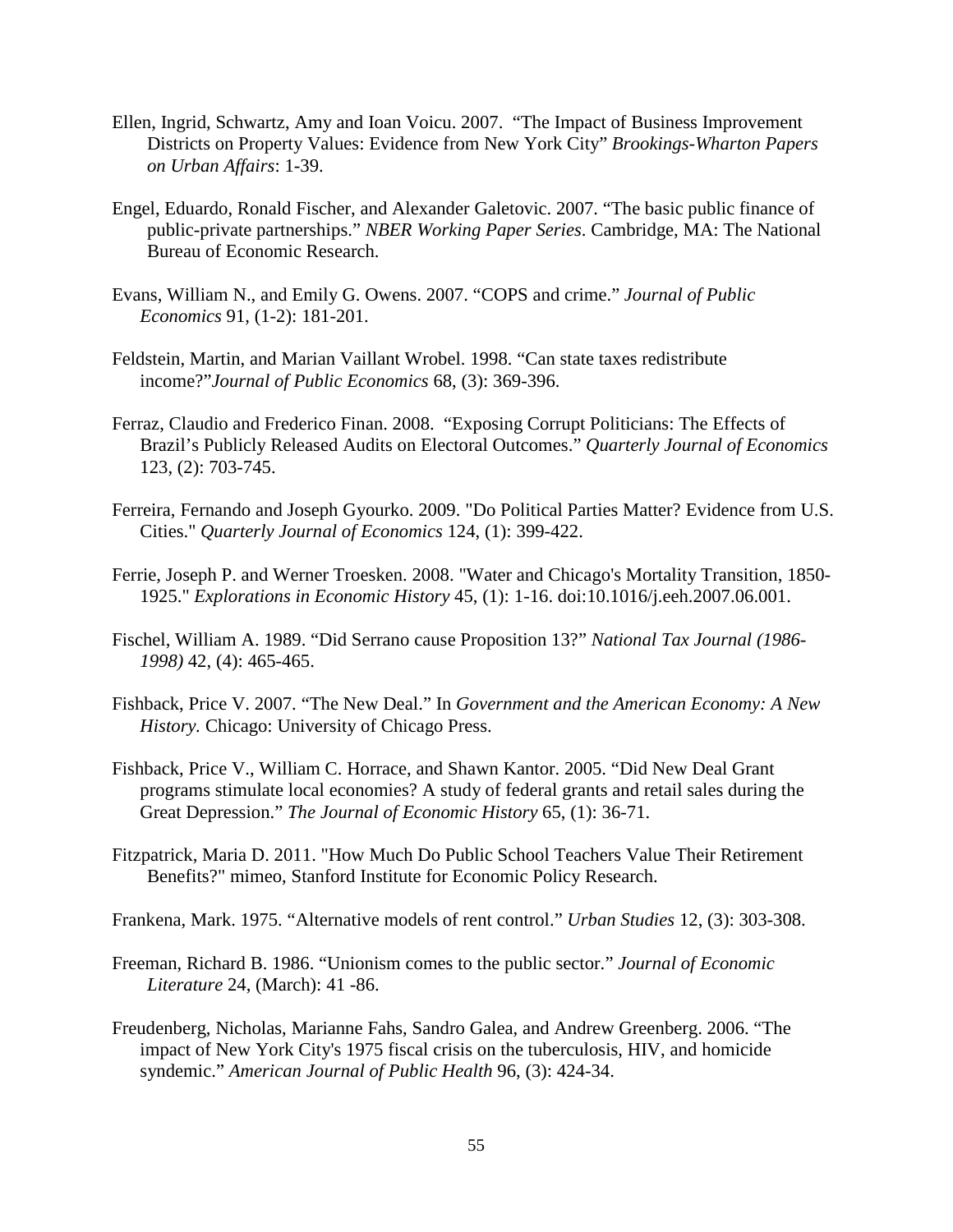- Ellen, Ingrid, Schwartz, Amy and Ioan Voicu. 2007. "The Impact of Business Improvement Districts on Property Values: Evidence from New York City" *Brookings-Wharton Papers on Urban Affairs*: 1-39.
- Engel, Eduardo, Ronald Fischer, and Alexander Galetovic. 2007. "The basic public finance of public-private partnerships." *NBER Working Paper Series*. Cambridge, MA: The National Bureau of Economic Research.
- Evans, William N., and Emily G. Owens. 2007. "COPS and crime." *Journal of Public Economics* 91, (1-2): 181-201.
- Feldstein, Martin, and Marian Vaillant Wrobel. 1998. "Can state taxes redistribute income?"*Journal of Public Economics* 68, (3): 369-396.
- Ferraz, Claudio and Frederico Finan. 2008. "Exposing Corrupt Politicians: The Effects of Brazil's Publicly Released Audits on Electoral Outcomes." *Quarterly Journal of Economics* 123, (2): 703-745.
- Ferreira, Fernando and Joseph Gyourko. 2009. "Do Political Parties Matter? Evidence from U.S. Cities." *Quarterly Journal of Economics* 124, (1): 399-422.
- Ferrie, Joseph P. and Werner Troesken. 2008. "Water and Chicago's Mortality Transition, 1850- 1925." *Explorations in Economic History* 45, (1): 1-16. doi:10.1016/j.eeh.2007.06.001.
- Fischel, William A. 1989. "Did Serrano cause Proposition 13?" *National Tax Journal (1986- 1998)* 42, (4): 465-465.
- Fishback, Price V. 2007. "The New Deal." In *Government and the American Economy: A New History.* Chicago: University of Chicago Press.
- Fishback, Price V., William C. Horrace, and Shawn Kantor. 2005. "Did New Deal Grant programs stimulate local economies? A study of federal grants and retail sales during the Great Depression." *The Journal of Economic History* 65, (1): 36-71.
- Fitzpatrick, Maria D. 2011. "How Much Do Public School Teachers Value Their Retirement Benefits?" mimeo, Stanford Institute for Economic Policy Research.
- Frankena, Mark. 1975. "Alternative models of rent control." *Urban Studies* 12, (3): 303-308.
- Freeman, Richard B. 1986. "Unionism comes to the public sector." *Journal of Economic Literature* 24, (March): 41 -86.
- Freudenberg, Nicholas, Marianne Fahs, Sandro Galea, and Andrew Greenberg. 2006. "The impact of New York City's 1975 fiscal crisis on the tuberculosis, HIV, and homicide syndemic." *American Journal of Public Health* 96, (3): 424-34.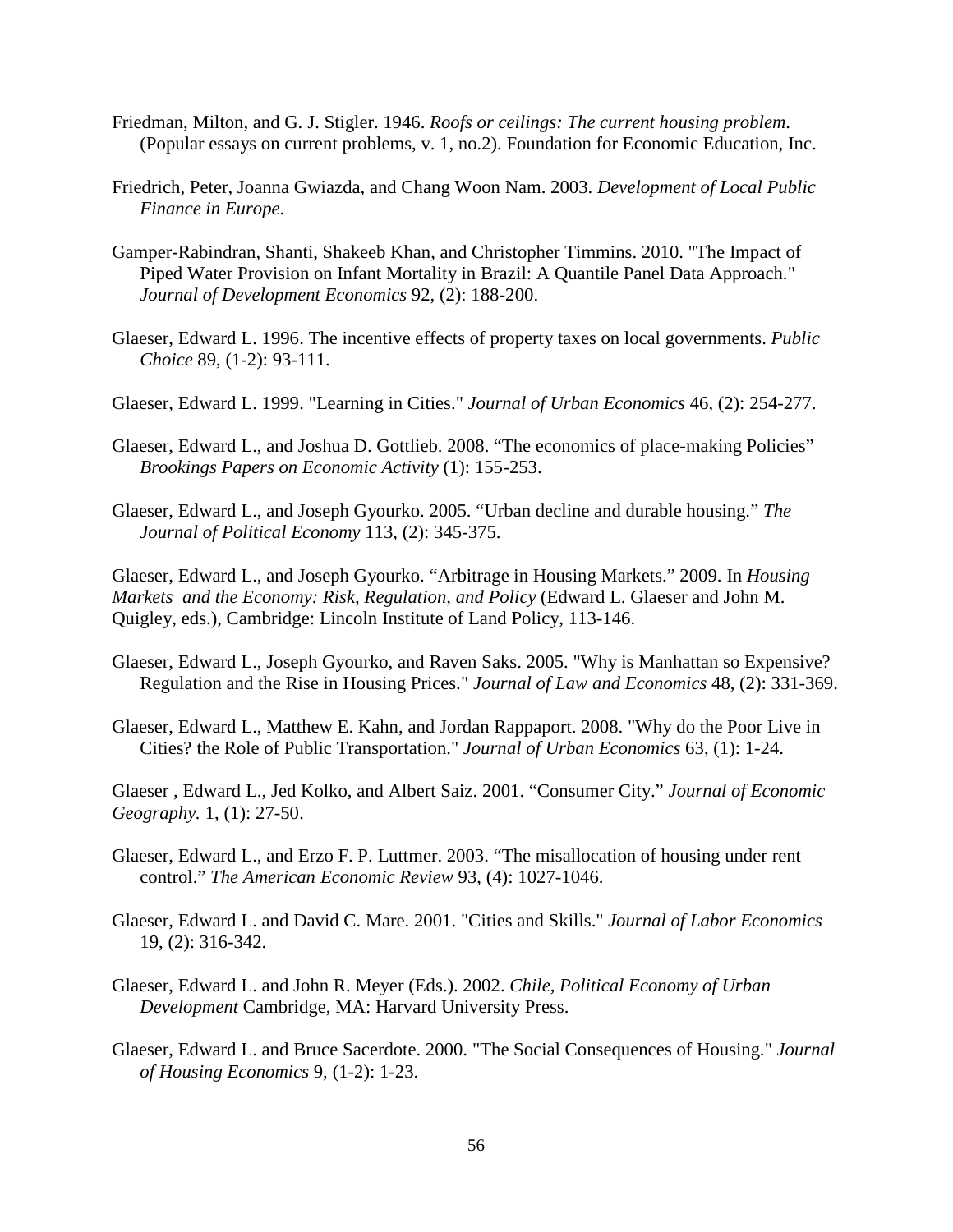- Friedman, Milton, and G. J. Stigler. 1946. *Roofs or ceilings: The current housing problem*. (Popular essays on current problems, v. 1, no.2). Foundation for Economic Education, Inc.
- Friedrich, Peter, Joanna Gwiazda, and Chang Woon Nam. 2003. *Development of Local Public Finance in Europe*.
- Gamper-Rabindran, Shanti, Shakeeb Khan, and Christopher Timmins. 2010. "The Impact of Piped Water Provision on Infant Mortality in Brazil: A Quantile Panel Data Approach." *Journal of Development Economics* 92, (2): 188-200.
- Glaeser, Edward L. 1996. The incentive effects of property taxes on local governments. *Public Choice* 89, (1-2): 93-111.
- Glaeser, Edward L. 1999. "Learning in Cities." *Journal of Urban Economics* 46, (2): 254-277.
- Glaeser, Edward L., and Joshua D. Gottlieb. 2008. "The economics of place-making Policies" *Brookings Papers on Economic Activity* (1): 155-253.
- Glaeser, Edward L., and Joseph Gyourko. 2005. "Urban decline and durable housing." *The Journal of Political Economy* 113, (2): 345-375.

Glaeser, Edward L., and Joseph Gyourko. "Arbitrage in Housing Markets." 2009. In *Housing Markets and the Economy: Risk, Regulation, and Policy* (Edward L. Glaeser and John M. Quigley, eds.), Cambridge: Lincoln Institute of Land Policy, 113-146.

- Glaeser, Edward L., Joseph Gyourko, and Raven Saks. 2005. "Why is Manhattan so Expensive? Regulation and the Rise in Housing Prices." *Journal of Law and Economics* 48, (2): 331-369.
- Glaeser, Edward L., Matthew E. Kahn, and Jordan Rappaport. 2008. "Why do the Poor Live in Cities? the Role of Public Transportation." *Journal of Urban Economics* 63, (1): 1-24.

Glaeser , Edward L., Jed Kolko, and Albert Saiz. 2001. "Consumer City." *Journal of Economic Geography.* 1, (1): 27-50.

- Glaeser, Edward L., and Erzo F. P. Luttmer. 2003. "The misallocation of housing under rent control." *The American Economic Review* 93, (4): 1027-1046.
- Glaeser, Edward L. and David C. Mare. 2001. "Cities and Skills." *Journal of Labor Economics* 19, (2): 316-342.
- Glaeser, Edward L. and John R. Meyer (Eds.). 2002. *Chile, Political Economy of Urban Development* Cambridge, MA: Harvard University Press.
- Glaeser, Edward L. and Bruce Sacerdote. 2000. "The Social Consequences of Housing." *Journal of Housing Economics* 9, (1-2): 1-23.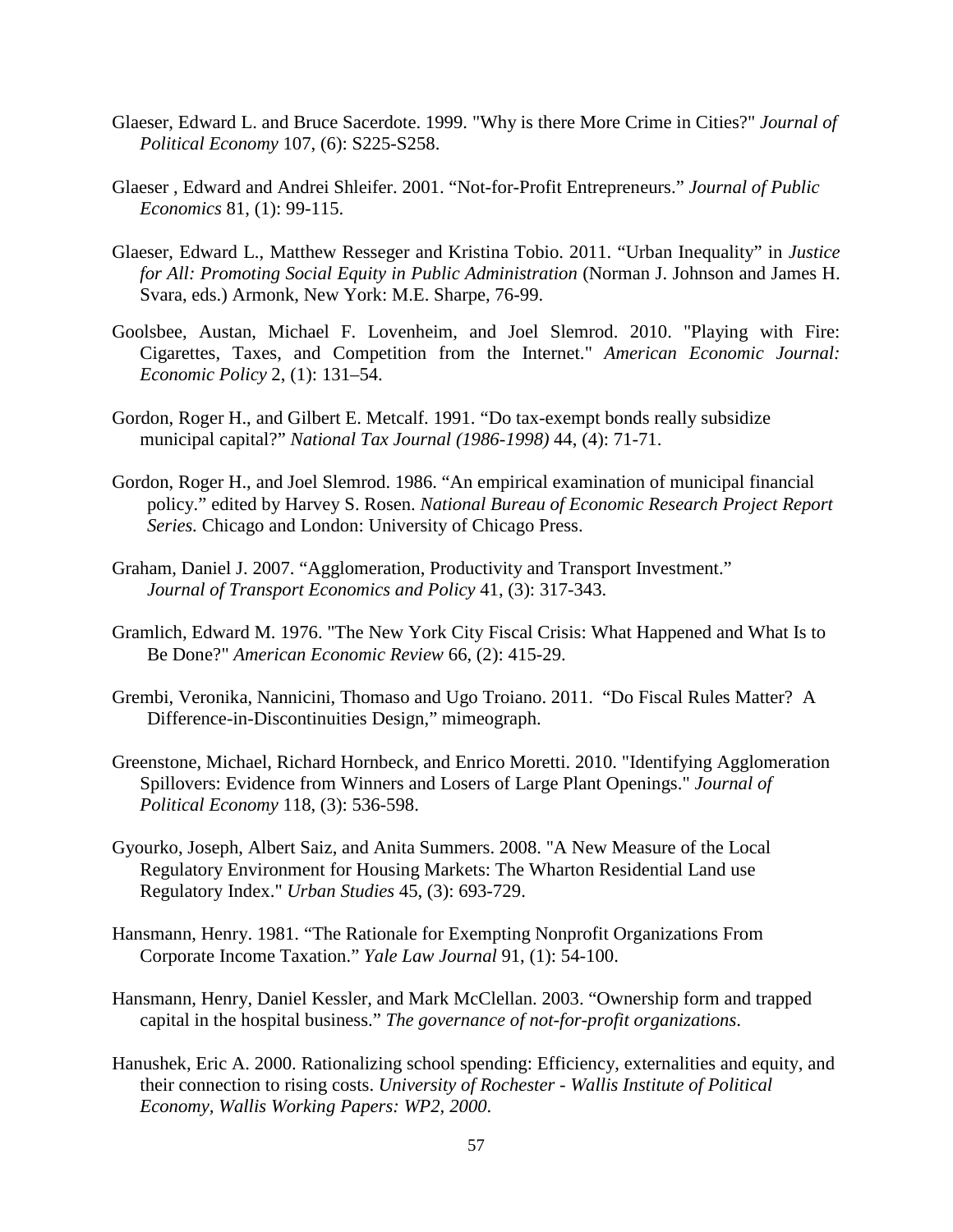- Glaeser, Edward L. and Bruce Sacerdote. 1999. "Why is there More Crime in Cities?" *Journal of Political Economy* 107, (6): S225-S258.
- Glaeser , Edward and Andrei Shleifer. 2001. "Not-for-Profit Entrepreneurs." *Journal of Public Economics* 81, (1): 99-115.
- Glaeser, Edward L., Matthew Resseger and Kristina Tobio. 2011. "Urban Inequality" in *Justice for All: Promoting Social Equity in Public Administration* (Norman J. Johnson and James H. Svara, eds.) Armonk, New York: M.E. Sharpe, 76-99.
- Goolsbee, Austan, Michael F. Lovenheim, and Joel Slemrod. 2010. "Playing with Fire: Cigarettes, Taxes, and Competition from the Internet." *American Economic Journal: Economic Policy* 2, (1): 131–54.
- Gordon, Roger H., and Gilbert E. Metcalf. 1991. "Do tax-exempt bonds really subsidize municipal capital?" *National Tax Journal (1986-1998)* 44, (4): 71-71.
- Gordon, Roger H., and Joel Slemrod. 1986. "An empirical examination of municipal financial policy." edited by Harvey S. Rosen. *National Bureau of Economic Research Project Report Series.* Chicago and London: University of Chicago Press.
- Graham, Daniel J. 2007. "Agglomeration, Productivity and Transport Investment." *Journal of Transport Economics and Policy* 41, (3): 317-343.
- Gramlich, Edward M. 1976. ["The New York City Fiscal Crisis: What Happened and What Is to](http://ideas.repec.org/a/aea/aecrev/v66y1976i2p415-29.html)  [Be Done?"](http://ideas.repec.org/a/aea/aecrev/v66y1976i2p415-29.html) *[American Economic Review](http://ideas.repec.org/s/aea/aecrev.html)* 66, (2): 415-29.
- Grembi, Veronika, Nannicini, Thomaso and Ugo Troiano. 2011. "Do Fiscal Rules Matter? A Difference-in-Discontinuities Design," mimeograph.
- Greenstone, Michael, Richard Hornbeck, and Enrico Moretti. 2010. "Identifying Agglomeration Spillovers: Evidence from Winners and Losers of Large Plant Openings." *Journal of Political Economy* 118, (3): 536-598.
- Gyourko, Joseph, Albert Saiz, and Anita Summers. 2008. "A New Measure of the Local Regulatory Environment for Housing Markets: The Wharton Residential Land use Regulatory Index." *Urban Studies* 45, (3): 693-729.
- Hansmann, Henry. 1981. "The Rationale for Exempting Nonprofit Organizations From Corporate Income Taxation." *Yale Law Journal* 91, (1): 54-100.
- Hansmann, Henry, Daniel Kessler, and Mark McClellan. 2003. "Ownership form and trapped capital in the hospital business." *The governance of not-for-profit organizations*.
- Hanushek, Eric A. 2000. Rationalizing school spending: Efficiency, externalities and equity, and their connection to rising costs. *University of Rochester - Wallis Institute of Political Economy, Wallis Working Papers: WP2, 2000*.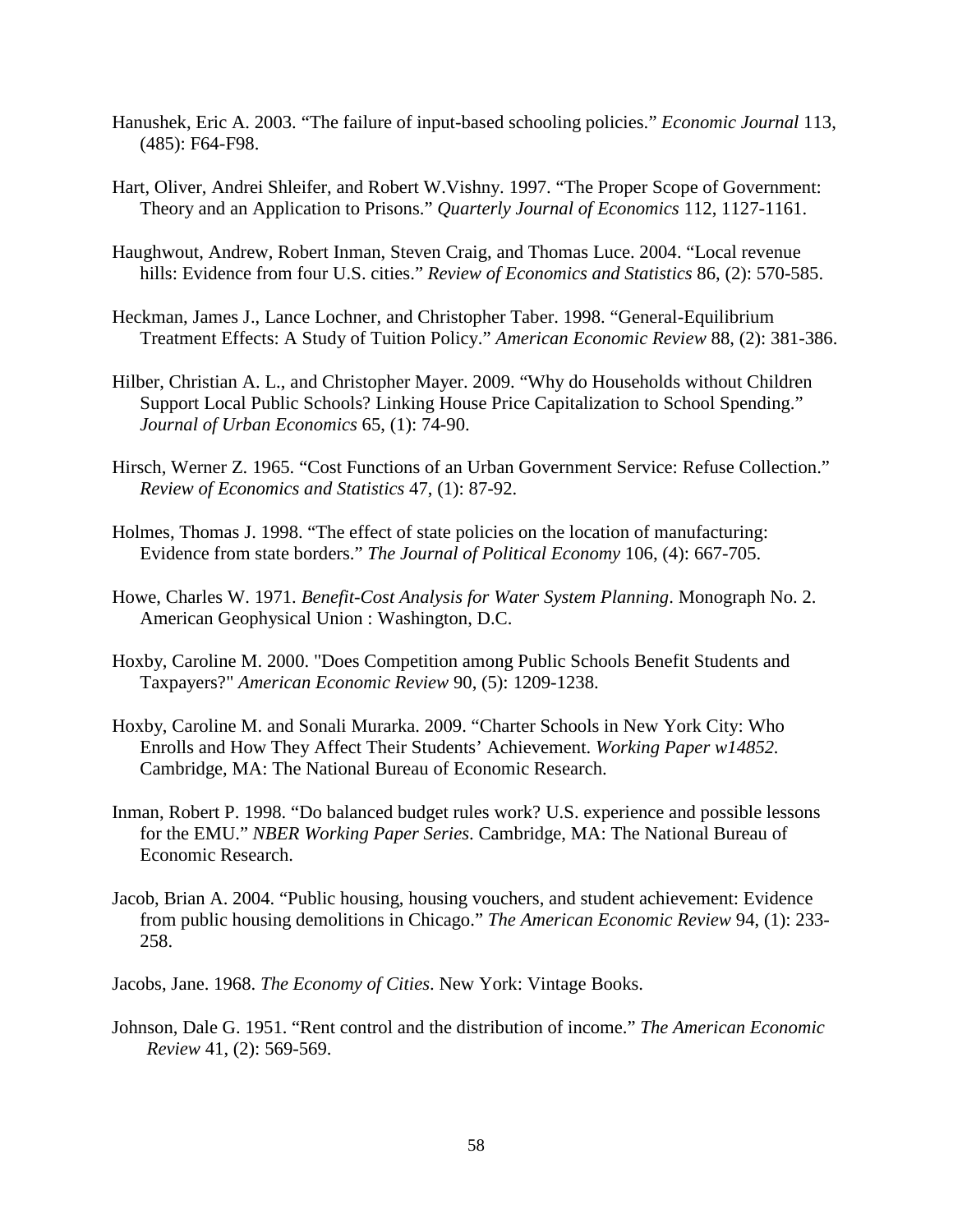- Hanushek, Eric A. 2003. "The failure of input-based schooling policies." *Economic Journal* 113, (485): F64-F98.
- Hart, Oliver, Andrei Shleifer, and Robert W.Vishny. 1997. "The Proper Scope of Government: Theory and an Application to Prisons." *Quarterly Journal of Economics* 112, 1127-1161.
- Haughwout, Andrew, Robert Inman, Steven Craig, and Thomas Luce. 2004. "Local revenue hills: Evidence from four U.S. cities." *Review of Economics and Statistics* 86, (2): 570-585.
- Heckman, James J., Lance Lochner, and Christopher Taber. 1998. "General-Equilibrium Treatment Effects: A Study of Tuition Policy." *American Economic Review* 88, (2): 381-386.
- Hilber, Christian A. L., and Christopher Mayer. 2009. "Why do Households without Children Support Local Public Schools? Linking House Price Capitalization to School Spending." *Journal of Urban Economics* 65, (1): 74-90.
- Hirsch, Werner Z. 1965. "Cost Functions of an Urban Government Service: Refuse Collection." *Review of Economics and Statistics* 47, (1): 87-92.
- Holmes, Thomas J. 1998. "The effect of state policies on the location of manufacturing: Evidence from state borders." *The Journal of Political Economy* 106, (4): 667-705.
- Howe, Charles W. 1971. *Benefit-Cost Analysis for Water System Planning*. Monograph No. 2. American Geophysical Union : Washington, D.C.
- Hoxby, Caroline M. 2000. "Does Competition among Public Schools Benefit Students and Taxpayers?" *American Economic Review* 90, (5): 1209-1238.
- Hoxby, Caroline M. and Sonali Murarka. 2009. "Charter Schools in New York City: Who Enrolls and How They Affect Their Students' Achievement. *Working Paper w14852.*  Cambridge, MA: The National Bureau of Economic Research.
- Inman, Robert P. 1998. "Do balanced budget rules work? U.S. experience and possible lessons for the EMU." *NBER Working Paper Series*. Cambridge, MA: The National Bureau of Economic Research.
- Jacob, Brian A. 2004. "Public housing, housing vouchers, and student achievement: Evidence from public housing demolitions in Chicago." *The American Economic Review* 94, (1): 233- 258.
- Jacobs, Jane. 1968. *The Economy of Cities*. New York: Vintage Books.
- Johnson, Dale G. 1951. "Rent control and the distribution of income." *The American Economic Review* 41, (2): 569-569.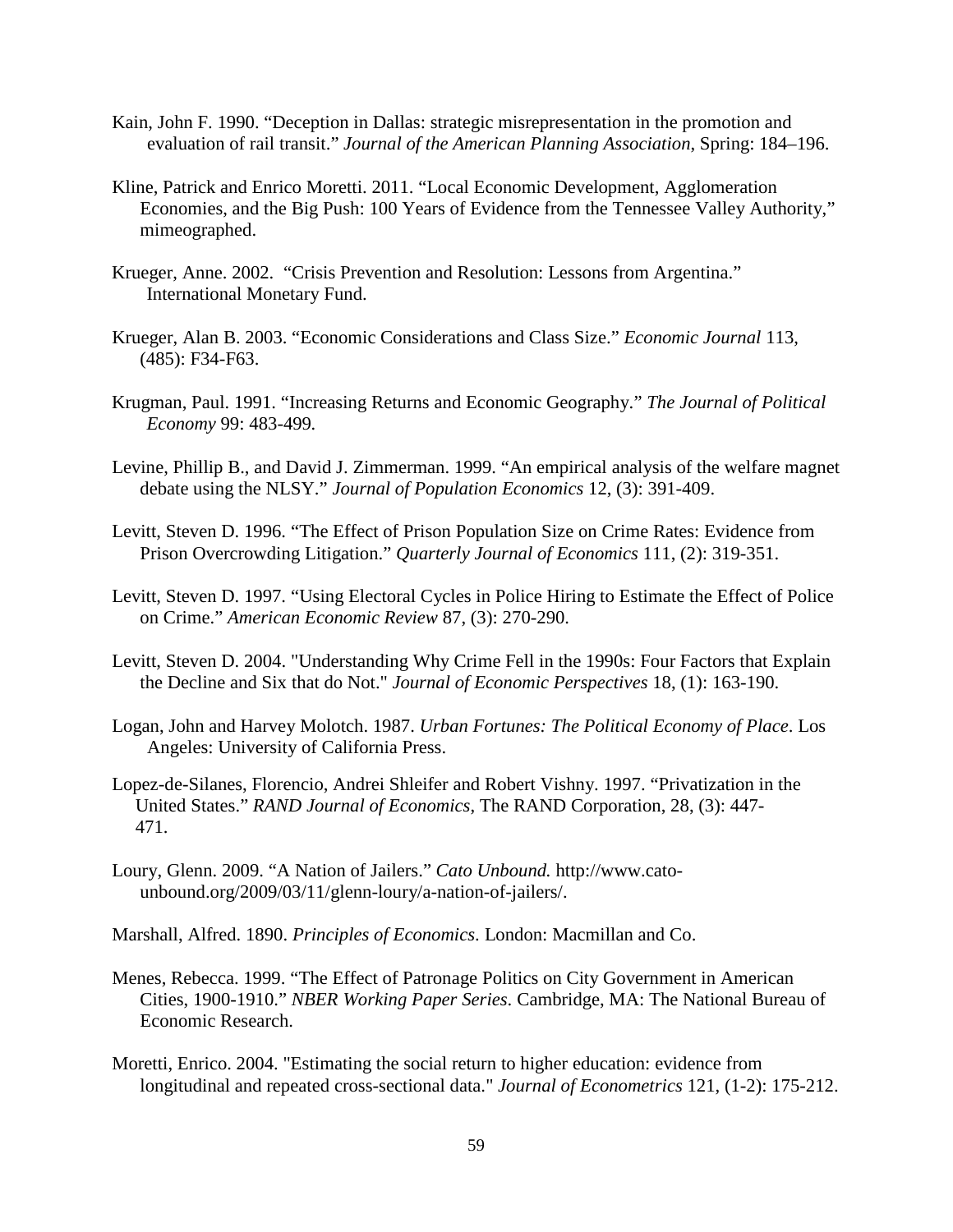- Kain, John F. 1990. "Deception in Dallas: strategic misrepresentation in the promotion and evaluation of rail transit." *Journal of the American Planning Association*, Spring: 184–196.
- Kline, Patrick and Enrico Moretti. 2011. "Local Economic Development, Agglomeration Economies, and the Big Push: 100 Years of Evidence from the Tennessee Valley Authority," mimeographed.
- Krueger, Anne. 2002. "Crisis Prevention and Resolution: Lessons from Argentina." International Monetary Fund.
- Krueger, Alan B. 2003. "Economic Considerations and Class Size." *Economic Journal* 113, (485): F34-F63.
- Krugman, Paul. 1991. "Increasing Returns and Economic Geography." *The Journal of Political Economy* 99: 483-499*.*
- Levine, Phillip B., and David J. Zimmerman. 1999. "An empirical analysis of the welfare magnet debate using the NLSY." *Journal of Population Economics* 12, (3): 391-409.
- Levitt, Steven D. 1996. "The Effect of Prison Population Size on Crime Rates: Evidence from Prison Overcrowding Litigation." *Quarterly Journal of Economics* 111, (2): 319-351.
- Levitt, Steven D. 1997. "Using Electoral Cycles in Police Hiring to Estimate the Effect of Police on Crime." *American Economic Review* 87, (3): 270-290.
- Levitt, Steven D. 2004. "Understanding Why Crime Fell in the 1990s: Four Factors that Explain the Decline and Six that do Not." *Journal of Economic Perspectives* 18, (1): 163-190.
- Logan, John and Harvey Molotch. 1987. *Urban Fortunes: The Political Economy of Place*. Los Angeles: University of California Press.
- Lopez-de-Silanes, Florencio, Andrei Shleifer and Robert Vishny. 1997. "Privatization in the United States." *RAND Journal of Economics*, The RAND Corporation, 28, (3): 447- 471.
- Loury, Glenn. 2009. "A Nation of Jailers." *Cato Unbound.* http://www.catounbound.org/2009/03/11/glenn-loury/a-nation-of-jailers/.
- Marshall, Alfred. 1890. *Principles of Economics*. London: Macmillan and Co.
- Menes, Rebecca. 1999. "The Effect of Patronage Politics on City Government in American Cities, 1900-1910." *NBER Working Paper Series*. Cambridge, MA: The National Bureau of Economic Research.
- Moretti, Enrico. 2004. "Estimating the social return to higher education: evidence from longitudinal and repeated cross-sectional data." *Journal of Econometrics* 121, (1-2): 175-212.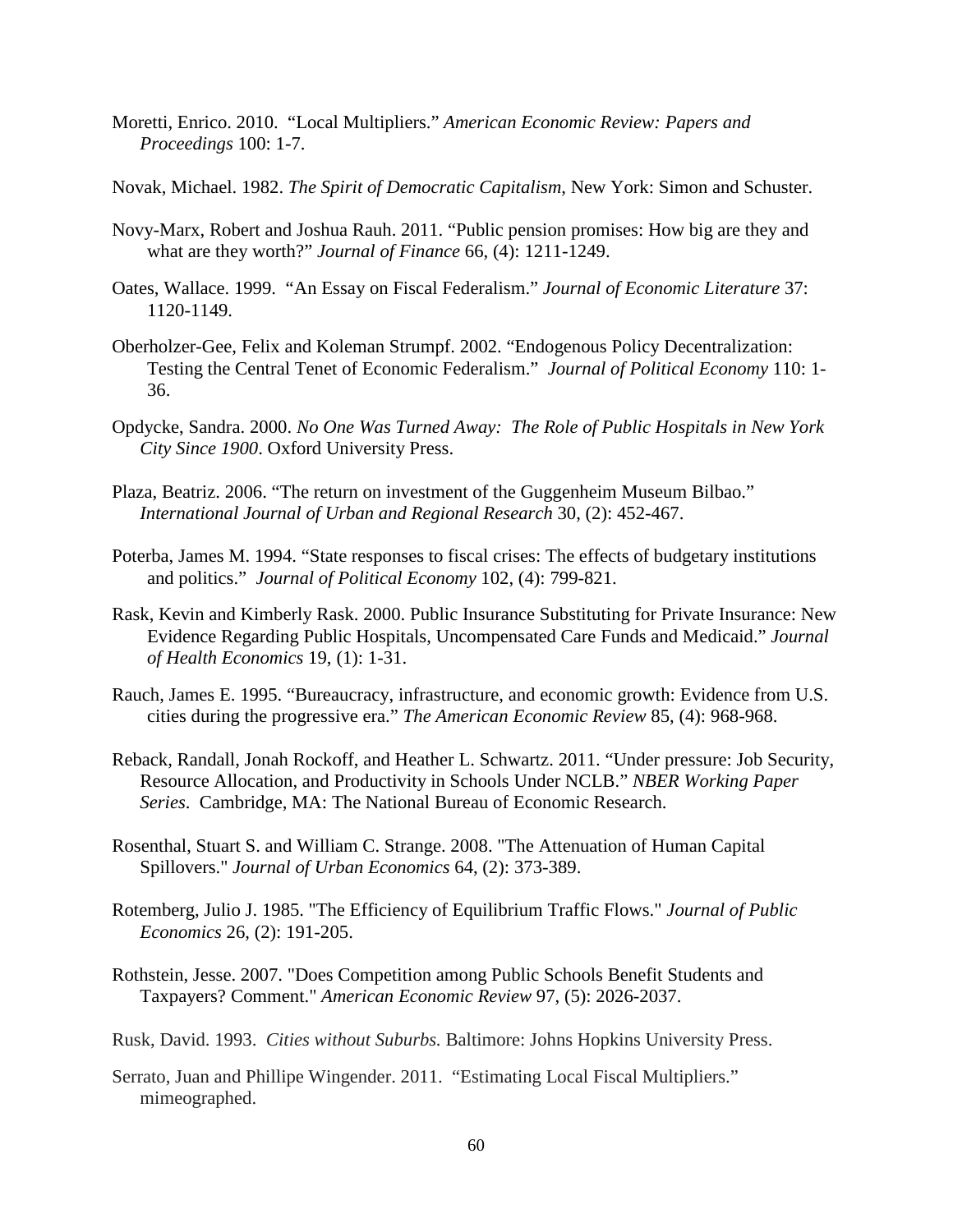- Moretti, Enrico. 2010. "Local Multipliers." *American Economic Review: Papers and Proceedings* 100: 1-7.
- Novak, Michael. 1982. *The Spirit of Democratic Capitalism*, New York: Simon and Schuster.
- Novy-Marx, Robert and Joshua Rauh. 2011. "Public pension promises: How big are they and what are they worth?" *Journal of Finance* 66, (4): 1211-1249.
- Oates, Wallace. 1999. "An Essay on Fiscal Federalism." *Journal of Economic Literature* 37: 1120-1149.
- Oberholzer-Gee, Felix and Koleman Strumpf. 2002. "Endogenous Policy Decentralization: Testing the Central Tenet of Economic Federalism." *Journal of Political Economy* 110: 1- 36.
- Opdycke, Sandra. 2000. *No One Was Turned Away: The Role of Public Hospitals in New York City Since 1900*. Oxford University Press.
- Plaza, Beatriz. 2006. "The return on investment of the Guggenheim Museum Bilbao." *International Journal of Urban and Regional Research* 30, (2): 452-467.
- Poterba, James M. 1994. "State responses to fiscal crises: The effects of budgetary institutions and politics." *Journal of Political Economy* 102, (4): 799-821.
- Rask, Kevin and Kimberly Rask. 2000. Public Insurance Substituting for Private Insurance: New Evidence Regarding Public Hospitals, Uncompensated Care Funds and Medicaid." *Journal of Health Economics* 19, (1): 1-31.
- Rauch, James E. 1995. "Bureaucracy, infrastructure, and economic growth: Evidence from U.S. cities during the progressive era." *The American Economic Review* 85, (4): 968-968.
- Reback, Randall, Jonah Rockoff, and Heather L. Schwartz. 2011. "Under pressure: Job Security, Resource Allocation, and Productivity in Schools Under NCLB." *NBER Working Paper Series*. Cambridge, MA: The National Bureau of Economic Research.
- Rosenthal, Stuart S. and William C. Strange. 2008. "The Attenuation of Human Capital Spillovers." *Journal of Urban Economics* 64, (2): 373-389.
- Rotemberg, Julio J. 1985. "The Efficiency of Equilibrium Traffic Flows." *Journal of Public Economics* 26, (2): 191-205.
- Rothstein, Jesse. 2007. "Does Competition among Public Schools Benefit Students and Taxpayers? Comment." *American Economic Review* 97, (5): 2026-2037.
- Rusk, David. 1993. *Cities without Suburbs.* Baltimore: Johns Hopkins University Press.
- Serrato, Juan and Phillipe Wingender. 2011. "Estimating Local Fiscal Multipliers." mimeographed.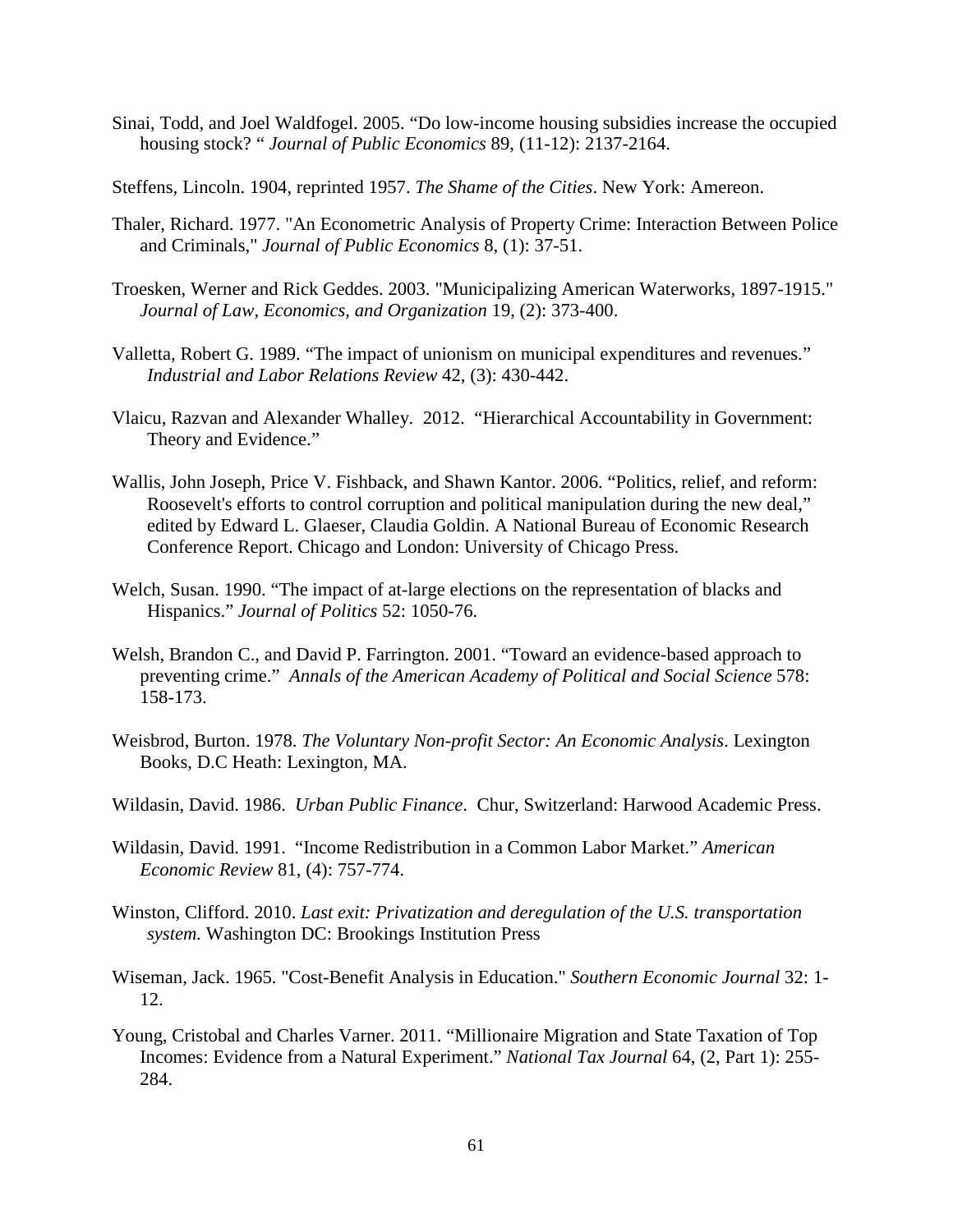Sinai, Todd, and Joel Waldfogel. 2005. "Do low-income housing subsidies increase the occupied housing stock? " *Journal of Public Economics* 89, (11-12): 2137-2164.

Steffens, Lincoln. 1904, reprinted 1957. *The Shame of the Cities*. New York: Amereon.

- Thaler, Richard. 1977. "An Econometric Analysis of Property Crime: Interaction Between Police and Criminals," *Journal of Public Economics* 8, (1): 37-51.
- Troesken, Werner and Rick Geddes. 2003. "Municipalizing American Waterworks, 1897-1915." *Journal of Law, Economics, and Organization* 19, (2): 373-400.
- Valletta, Robert G. 1989. "The impact of unionism on municipal expenditures and revenues." *Industrial and Labor Relations Review* 42, (3): 430-442.
- Vlaicu, Razvan and Alexander Whalley. 2012. "Hierarchical Accountability in Government: Theory and Evidence."
- Wallis, John Joseph, Price V. Fishback, and Shawn Kantor. 2006. "Politics, relief, and reform: Roosevelt's efforts to control corruption and political manipulation during the new deal," edited by Edward L. Glaeser, Claudia Goldin. A National Bureau of Economic Research Conference Report. Chicago and London: University of Chicago Press.
- Welch, Susan. 1990. "The impact of at-large elections on the representation of blacks and Hispanics." *Journal of Politics* 52: 1050-76.
- Welsh, Brandon C., and David P. Farrington. 2001. "Toward an evidence-based approach to preventing crime." *Annals of the American Academy of Political and Social Science* 578: 158-173.
- Weisbrod, Burton. 1978. *The Voluntary Non-profit Sector: An Economic Analysis*. Lexington Books, D.C Heath: Lexington, MA.
- Wildasin, David. 1986. *Urban Public Finance*. Chur, Switzerland: Harwood Academic Press.
- Wildasin, David. 1991. "Income Redistribution in a Common Labor Market." *American Economic Review* 81, (4): 757-774.
- Winston, Clifford. 2010. *Last exit: Privatization and deregulation of the U.S. transportation system.* Washington DC: Brookings Institution Press
- Wiseman, Jack. 1965. "Cost-Benefit Analysis in Education." *Southern Economic Journal* 32: 1- 12.
- Young, Cristobal and Charles Varner. 2011. "Millionaire Migration and State Taxation of Top Incomes: Evidence from a Natural Experiment." *National Tax Journal* 64, (2, Part 1): 255- 284.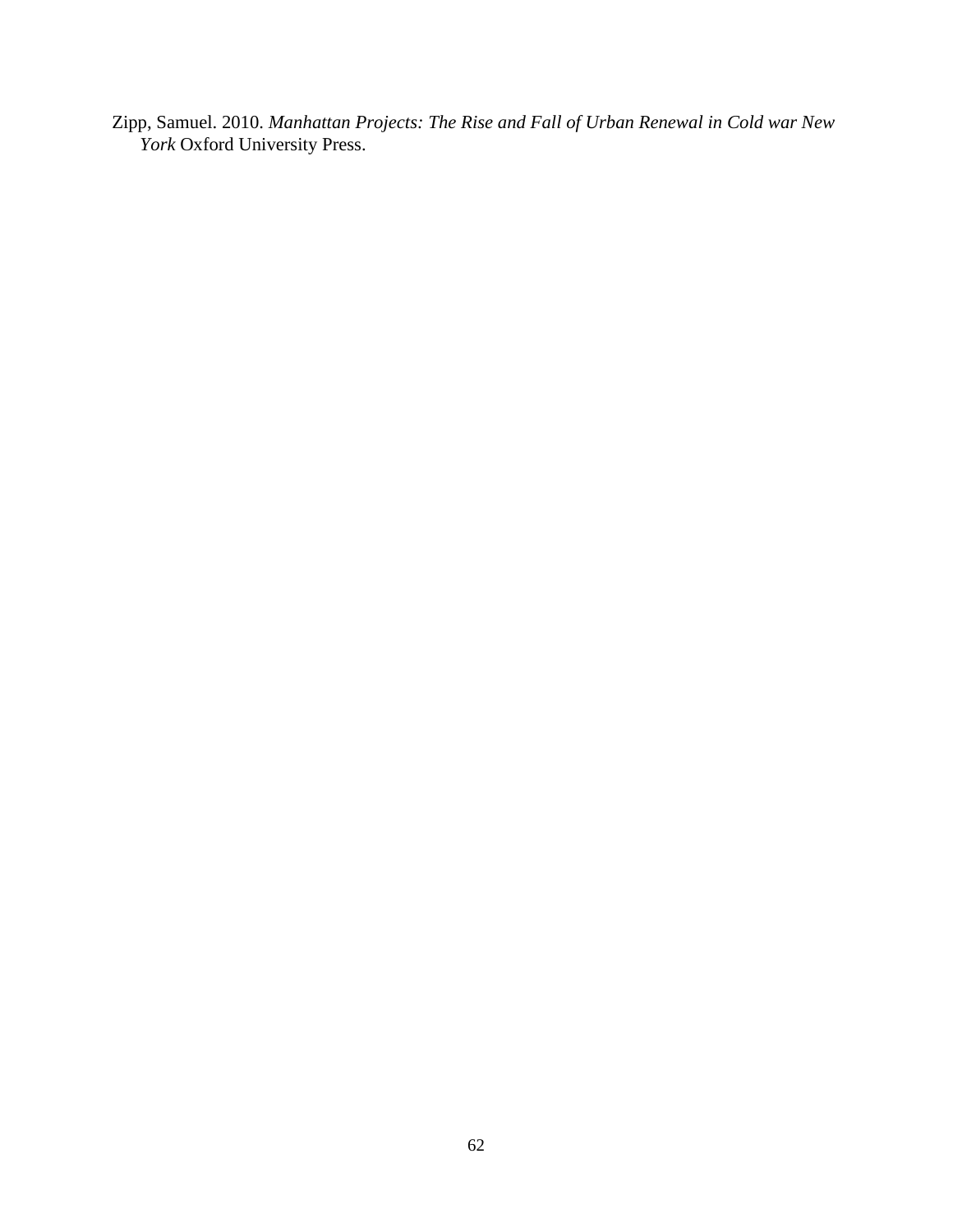Zipp, Samuel. 2010. *Manhattan Projects: The Rise and Fall of Urban Renewal in Cold war New York* Oxford University Press.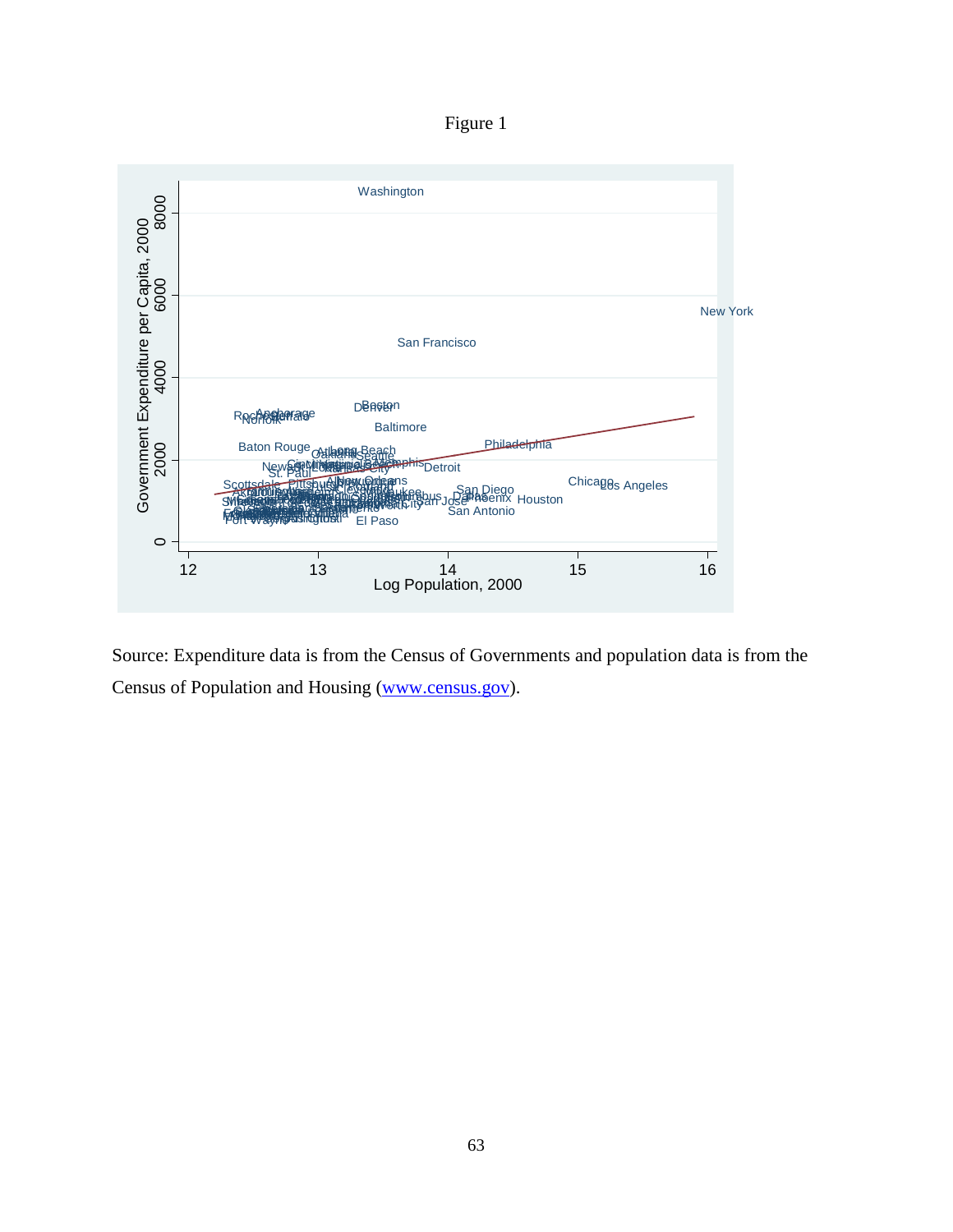| 911 F |  |
|-------|--|
|-------|--|



Source: Expenditure data is from the Census of Governments and population data is from the Census of Population and Housing [\(www.census.gov\)](http://www.census.gov/).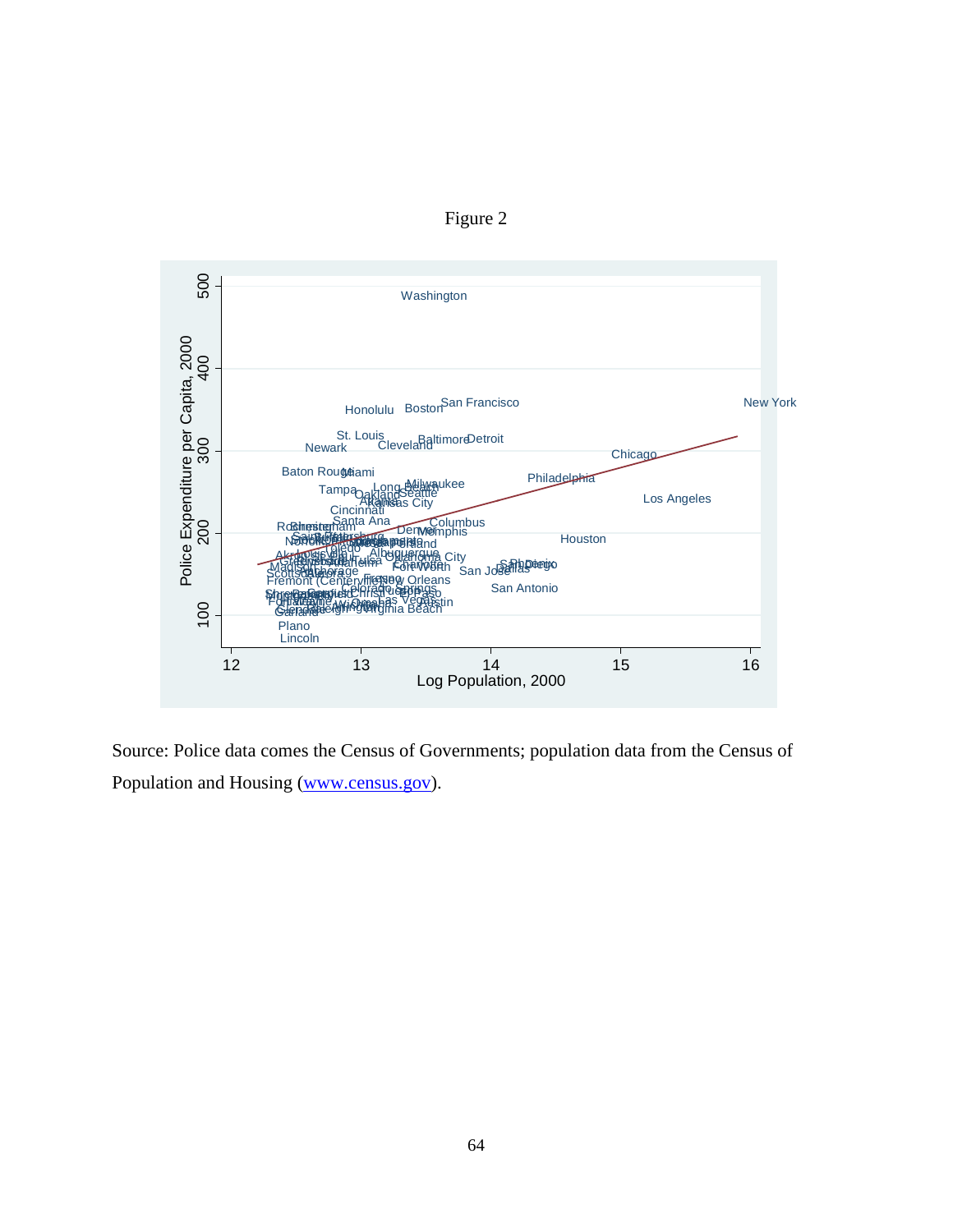



Source: Police data comes the Census of Governments; population data from the Census of Population and Housing [\(www.census.gov\)](http://www.census.gov/).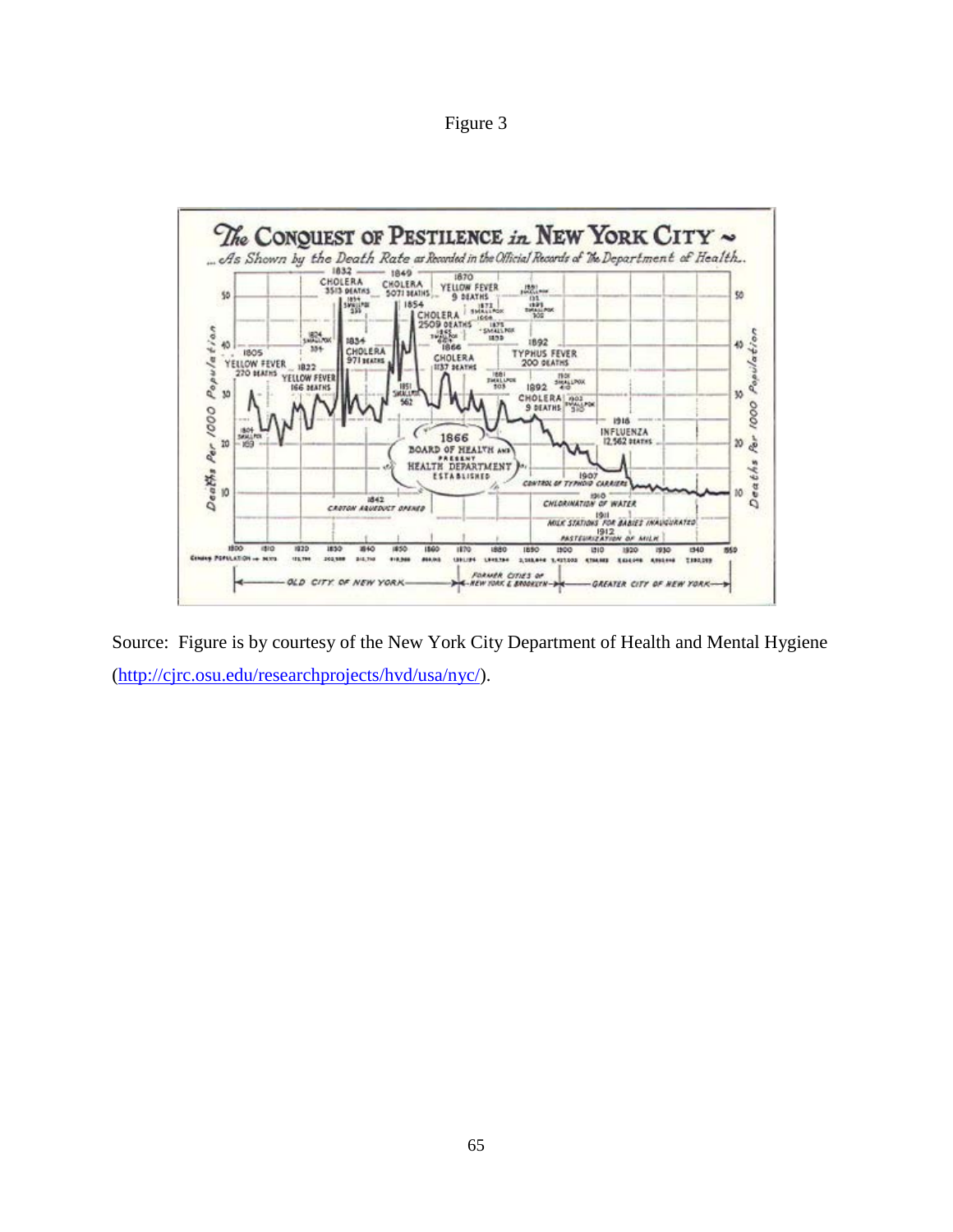Figure 3



Source: Figure is by courtesy of the New York City Department of Health and Mental Hygiene [\(http://cjrc.osu.edu/researchprojects/hvd/usa/nyc/\)](http://cjrc.osu.edu/researchprojects/hvd/usa/nyc/).